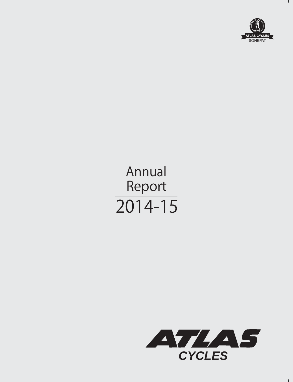

 $\frac{1}{2}$ 

 $\overline{1}$ 

# Annual Report 2014-15

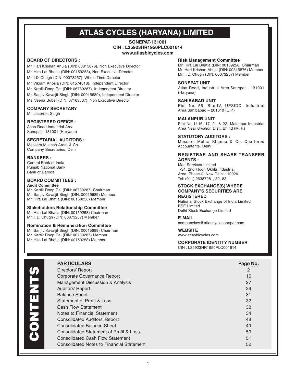# **ATLAS CYCLES (HARYANA) LIMITED**

#### **SONEPAT-131001 CIN : L35923HR1950PLC001614 www.atlasbicycles.com**

#### **BOARD OF DIRECTORS :**

Mr. Hari Krishan Ahuja (DIN: 00315876), Non Executive Director Mr. Hira Lal Bhatia (DIN: 00159258), Non Executive Director Mr. I.D. Chugh (DIN: 00073257), Whole Time Director Mr. Vikram Khosla (DIN: 01574818), Independent Director Mr. Kartik Roop Rai (DIN: 06789287), Independent Director Mr. Sanjiv Kavaljit Singh (DIN: 00015689), Independent Director Ms. Veena Buber (DIN: 07163537), Non Executive Director

#### **COMPANY SECRETARY**

Mr. Jaspreet Singh

#### **REGISTERED OFFICE :**

Atlas Road Industrial Area Sonepat –131001 (Haryana)

#### **SECRETARIAL AUDITORS :**

Messers Mukesh Arora & Co. Company Secretaries, Delhi

#### **BANKERS :**

Central Bank of India Punjab National Bank Bank of Baroda

# **BOARD COMMITTEES :**

**Audit Committee** Mr. Kartik Roop Rai (DIN: 06789287) Chairman Mr. Sanjiv Kavaljit Singh (DIN: 00015689) Member Mr. Hira Lal Bhatia (DIN: 00159258) Member

#### **Stakeholders Relationship Committee**

Mr. Hira Lal Bhatia (DIN: 00159258) Chairman Mr. I. D. Chugh (DIN: 00073257) Member

#### **Nomination & Remuneration Committee**

Mr. Sanjiv Kavaljit Singh (DIN: 00015689) Chairman Mr. Kartik Roop Rai (DIN: 06789287) Member Mr. Hira Lal Bhatia (DIN: 00159258) Member

#### **Risk Management Committee**

Mr. Hira Lal Bhatia (DIN: 00159258) Chairman Mr. Hari Krishan Ahuja (DIN: 00315876) Member Mr. I. D. Chugh (DIN: 00073257) Member

#### **SONEPAT UNIT**

Atlas Road, Industrial Area,Sonepat - 131001 (Haryana)

#### **SAHIBABAD UNIT**

Plot No. 55, Site-IV, UPSIDC, Industrial Area,Sahibabad – 201010 (U.P.)

#### **MALANPUR UNIT**

Plot No. U-16, 17, 21 & 22, Malanpur Industrial Area Near Gwalior, Distt. Bhind (M. P.)

#### **STATUTORY AUDITORS :**

Messers Mehra Khanna & Co. Chartered Accountants, Delhi

#### **REGISTRAR AND SHARE TRANSFER AGENTS :**

Mas Services Limited T-34, 2nd Floor, Okhla Industrial Area, Phase-2, New Delhi-110020 Tel: (011) 26387281, 82, 83

#### **STOCK EXCHANGE(S) WHERE COMPANY'S SECURITIES ARE REGISTERED**

National Stock Exchange of India Limited BSE Limited Delhi Stock Exchange Limited

#### **E-MAIL**

companylaw@atlascyclesonepat.com

#### **WEBSITE**

www.atlasbicycles.com

#### **CORPORATE IDENTITY NUMBER** CIN : L35923HR1950PLC001614

**CONTENTS** NHEN

| <b>PARTICULARS</b>                               | Page No. |
|--------------------------------------------------|----------|
| Directors' Report                                | 2        |
| Corporate Governance Report                      | 16       |
| Management Discussion & Analysis                 | 27       |
| Auditors' Report                                 | 29       |
| <b>Balance Sheet</b>                             | 31       |
| Statement of Profit & Loss                       | 32       |
| <b>Cash Flow Statement</b>                       | 33       |
| Notes to Financial Statement                     | 34       |
| <b>Consolidated Auditors' Report</b>             | 48       |
| <b>Consolidated Balance Sheet</b>                | 49       |
| Consolidated Statement of Profit & Loss          | 50       |
| <b>Consolidated Cash Flow Statement</b>          | 51       |
| <b>Consolidated Notes to Financial Statement</b> | 52       |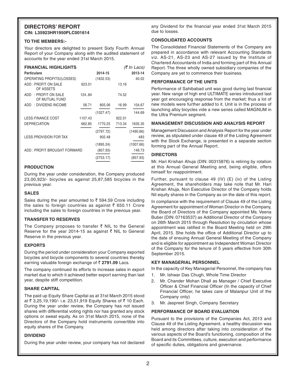# **DIRECTORS' REPORT CIN: L35923HR1950PLC001614**

#### **TO THE MEMBERS:-**

Your directors are delighted to present Sixty Fourth Annual Report of your Company along with the audited statement of accounts for the year ended 31st March 2015.

| <b>FINANCIAL HIGHLIGHTS</b><br><b>Particulars</b> |         | 2014-15   |        | (₹ In Lacs)<br>2013-14 |
|---------------------------------------------------|---------|-----------|--------|------------------------|
| OPERATING PROFITS/(LOSSES)                        |         | (1832.53) |        | 40.02                  |
| ADD: PROFIT ON SALE<br>OF ASSETS                  | 623.51  |           | 13.16  |                        |
| ADD : PROFIT ON SALE<br>OF MUTUAL FUND            | 12484   |           | 74.52  |                        |
| ADD: DIVIDEND INCOME                              | 56.71   | 805.06    | 16.99  | 104.67                 |
|                                                   |         | (1027.47) |        | 144.69                 |
| <b>LESS:FINANCE COST</b>                          | 1107.43 |           | 922.01 |                        |
| <b>DEPRECIATION</b>                               | 662.85  | 1770.25   | 713.34 | 1635.35                |
|                                                   |         | (2797.72) |        | (1490.66)              |
| <b>LESS: PROVISION FOR TAX</b>                    |         | 902.48    |        | 483                    |
|                                                   |         | (1895.24) |        | (1007.66)              |
| ADD: PROFIT BROUGHT FORWARD                       |         | (857.93)  |        | 149.73                 |
|                                                   |         | (2753.17) |        | (857.93)               |

#### **PRODUCTION**

During the year under consideration, the Company produced 23,00,923/- bicycles as against 25,87,585 bicycles in the previous year.

#### **SALES**

Sales during the year amounted to  $\bar{\tau}$  594.59 Crore including the sales to foreign countries as against  $\bar{\tau}$  650.11 Crore including the sales to foreign countries in the previous year.

# **TRANSFER TO RESERVES**

The Company proposes to transfer  $\bar{\tau}$  NIL to the General Reserve for the year 2014-15 as against  $\bar{\tau}$  NIL to General Reserve in the previous year.

# **EXPORTS**

During the period under consideration your Company exported bicycles and bicycle components to several countries thereby earning valuable foreign exchange of ₹ 2791.09 Lacs.

The company continued its efforts to increase sales in export market due to which it achieved better export earning than last year, despite stiff competition.

# **SHARE CAPITAL**

The paid up Equity Share Capital as at 31st March 2015 stood at ₹ 3,25,19,190/- i.e. 23,51,919 Equity Shares of ₹ 10 Each. During the year under review, the Company has not issued shares with differential voting rights nor has granted any stock options or sweat equity. As on 31st March 2015, none of the Directors of the Company hold instruments convertible into equity shares of the Company.

# **DIVIDEND**

During the year under review, your company has not declared

any Dividend for the financial year ended 31st March 2015 due to losses.

# **CONSOLIDATED ACCOUNTS**

The Consolidated Financial Statements of the Company are prepared in accordance with relevant Accounting Standards viz. AS-21, AS-23 and AS-27 issued by the Institute of Chartered Accountants of India and forming part of this Annual Report. The three wholly owned subsidiary companies of the Company are yet to commence their business.

# **PERFORMANCE OF THE UNITS**

Performance of Sahibabad unit was good during last financial year. New range of high end ULTIMATE series introduced last year got encouraging response from the market; thus a lot of new models were further added to it. Unit is in the process of launching alloy bicycles vide a new series called MAGNUM in the Ultra Premium segment.

# **MANAGEMENT DISCUSSION AND ANALYSIS REPORT**

Management Discussion and Analysis Report for the year under review, as stipulated under clause 49 of the Listing Agreement with the Stock Exchange, is presented in a separate section forming part of the Annual Report.

# **DIRECTORS**

Mr. Hari Krishan Ahuja (DIN: 00315876) is retiring by rotation at this Annual General Meeting and, being eligible, offers himself for reappointment.

Further, pursuant to clause 49 (IV) (E) (iv) of the Listing Agreement, the shareholders may take note that Mr. Hari Krishan Ahuja, Non Executive Director of the Company holds Nil equity shares in the Company as on the date of this report.

In compliance with the requirement of Clause 49 of the Listing Agreement for appointment of Woman Director in the Company, the Board of Directors of the Company appointed Ms. Veena Buber (DIN: 07163537) as Additional Director of the Company on 26th March 2015 through Resolution by circulation whose appointment was ratified in the Board Meeting held on 29th April, 2015. She holds the office of Additional Director up to the date of ensuing Annual General Meeting of the Company and is eligible for appointment as Independent Woman Director of the Company for the tenure of 5 years effective from 30th September 2015.

# **KEY MANAGERIAL PERSONNEL**

In the capacity of Key Managerial Personnel, the company has

- 1. Mr. Ishwar Das Chugh, Whole Time Director
- 2. Mr. Chander Mohan Dhall as Manager / Chief Executive Officer & Chief Financial Officer (In the capacity of Chief Financial Officer, he takes care of Malanpur Unit of the Company only)
- 3. Mr. Jaspreet Singh, Company Secretary

# **PERFORMANCE OF BOARD EVALUATION**

Pursuant to the provisions of the Companies Act, 2013 and Clause 49 of the Listing Agreement, a healthy discussion was held among directors after taking into consideration of the various aspects of the Board's functioning, composition of the Board and its Committees, culture, execution and performance of specific duties, obligations and governance.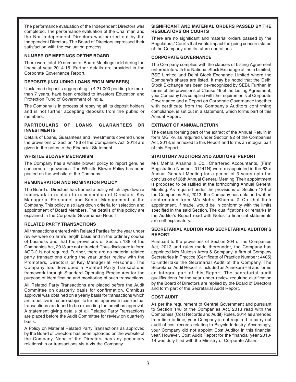The performance evaluation of the Independent Directors was completed. The performance evaluation of the Chairman and the Non-Independent Directors was carried out by the Independent Directors. The Board of Directors expressed their satisfaction with the evaluation process.

#### **NUMBER OF MEETINGS OF THE BOARD**

There were total 10 number of Board Meetings held during the financial year 2014-15. Further details are provided in the Corporate Governance Report.

#### **DEPOSITS (INCLUDING LOANS FROM MEMBERS)**

Unclaimed deposits aggregating to  $\bar{\tau}$  21,000 pending for more than 7 years, have been credited to Investors Education and Protection Fund of Government of India.

The Company is in process of repaying all its deposit holders and is not further accepting deposits from the public or members.

#### **PARTICULARS OF LOANS, GUARANTEES OR INVESTMENTS**

Details of Loans, Guarantees and Investments covered under the provisions of Section 186 of the Companies Act, 2013 are given in the notes to the Financial Statement.

#### **WHISTLE BLOWER MECHANISM**

The Company has a whistle blower policy to report genuine concerns or grievances. The Whistle Blower Policy has been posted on the website of the Company.

#### **REMUNERATION AND NOMINATION POLICY**

The Board of Directors has framed a policy which lays down a framework in relation to remuneration of Directors, Key Managerial Personnel and Senior Management of the Company. This policy also lays down criteria for selection and appointment of Board Members. The details of this policy are explained in the Corporate Governance Report.

# **RELATED PARTY TRANSACTIONS**

All transactions entered with Related Parties for the year under review were on arm's length basis and in the ordinary course of business and that the provisions of Section 188 of the Companies Act, 2013 are not attracted. Thus disclosure in form AOC-2 is not required. Further, there are no material related party transactions during the year under review with the Promoters, Directors or Key Managerial Personnel. The Company has developed a Related Party Transactions framework through Standard Operating Procedures for the purpose of identification and monitoring of such transactions.

All Related Party Transactions are placed before the Audit Committee on quarterly basis for confirmation. Omnibus approval was obtained on a yearly basis for transactions which are repetitive in nature subject to further approval in case actual transactions are found to be exceeding the omnibus approval. A statement giving details of all Related Party Transactions are placed before the Audit Committee for review on quarterly basis.

A Policy on Material Related Party Transactions as approved by the Board of Directors has been uploaded on the website of the Company. None of the Directors has any pecuniary relationship or transactions vis-à-vis the Company.

#### **SIGNIFICANT AND MATERIAL ORDERS PASSED BY THE REGULATORS OR COURTS**

There are no significant and material orders passed by the Regulators / Courts that would impact the going concern status of the Company and its future operations.

#### **CORPORATE GOVERNANCE**

The Company complies with the clauses of Listing Agreement entered into with the National Stock Exchange of India Limited, BSE Limited and Delhi Stock Exchange Limited where the Company's shares are listed. It may be noted that the Delhi Stock Exchange has been de-recognized by SEBI. Further, in terms of the provisions of Clause 49 of the Listing Agreement, your Company has complied with the requirements of Corporate Governance and a Report on Corporate Governance together with certificate from the Company's Auditors confirming compliance, is set out in a statement, which forms part of this Annual Report.

#### **EXTRACT OF ANNUAL RETURN**

The details forming part of the extract of the Annual Return in form MGT-9, as required under Section 92 of the Companies Act, 2013, is annexed to this Report and forms an integral part of this Report.

# **STATUTORY AUDITORS AND AUDITORS' REPORT**

M/s Mehra Khanna & Co., Chartered Accountants, (Firm Registration Number: 01141N) were re-appointed in the 63rd Annual General Meeting for a period of 3 years upto the conclusion of 66th Annual General Meeting. Their appointment is proposed to be ratified at the forthcoming Annual General Meeting. As required under the provisions of Section 139 of the Companies Act, 2013, the Company has obtained written confirmation from M/s Mehra Khanna & Co. that their appointment, if made, would be in conformity with the limits specified in the said Section. The qualifications or remarks in the Auditor's Report read with Notes to financial statements are self explanatory.

#### **SECRETARIAL AUDITOR AND SECRETARIAL AUDITOR'S REPORT**

Pursuant to the provisions of Section 204 of the Companies Act, 2013 and rules made thereunder, the Company has appointed M/s Mukesh Arora & Company, a firm of Company Secretaries in Practice (Certificate of Practice Number : 4405) to undertake the Secretarial Audit of the Company. The Secretarial Audit Report is included as Annexure – B and forms an integral part of this Report. The secretarial audit qualifications for the year under review requiring clarification by the Board of Directors are replied by the Board of Directors and form part of the Secretarial Audit Report.

# **COST AUDIT**

As per the requirement of Central Government and pursuant to Section 148 of the Companies Act, 2013 read with the Companies (Cost Records and Audit) Rules, 2014 as amended from time to time, your Company is not required to carry out audit of cost records relating to Bicycle Industry. Accordingly, your Company did not appoint Cost Auditor in this financial year. However, Cost Audit Report for the financial year 2013- 14 was duly filed with the Ministry of Corporate Affairs.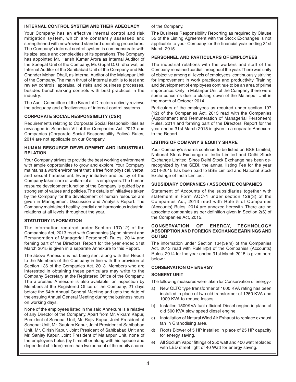#### **INTERNAL CONTROL SYSTEM AND THEIR ADEQUACY**

Your Company has an effective internal control and risk mitigation system, which are constantly assessed and strengthened with new/revised standard operating procedures. The Company's internal control system is commensurate with its size, scale and complexities of its operations. The Company has appointed Mr. Harish Kumar Arora as Internal Auditor of the Sonepat Unit of the Company, Mr. Gopal D. Girdharwal, as Internal Auditor of the Sahibabad Unit of the Company and Mr. Chander Mohan Dhall, as Internal Auditor of the Malanpur Unit of the Company. The main thrust of internal audit is to test and review controls, appraisal of risks and business processes, besides benchmarking controls with best practices in the industry.

The Audit Committee of the Board of Directors actively reviews the adequacy and effectiveness of internal control systems.

#### **CORPORATE SOCIAL RESPONSIBILITY (CSR)**

Requirements relating to Corporate Social Responsibilities as envisaged in Schedule VII of the Companies Act, 2013 and Companies (Corporate Social Responsibility Policy) Rules, 2014 are not applicable on our Company.

#### **HUMAN RESOURCE DEVELOPMENT AND INDUSTRIAL RELATION**

Your Company strives to provide the best working environment with ample opportunities to grow and explore. Your Company maintains a work environment that is free from physical, verbal and sexual harassment. Every initiative and policy of the Company takes care of welfare of all its employees. The human resource development function of the Company is guided by a strong set of values and policies. The details of initiatives taken by the Company for the development of human resource are given in Management Discussion and Analysis Report. The Company maintained healthy, cordial and harmonious industrial relations at all levels throughout the year.

#### **STATUTORY INFORMATION**

The information required under Section 197(12) of the Companies Act, 2013 read with Companies (Appointment and Remuneration of Managerial Personnel) Rules, 2014 and forming part of the Directors' Report for the year ended 31st March 2015 is given in a separate Annexure to this Report.

The above Annexure is not being sent along with this Report to the Members of the Company in line with the provision of Section 136 of the Companies Act. 2013. Members who are interested in obtaining these particulars may write to the Company Secretary at the Registered Office of the Company. The aforesaid Annexure is also available for inspection by Members at the Registered Office of the Company, 21 days before the 64th Annual General Meeting and upto the date of the ensuing Annual General Meeting during the business hours on working days.

None of the employees listed in the said Annexure is a relative of any Director of the Company. Apart from Mr. Vikram Kapur, President of Sonepat Unit, Mr. Rajiv Kapur, Joint President of Sonepat Unit, Mr. Gautam Kapur, Joint President of Sahibabad Unit, Mr. Girish Kapur, Joint President of Sahibabad Unit and Mr. Sanjay Kapur, Joint President of Malanpur Unit, none of the employees holds (by himself or along with his spouse and dependent children) more than two percent of the equity shares of the Company.

The Business Responsibility Reporting as required by Clause 55 of the Listing Agreement with the Stock Exchanges is not applicable to your Company for the financial year ending 31st March 2015.

#### **PERSONNEL AND PARTICULARS OF EMPLOYEES**

The industrial relations with the workers and staff of the Company remained cordial throughout the year. There was unity of objective among all levels of employees, continuously striving for improvement in work practices and productivity. Training and development of employees continue to be an area of prime importance. Only in Malanpur Unit of the Company there were some concerns due to closing down of the Malanpur Unit in the month of October 2014.

Particulars of the employees as required under section 197 (12) of the Companies Act, 2013 read with the Companies (Appointment and Remuneration of Managerial Personeen) Rules, 2014 and forming part of the Directors' Report for the year ended 31st March 2015 is given in a separate Annexure to the Report.

#### **LISTING OF COMPANY'S EQUITY SHARE**

Your Company's shares continue to be listed on BSE Limited, National Stock Exchange of India Limited and Delhi Stock Exchange Limited. Since Delhi Stock Exchange has been derecognized by the SEBI, the annual listing Fee for the year 2014-2015 has been paid to BSE Limited and National Stock Exchange of India Limited.

#### **SUBSIDIARY COMPANIES / ASSOCIATE COMPANIES**

Statement of Accounts of the subsidiaries together with statement in Form AOC-1 under section 129(3) of the Companies Act, 2013 read with Rule 5 of Companies (Accounts) Rules, 2014 are annexed herewith. There are no associate companies as per definition given in Section 2(6) of the Companies Act, 2015.

#### **CONSERVATION OF ENERGY, TECHNOLOGY ABSORPTION AND FOREIGN EXCHANGE EARNINGS AND OUTGO**

The information under Section 134(3)(m) of the Companies Act, 2013 read with Rule 8(3) of the Companies (Accounts) Rules, 2014 for the year ended 31st March 2015 is given here below :

#### **CONSERVATION OF ENERGY**

#### **SONEPAT UNIT**

The following measures were taken for Conservation of energy:-

- a) New OLTC type transformer of 1600 KVA rating has been installed in place of two old transformer of 1250 KVA and 1000 KVA to reduce losses.
- b) Installed 1500KVA fuel efficient Diesel engine in place of old 500 KVA slow speed diesel engine.
- c) Installation of Natural Wind Air Exhaust to replace exhaust fan in Granodising area.
- d) Roots Blower of 5 HP installed in place of 25 HP capacity for energy saving.
- e) All Sodium Vapor fittings of 250 watt and 400 watt replaced with LED street light of 40 Watt for energy saving.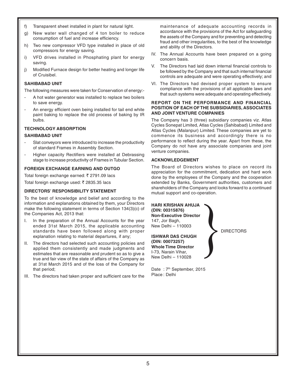- f) Transparent sheet installed in plant for natural light.
- g) New water wall changed of 4 ton boiler to reduce consumption of fuel and increase efficiency.
- h) Two new compressor VFD type installed in place of old compressors for energy saving.
- i) VFD drives installed in Phosphating plant for energy saving.
- j) Modified Furnace design for better heating and longer life of Cruisibel.

#### **SAHIBABAD UNIT**

The following measures were taken for Conservation of energy:-

- A hot water generator was installed to replace two boilers to save energy.
- An energy efficient oven being installed for tail end white paint baking to replace the old process of baking by IR bulbs.

# **TECHNOLOGY ABSORPTION**

#### **SAHIBABAD UNIT**

- Slat conveyors were introduced to increase the productivity of standard Frames in Assembly Section.
- Higher capacity Rectifiers were installed at Debrassing stage to increase productivity of Frames in Tubular Section.

# **FOREIGN EXCHANGE EARNING AND OUTGO**

Total foreign exchange earned: ₹ 2791.09 lacs

Total foreign exchange used: ₹ 2835.35 lacs

# **DIRECTORS' RESPONSIBILITY STATEMENT**

To the best of knowledge and belief and according to the information and explanations obtained by them, your Directors make the following statement in terms of Section 134(3)(c) of the Companies Act, 2013 that:

- I. In the preparation of the Annual Accounts for the year ended 31st March 2015, the applicable accounting standards have been followed along with proper explanation relating to material departures, if any;
- II. The directors had selected such accounting policies and applied them consistently and made judgments and estimates that are reasonable and prudent so as to give a true and fair view of the state of affairs of the Company as at 31st March 2015 and of the loss of the Company for that period;
- III. The directors had taken proper and sufficient care for the

maintenance of adequate accounting records in accordance with the provisions of the Act for safeguarding the assets of the Company and for preventing and detecting fraud and other irregularities, to the best of the knowledge and ability of the Directors.

- IV. The Annual Accounts have been prepared on a going concern basis.
- V. The Directors had laid down internal financial controls to be followed by the Company and that such internal financial controls are adequate and were operating effectively; and
- VI. The Directors had devised proper system to ensure compliance with the provisions of all applicable laws and that such systems were adequate and operating effectively.

#### **REPORT ON THE PERFORMANCE AND FINANCIAL POSITION OF EACH OF THE SUBSIDIARIES, ASSOCIATES AND JOINT VENTURE COMPANIES**

The Company has 3 (three) subsidiary companies viz. Atlas Cycles Sonepat Limited, Atlas Cycles (Sahibabad) Limited and Atlas Cycles (Malanpur) Limited. These companies are yet to commence its business and accordingly there is no performance to reflect during the year. Apart from these, the Company do not have any associate companies and joint venture companies.

#### **ACKNOWLEDGEMENT**

The Board of Directors wishes to place on record its appreciation for the commitment, dedication and hard work done by the employees of the Company and the cooperation extended by Banks, Government authorities, customers and shareholders of the Company and looks forward to a continued mutual support and co-operation.



Date: 7<sup>th</sup> September, 2015 Place : Delhi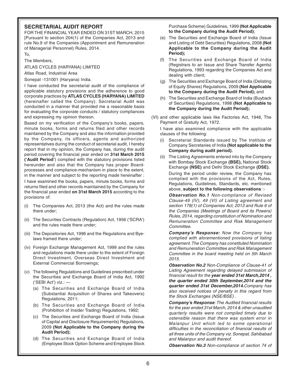# **SECRETARIAL AUDIT REPORT**

FOR THE FINANCIAL YEAR ENDED ON 31ST MARCH, 2015 [Pursuant to section 204(1) of the Companies Act, 2013 and rule No.9 of the Companies (Appointment and Remuneration of Managerial Personnel) Rules, 2014.

To,

The Members,

ATLAS CYCLES (HARYANA) LIMITED

Atlas Road, Industrial Area

Sonepat -131001 (Haryana) India.

I have conducted the secretarial audit of the compliance of applicable statutory provisions and the adherence to good corporate practices by **ATLAS CYCLES (HARYANA) LIMITED** (hereinafter called the Company). Secretarial Audit was conducted in a manner that provided me a reasonable basis for evaluating the corporate conducts / statutory compliances and expressing my opinion thereon.

Based on my verification of the Company's books, papers, minute books, forms and returns filed and other records maintained by the Company and also the information provided by the Company, its officers, agents and authorized representatives during the conduct of secretarial audit, I hereby report that in my opinion, the Company has, during the audit period covering the financial year ended on **31st March 2015 ('Audit Period'**) complied with the statutory provisions listed hereunder and also that the Company has proper Boardprocesses and compliance-mechanism in place to the extent, in the manner and subject to the reporting made hereinafter : I have examined the books, papers, minute books, forms and returns filed and other records maintained by the Company for the financial year ended **on 31st March 2015** according to the provisions of:

- (i) The Companies Act, 2013 (the Act) and the rules made there under;
- (ii) The Securities Contracts (Regulation) Act, 1956 ('SCRA') and the rules made there under;
- (iii) The Depositories Act, 1996 and the Regulations and Byelaws framed there under;
- (iv) Foreign Exchange Management Act, 1999 and the rules and regulations made there under to the extent of Foreign Direct Investment, Overseas Direct Investment and External Commercial Borrowings;
- (v) The following Regulations and Guidelines prescribed under the Securities and Exchange Board of India Act, 1992 ('SEBI Act') viz.: —
	- (a) The Securities and Exchange Board of India (Substantial Acquisition of Shares and Takeovers) Regulations, 2011;
	- (b) The Securities and Exchange Board of India (Prohibition of Insider Trading) Regulations, 1992;
	- (c) The Securities and Exchange Board of India (Issue of Capital and Disclosure Requirements) Regulations, 2009 **(Not Applicable to the Company during the Audit Period);**
	- (d) The Securities and Exchange Board of India (Employee Stock Option Scheme and Employee Stock

Purchase Scheme) Guidelines, 1999 **(Not Applicable to the Company during the Audit Period)**;

- (e) The Securities and Exchange Board of India (Issue and Listing of Debt Securities) Regulations, 2008 **(Not Applicable to the Company during the Audit Period);**
- (f) The Securities and Exchange Board of India (Registrars to an Issue and Share Transfer Agents) Regulations, 1993 regarding the Companies Act and dealing with client;
- (g) The Securities and Exchange Board of India (Delisting of Equity Shares) Regulations, 2009 **(Not Applicable to the Company during the Audit Period);** and
- (h) The Securities and Exchange Board of India (Buyback of Securities) Regulations, 1998 **(Not Applicable to the Company during the Audit Period);**
- (VI) and other applicable laws like Factories Act, 1948, The Payment of Gratuity Act, 1972.

I have also examined compliance with the applicable clauses of the following:

- (i) Secretarial Standards issued by The Institute of Company Secretaries of India **(Not applicable to the Company during audit period).**
- (ii) The Listing Agreements entered into by the Company with Bombay Stock Exchange **(BSE),** National Stock Exchange **(NSE)** and Delhi Stock Exchange **(DSE).**

During the period under review, the Company has complied with the provisions of the Act, Rules, Regulations, Guidelines, Standards, etc. mentioned above, **subject to the following observations** :-

**Observation No.1** Non-compliance of Revised Clause-49 (IV), 49 (VI) of Listing agreement and section 178(1) of Companies Act, 2013 and Rule 6 of the Companies (Meetings of Board and its Powers) Rules, 2014, regarding constitution of Nomination and Remuneration Committee and Risk Management Committee.

**Company's Response:** Now the Company has complied with aforementioned provisions of listing agreement. The Company has constituted Nomination and Remuneration Committee and Risk Management Committee in the board meeting held on 5th March 2015.

**Observation No.2** Non-Compliance of Clause-41 of Listing Agreement regarding delayed submission of financial result for the **year ended 31st March,2014 , the quarter ended 30th September,2014 and the quarter ended 31st December,2014.**Company has also received notices of penalty in this regard from the Stock Exchanges (NSE/BSE) .

**Company's Response**: The Audited financial results for the year ended 31st March, 2014 & other unaudited quarterly results were not compiled timely due to ostensible reason that there was system error in Malanpur Unit which led to some operational difficulties in the reconciliation of financial results of all three units of the Company viz. Sonepat, Sahibabad and Malanpur and audit thereof.

**Observation No.3** Non-compliance of section 74 of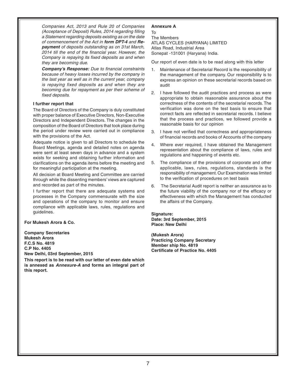Companies Act, 2013 and Rule 20 of Companies (Acceptance of Deposit) Rules, 2014 regarding filling a Statement regarding deposits existing as on the date of commencement of the Act in **form DPT-4** and **Repayment** of deposits outstanding as on 31st March, 2014 till the end of the financial year. However, the Company is repaying its fixed deposits as and when they are becoming due.

**Company's Response:** Due to financial constraints because of heavy losses incurred by the company in the last year as well as in the current year, company is repaying fixed deposits as and when they are becoming due for repayment as per their scheme of fixed deposits.

#### **I further report that**

The Board of Directors of the Company is duly constituted with proper balance of Executive Directors, Non-Executive Directors and Independent Directors. The changes in the composition of the Board of Directors that took place during the period under review were carried out in compliance with the provisions of the Act.

Adequate notice is given to all Directors to schedule the Board Meetings, agenda and detailed notes on agenda were sent at least seven days in advance and a system exists for seeking and obtaining further information and clarifications on the agenda items before the meeting and for meaningful participation at the meeting.

All decision at Board Meeting and Committee are carried through while the dissenting members' views are captured and recorded as part of the minutes.

I further report that there are adequate systems and processes in the Company commensurate with the size and operations of the company to monitor and ensure compliance with applicable laws, rules, regulations and guidelines.

#### **For Mukesh Arora & Co.**

**Company Secretaries Mukesh Arora F.C.S No. 4819 C.P No. 4405 New Delhi, 03rd September, 2015**

**This report is to be read with our letter of even date which is annexed as Annexure-A and forms an integral part of this report.**

#### **Annexure A**

To The Members ATLAS CYCLES (HARYANA) LIMITED Atlas Road, Industrial Area Sonepat -131001 (Haryana) India.

Our report of even date is to be read along with this letter

- 1. Maintenance of Secretarial Record is the responsibility of the management of the company. Our responsibility is to express an opinion on these secretarial records based on audit
- 2. I have followed the audit practices and process as were appropriate to obtain reasonable assurance about the correctness of the contents of the secretarial records. The verification was done on the test basis to ensure that correct facts are reflected in secretarial records. I believe that the process and practices, we followed provide a reasonable basis for our opinion
- 3. I have not verified that correctness and appropriateness of financial records and books of Accounts of the company
- 4. Where ever required, I have obtained the Management representation about the compliance of laws, rules and regulations and happening of events etc.
- 5. The compliance of the provisions of corporate and other applicable, laws, rules, regulations, standards is the responsibility of management. Our Examination was limited to the verification of procedures on test basis
- 6. The Secretarial Audit report is neither an assurance as to the future viability of the company nor of the efficacy or effectiveness with which the Management has conducted the affairs of the Company.

**Signature: Date: 3rd September, 2015 Place: New Delhi**

**(Mukesh Arora) Practicing Company Secretary Member ship No. 4819 Certificate of Practice No. 4405**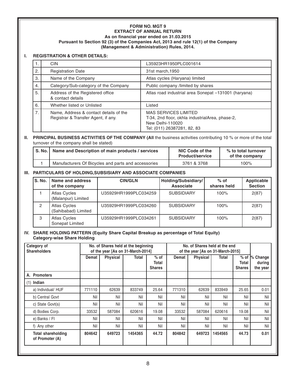#### **FORM NO. MGT 9 EXTRACT OF ANNUAL RETURN As on financial year ended on 31.03.2015 Pursuant to Section 92 (3) of the Companies Act, 2013 and rule 12(1) of the Company (Management & Administration) Rules, 2014.**

# **I. REGISTRATION & OTHER DETAILS:**

|    | <b>CIN</b>                                                                    | L35923HR1950PLC001614                                                                                                             |
|----|-------------------------------------------------------------------------------|-----------------------------------------------------------------------------------------------------------------------------------|
| 2. | <b>Registration Date</b>                                                      | 31st march, 1950                                                                                                                  |
| 3. | Name of the Company                                                           | Atlas cycles (Haryana) limited                                                                                                    |
| 4. | Category/Sub-category of the Company                                          | Public company /limited by shares                                                                                                 |
| 5. | Address of the Registered office<br>& contact details                         | Atlas road industrial area Sonepat -131001 (haryana)                                                                              |
| 6. | Whether listed or Unlisted                                                    | Listed                                                                                                                            |
| 7. | Name, Address & contact details of the<br>Registrar & Transfer Agent, if any. | <b>MAS SERVICES LIMITED</b><br>T-34, 2nd floor, okhla industrialArea, phase-2,<br>New Delhi-110020<br>Tel: (011) 26387281, 82, 83 |

#### **II. PRINCIPAL BUSINESS ACTIVITIES OF THE COMPANY (All** the business activities contributing 10 % or more of the total turnover of the company shall be stated)

| S. No. I | Name and Description of main products / services    | NIC Code of the<br><b>Product/service</b> | % to total turnover<br>of the company |
|----------|-----------------------------------------------------|-------------------------------------------|---------------------------------------|
|          | Manufacturers Of Bicycles and parts and accessories | 3761 & 3768                               | 100%                                  |

#### **III. PARTICULARS OF HOLDING,SUBSISIARY AND ASSOCIATE COMPANIES**

| S. No. | Name and address<br>of the company         | <b>CIN/GLN</b>        |                   | Holding/Subsidiary/<br>$%$ of<br>shares held | <b>Applicable</b><br><b>Section</b> |
|--------|--------------------------------------------|-----------------------|-------------------|----------------------------------------------|-------------------------------------|
|        | <b>Atlas Cycles</b><br>(Malanpur) Limited  | U35929HR1999PLC034259 | <b>SUBSIDIARY</b> | 100%                                         | 2(87)                               |
| 2      | <b>Atlas Cycles</b><br>(Sahibabad) Limited | U35929HR1999PLC034260 | <b>SUBSIDIARY</b> | 100%                                         | 2(87)                               |
| 3      | <b>Atlas Cycles</b><br>Sonepat Limited     | U35929HR1999PLC034261 | <b>SUBSIDIARY</b> | 100%                                         | 2(87)                               |

#### **IV. SHARE HOLDING PATTERN (Equity Share Capital Breakup as percentage of Total Equity) Category-wise Share Holding**

| Category of<br><b>Shareholders</b>           |              | No. of Shares held at the beginning<br>of the year [As on 31-March-2014] |              | No. of Shares held at the end<br>of the year [As on 31-March-2015] |        |          |              |                                  |                                |
|----------------------------------------------|--------------|--------------------------------------------------------------------------|--------------|--------------------------------------------------------------------|--------|----------|--------------|----------------------------------|--------------------------------|
|                                              | <b>Demat</b> | <b>Physical</b>                                                          | <b>Total</b> | $%$ of<br>Total<br><b>Shares</b>                                   | Demat  | Physical | <b>Total</b> | $%$ of<br>Total<br><b>Shares</b> | % Change<br>during<br>the year |
| A. Promoters                                 |              |                                                                          |              |                                                                    |        |          |              |                                  |                                |
| $(1)$ Indian                                 |              |                                                                          |              |                                                                    |        |          |              |                                  |                                |
| a) Individual/ HUF                           | 771110       | 62639                                                                    | 833749       | 25.64                                                              | 771310 | 62639    | 833949       | 25.65                            | 0.01                           |
| b) Central Govt                              | Nil          | Nil                                                                      | Nil          | Nil                                                                | Nil    | Nil      | Nil          | Nil                              | Nil                            |
| c) State Govt(s)                             | Nil          | Nil                                                                      | Nil          | Nil                                                                | Nil    | Nil      | Nil          | Nil                              | Nil                            |
| d) Bodies Corp.                              | 33532        | 587084                                                                   | 620616       | 19.08                                                              | 33532  | 587084   | 620616       | 19.08                            | Nil                            |
| e) Banks / Fl                                | Nil          | Nil                                                                      | Nil          | Nil                                                                | Nil    | Nil      | Nil          | Nil                              | Nil                            |
| f) Any other                                 | Nil          | Nil                                                                      | Nil          | Nil                                                                | Nil    | Nil      | Nil          | Nil                              | Nil                            |
| <b>Total shareholding</b><br>of Promoter (A) | 804642       | 649723                                                                   | 1454365      | 44.72                                                              | 804842 | 649723   | 1454565      | 44.73                            | 0.01                           |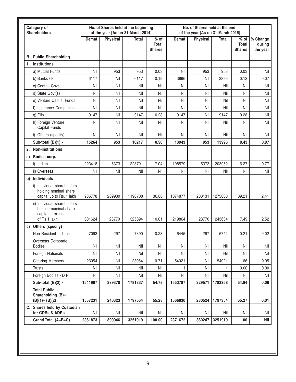| Category of<br><b>Shareholders</b>                                                        |         | No. of Shares held at the beginning<br>of the year [As on 31-March-2014] |              |                                         |         | No. of Shares held at the end<br>of the year [As on 31-March-2015] |              |                                         |                                |
|-------------------------------------------------------------------------------------------|---------|--------------------------------------------------------------------------|--------------|-----------------------------------------|---------|--------------------------------------------------------------------|--------------|-----------------------------------------|--------------------------------|
|                                                                                           | Demat   | <b>Physical</b>                                                          | <b>Total</b> | $%$ of<br><b>Total</b><br><b>Shares</b> | Demat   | <b>Physical</b>                                                    | <b>Total</b> | $%$ of<br><b>Total</b><br><b>Shares</b> | % Change<br>during<br>the year |
| <b>B.</b> Public Shareholding                                                             |         |                                                                          |              |                                         |         |                                                                    |              |                                         |                                |
| 1. Institutions                                                                           |         |                                                                          |              |                                         |         |                                                                    |              |                                         |                                |
| a) Mutual Funds                                                                           | Nil     | 953                                                                      | 953          | 0.03                                    | Nil     | 953                                                                | 953          | 0.03                                    | Nil                            |
| b) Banks / Fl                                                                             | 6117    | Nil                                                                      | 6117         | 0.19                                    | 3896    | Nil                                                                | 3896         | 0.12                                    | 0.07                           |
| c) Central Govt                                                                           | Nil     | Nil                                                                      | Nil          | Nil                                     | Nil     | Nil                                                                | Nil          | Nil                                     | Nil                            |
| d) State Govt(s)                                                                          | Nil     | Nil                                                                      | Nil          | Nil                                     | Nil     | Nil                                                                | Nil          | Nil                                     | Nil                            |
| e) Venture Capital Funds                                                                  | Nil     | Nil                                                                      | Nil          | Nil                                     | Nil     | Nil                                                                | Nil          | Nil                                     | Nil                            |
| f) Insurance Companies                                                                    | Nil     | Nil                                                                      | Nil          | Nil                                     | Nil     | Nil                                                                | Nil          | Nil                                     | Nil                            |
| g) Flls                                                                                   | 9147    | Nil                                                                      | 9147         | 0.28                                    | 9147    | Nil                                                                | 9147         | 0.28                                    | Nil                            |
| h) Foreign Venture<br>Capital Funds                                                       | Nil     | Nil                                                                      | Nil          | Nil                                     | Nil     | Nil                                                                | Nil          | Nil                                     | Nil                            |
| i) Others (specify)                                                                       | Nil     | Nil                                                                      | Nil          | Nil                                     | Nil     | Nil                                                                | Nil          | Nil                                     | Nil                            |
| Sub-total (B)(1):-                                                                        | 15264   | 953                                                                      | 16217        | 0.50                                    | 13043   | 953                                                                | 13996        | 0.43                                    | 0.07                           |
| 2. Non-Institutions                                                                       |         |                                                                          |              |                                         |         |                                                                    |              |                                         |                                |
| Bodies corp.<br>a)                                                                        |         |                                                                          |              |                                         |         |                                                                    |              |                                         |                                |
| i) Indian                                                                                 | 223418  | 5373                                                                     | 228791       | 7.04                                    | 198579  | 5373                                                               | 203952       | 6.27                                    | 0.77                           |
| ii) Overseas                                                                              | Nil     | Nil                                                                      | Nil          | Nil                                     | Nil     | Nil                                                                | Nil          | Nil                                     | Nil                            |
| b) Individuals                                                                            |         |                                                                          |              |                                         |         |                                                                    |              |                                         |                                |
| i) Individual shareholders<br>holding nominal share<br>capital up to Rs. 1 lakh           | 986778  | 209930                                                                   | 1196708      | 36.80                                   | 1074877 | 200131                                                             | 1275008      | 39.21                                   | 2.41                           |
| ii) Individual shareholders<br>holding nominal share<br>capital in excess<br>of Rs 1 lakh | 301624  | 23770                                                                    | 325394       | 10.01                                   | 219864  | 23770                                                              | 243634       | 7.49                                    | 2.52                           |
| c) Others (specify)                                                                       |         |                                                                          |              |                                         |         |                                                                    |              |                                         |                                |
| Non Resident Indians                                                                      | 7093    | 297                                                                      | 7390         | 0.23                                    | 6445    | 297                                                                | 6742         | 0.21                                    | 0.02                           |
| Overseas Corporate<br><b>Bodies</b>                                                       | Nil     | Nil                                                                      | Nil          | Nil                                     | Nil     | Nil                                                                | Nil          | Nil                                     | Nil                            |
| Foreign Nationals                                                                         | Nil     | Nil                                                                      | Nil          | Nil                                     | Nil     | Nil                                                                | Nil          | Nil                                     | Nil                            |
| <b>Clearing Members</b>                                                                   | 23054   | Nil                                                                      | 23054        | 0.71                                    | 54021   | Nil                                                                | 54021        | 1.66                                    | 0.95                           |
| <b>Trusts</b>                                                                             | Nil     | Nil                                                                      | Nil          | Nil                                     | 1       | Nil                                                                | $\mathbf{1}$ | 0.00                                    | 0.00                           |
| Foreign Bodies - D R                                                                      | Nil     | Nil                                                                      | Nil          | Nil                                     | Nil     | Nil                                                                | Nil          | Nil                                     | Nil                            |
| Sub-total (B)(2):-                                                                        | 1541967 | 239370                                                                   | 1781337      | 54.78                                   | 1553787 | 229571                                                             | 1783358      | 54.84                                   | 0.06                           |
| <b>Total Public</b><br>Shareholding (B)=<br>$(B)(1)+(B)(2)$                               | 1557231 | 240323                                                                   | 1797554      | 55.28                                   | 1566830 | 230524                                                             | 1797354      | 55.27                                   | 0.01                           |
| C. Shares held by Custodian<br>for GDRs & ADRs                                            | Nil     | Nil                                                                      | Nil          | Nil                                     | Nil     | Nil                                                                | Nil          | Nil                                     | Nil                            |
| Grand Total (A+B+C)                                                                       | 2361873 | 890046                                                                   | 3251919      | 100.00                                  | 2371672 | 880247                                                             | 3251919      | 100                                     | Nil                            |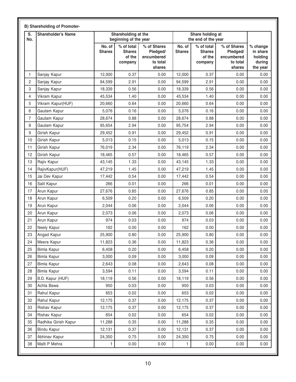| S.<br>No.      | <b>Shareholder's Name</b> |                         | Shareholding at the<br>beginning of the year     |                                                             |                         | Share holding at<br>the end of the year          |                                                             |                                                       |
|----------------|---------------------------|-------------------------|--------------------------------------------------|-------------------------------------------------------------|-------------------------|--------------------------------------------------|-------------------------------------------------------------|-------------------------------------------------------|
|                |                           | No. of<br><b>Shares</b> | % of total<br><b>Shares</b><br>of the<br>company | % of Shares<br>Pledged/<br>encumbered<br>to total<br>shares | No. of<br><b>Shares</b> | % of total<br><b>Shares</b><br>of the<br>company | % of Shares<br>Pledged/<br>encumbered<br>to total<br>shares | % change<br>in share<br>holding<br>during<br>the year |
| 1              | Sanjay Kapur              | 12,000                  | 0.37                                             | 0.00                                                        | 12,000                  | 0.37                                             | 0.00                                                        | 0.00                                                  |
| $\sqrt{2}$     | Sanjay Kapur              | 94,599                  | 2.91                                             | 0.00                                                        | 94,599                  | 2.91                                             | 0.00                                                        | 0.00                                                  |
| 3              | Sanjay Kapur              | 18,339                  | 0.56                                             | 0.00                                                        | 18,339                  | 0.56                                             | 0.00                                                        | 0.00                                                  |
| 4              | Vikram Kapur              | 45,534                  | 1.40                                             | 0.00                                                        | 45,534                  | 1.40                                             | 0.00                                                        | 0.00                                                  |
| 5              | Vikram Kapur(HUF)         | 20,660                  | 0.64                                             | 0.00                                                        | 20,660                  | 0.64                                             | 0.00                                                        | 0.00                                                  |
| 6              | Gautam Kapur              | 5,076                   | 0.16                                             | 0.00                                                        | 5,076                   | 0.16                                             | 0.00                                                        | 0.00                                                  |
| $\overline{7}$ | Gautam Kapur              | 28,674                  | 0.88                                             | 0.00                                                        | 28,674                  | 0.88                                             | 0.00                                                        | 0.00                                                  |
| 8              | Gautam Kapur              | 95,654                  | 2.94                                             | 0.00                                                        | 95,754                  | 2.94                                             | 0.00                                                        | 0.00                                                  |
| 9              | Girish Kapur              | 29,452                  | 0.91                                             | 0.00                                                        | 29,452                  | 0.91                                             | 0.00                                                        | 0.00                                                  |
| 10             | Girish Kapur              | 5,013                   | 0.15                                             | 0.00                                                        | 5,013                   | 0.15                                             | 0.00                                                        | 0.00                                                  |
| 11             | Girish Kapur              | 76,019                  | 2.34                                             | 0.00                                                        | 76,119                  | 2.34                                             | 0.00                                                        | 0.00                                                  |
| 12             | Girish Kapur              | 18,465                  | 0.57                                             | 0.00                                                        | 18,465                  | 0.57                                             | 0.00                                                        | 0.00                                                  |
| 13             | Rajiv Kapur               | 43,145                  | 1.33                                             | 0.00                                                        | 43,145                  | 1.33                                             | 0.00                                                        | 0.00                                                  |
| 14             | RajivKapur(HUF)           | 47,219                  | 1.45                                             | 0.00                                                        | 47,219                  | 1.45                                             | 0.00                                                        | 0.00                                                  |
| 15             | Jai Dev Kapur             | 17,442                  | 0.54                                             | 0.00                                                        | 17,442                  | 0.54                                             | 0.00                                                        | 0.00                                                  |
| 16             | Salil Kapur               | 266                     | 0.01                                             | 0.00                                                        | 266                     | 0.01                                             | 0.00                                                        | 0.00                                                  |
| 17             | Arun Kapur                | 27,676                  | 0.85                                             | 0.00                                                        | 27,676                  | 0.85                                             | 0.00                                                        | 0.00                                                  |
| 18             | Arun Kapur                | 6,509                   | 0.20                                             | 0.00                                                        | 6,509                   | 0.20                                             | 0.00                                                        | 0.00                                                  |
| 19             | Arun Kapur                | 2,044                   | 0.06                                             | 0.00                                                        | 2,044                   | 0.06                                             | 0.00                                                        | 0.00                                                  |
| 20             | Arun Kapur                | 2,073                   | 0.06                                             | 0.00                                                        | 2,073                   | 0.06                                             | 0.00                                                        | 0.00                                                  |
| 21             | Arun Kapur                | 974                     | 0.03                                             | 0.00                                                        | 974                     | 0.03                                             | 0.00                                                        | 0.00                                                  |
| 22             | Neely Kapur               | 162                     | 0.00                                             | 0.00                                                        | 162                     | 0.00                                             | 0.00                                                        | 0.00                                                  |
| 23             | Angad Kapur               | 25,900                  | 0.80                                             | 0.00                                                        | 25,900                  | 0.80                                             | 0.00                                                        | 0.00                                                  |
| 24             | Meera Kapur               | 11,823                  | 0.36                                             | 0.00                                                        | 11,823                  | 0.36                                             | 0.00                                                        | 0.00                                                  |
| 25             | Bimla Kapur               | 6,458                   | 0.20                                             | 0.00                                                        | 6,458                   | 0.20                                             | 0.00                                                        | 0.00                                                  |
| 26             | Bimla Kapur               | 3,000                   | 0.09                                             | 0.00                                                        | 3,000                   | 0.09                                             | 0.00                                                        | 0.00                                                  |
| 27             | Bimla Kapur               | 2,643                   | 0.08                                             | 0.00                                                        | 2,643                   | 0.08                                             | 0.00                                                        | 0.00                                                  |
| 28             | Bimla Kapur               | 3,594                   | 0.11                                             | 0.00                                                        | 3,594                   | 0.11                                             | 0.00                                                        | 0.00                                                  |
| 29             | B.D. Kapur (HUF)          | 18,119                  | 0.56                                             | 0.00                                                        | 18,119                  | 0.56                                             | 0.00                                                        | 0.00                                                  |
| 30             | Achla Bawa                | 950                     | 0.03                                             | 0.00                                                        | 950                     | 0.03                                             | 0.00                                                        | 0.00                                                  |
| 31             | Rahul Kapur               | 653                     | 0.02                                             | 0.00                                                        | 653                     | 0.02                                             | 0.00                                                        | 0.00                                                  |
| 32             | Rahul Kapur               | 12,175                  | 0.37                                             | 0.00                                                        | 12,175                  | 0.37                                             | 0.00                                                        | 0.00                                                  |
| 33             | Rishav Kapur              | 12,175                  | 0.37                                             | 0.00                                                        | 12,175                  | 0.37                                             | 0.00                                                        | 0.00                                                  |
| 34             | Rishav Kapur              | 654                     | 0.02                                             | 0.00                                                        | 654                     | 0.02                                             | 0.00                                                        | 0.00                                                  |
| 35             | Radhika Girish Kapur      | 11,288                  | 0.35                                             | 0.00                                                        | 11,288                  | 0.35                                             | 0.00                                                        | 0.00                                                  |
| 36             | Bindu Kapur               | 12,131                  | 0.37                                             | 0.00                                                        | 12,131                  | 0.37                                             | 0.00                                                        | 0.00                                                  |
| 37             | Abhinav Kapur             | 24,350                  | 0.75                                             | 0.00                                                        | 24,350                  | 0.75                                             | 0.00                                                        | 0.00                                                  |
| 38             | Malti P Mehra             | 1.                      | 0.00                                             | 0.00                                                        | 1.                      | 0.00                                             | 0.00                                                        | 0.00                                                  |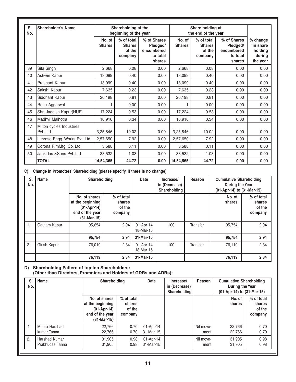| S.<br>No. | <b>Shareholder's Name</b>             |                         | Shareholding at the<br>beginning of the year     |                                                             |                         | Share holding at<br>the end of the year          |                                                             |                                                       |
|-----------|---------------------------------------|-------------------------|--------------------------------------------------|-------------------------------------------------------------|-------------------------|--------------------------------------------------|-------------------------------------------------------------|-------------------------------------------------------|
|           |                                       | No. of<br><b>Shares</b> | % of total<br><b>Shares</b><br>of the<br>company | % of Shares<br>Pledged/<br>encumbered<br>to total<br>shares | No. of<br><b>Shares</b> | % of total<br><b>Shares</b><br>of the<br>company | % of Shares<br>Pledged/<br>encumbered<br>to total<br>shares | % change<br>in share<br>holding<br>during<br>the year |
| 39        | Sita Singh                            | 2,668                   | 0.08                                             | 0.00                                                        | 2,668                   | 0.08                                             | 0.00                                                        | 0.00                                                  |
| 40        | Ashwin Kapur                          | 13,099                  | 0.40                                             | 0.00                                                        | 13,099                  | 0.40                                             | 0.00                                                        | 0.00                                                  |
| 41        | Prashant Kapur                        | 13,099                  | 0.40                                             | 0.00                                                        | 13,099                  | 0.40                                             | 0.00                                                        | 0.00                                                  |
| 42        | Sakshi Kapur                          | 7,635                   | 0.23                                             | 0.00                                                        | 7,635                   | 0.23                                             | 0.00                                                        | 0.00                                                  |
| 43        | Siddhant Kapur                        | 26,198                  | 0.81                                             | 0.00                                                        | 26,198                  | 0.81                                             | 0.00                                                        | 0.00                                                  |
| 44        | Renu Aggarwal                         | 1                       | 0.00                                             | 0.00                                                        |                         | 0.00                                             | 0.00                                                        | 0.00                                                  |
| 45        | Shri Jagdish Kapur(HUF)               | 17,224                  | 0.53                                             | 0.00                                                        | 17,224                  | 0.53                                             | 0.00                                                        | 0.00                                                  |
| 46        | Madhvi Malhotra                       | 10,916                  | 0.34                                             | 0.00                                                        | 10,916                  | 0.34                                             | 0.00                                                        | 0.00                                                  |
| 47        | Milton cycles Industries<br>Pvt. Ltd. | 3,25,846                | 10.02                                            | 0.00                                                        | 3,25,846                | 10.02                                            | 0.00                                                        | 0.00                                                  |
| 48        | Limrose Engg. Works Pvt. Ltd.         | 2,57,650                | 7.92                                             | 0.00                                                        | 2,57,650                | 7.92                                             | 0.00                                                        | 0.00                                                  |
| 49        | Corona RimMfg. Co. Ltd                | 3,588                   | 0.11                                             | 0.00                                                        | 3,588                   | 0.11                                             | 0.00                                                        | 0.00                                                  |
| 50        | Jankidas & Sons Pyt. Ltd              | 33,532                  | 1.03                                             | 0.00                                                        | 33,532                  | 1.03                                             | 0.00                                                        | 0.00                                                  |
|           | <b>TOTAL</b>                          | 14,54,365               | 44.72                                            | 0.00                                                        | 14,54,565               | 44.72                                            | 0.00                                                        | 0.00                                                  |

**C) Change in Promoters' Shareholding (please specify, if there is no change)**

| S.<br>No. | Name         | Shareholding                                                                           |                                           | Date                   | Increase/<br>in (Decrease)<br>Shareholding | Reason          | <b>Cumulative Shareholding</b><br>During the Year<br>(01-Apr-14) to (31-Mar-15) |                                           |
|-----------|--------------|----------------------------------------------------------------------------------------|-------------------------------------------|------------------------|--------------------------------------------|-----------------|---------------------------------------------------------------------------------|-------------------------------------------|
|           |              | No. of shares<br>at the beginning<br>$(01-Apr-14)$<br>end of the year<br>$(31-Mar-15)$ | % of total<br>shares<br>of the<br>company |                        |                                            |                 | No. of<br>shares                                                                | % of total<br>shares<br>of the<br>company |
| 1.        | Gautam Kapur | 95,654                                                                                 | 2.94                                      | 01-Apr-14<br>18-Mar-15 | 100                                        | <b>Transfer</b> | 95,754                                                                          | 2.94                                      |
|           |              | 95,754                                                                                 | 2.94                                      | 31-Mar-15              |                                            |                 | 95,754                                                                          | 2.94                                      |
| 2.        | Girish Kapur | 76.019                                                                                 | 2.34                                      | 01-Apr-14<br>18-Mar-15 | 100                                        | <b>Transfer</b> | 76.119                                                                          | 2.34                                      |
|           |              | 76,119                                                                                 | 2.34                                      | 31-Mar-15              |                                            |                 | 76,119                                                                          | 2.34                                      |

# **D) Shareholding Pattern of top ten Shareholders: (Other than Directors, Promoters and Holders of GDRs and ADRs):**

| S.<br>No. | Name                             | <b>Shareholding</b>                                                                    |                                           | Date                   | Increase/<br>in (Decrease)<br>Shareholding | Reason            | <b>Cumulative Shareholding</b><br>During the Year<br>(01-Apr-14) to (31-Mar-15) |                                           |
|-----------|----------------------------------|----------------------------------------------------------------------------------------|-------------------------------------------|------------------------|--------------------------------------------|-------------------|---------------------------------------------------------------------------------|-------------------------------------------|
|           |                                  | No. of shares<br>at the beginning<br>$(01-Apr-14)$<br>end of the year<br>$(31-Mar-15)$ | % of total<br>shares<br>of the<br>company |                        |                                            |                   | No. of<br>shares                                                                | % of total<br>shares<br>of the<br>company |
|           | Meera Harshad<br>kumar Tanna     | 22,766<br>22.766                                                                       | 0.70<br>0.70                              | 01-Apr-14<br>31-Mar-15 |                                            | Nil move-<br>ment | 22,766<br>22,766                                                                | 0.70<br>0.70                              |
| 2.        | Harshad Kumar<br>Prabhudas Tanna | 31,905<br>31.905                                                                       | 0.98<br>0.98                              | 01-Apr-14<br>31-Mar-15 |                                            | Nil move-<br>ment | 31,905<br>31,905                                                                | 0.98<br>0.98                              |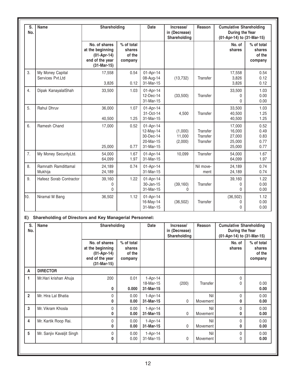| S.<br>No. | <b>Name</b>                          | Shareholding                                                                           |                                           | <b>Date</b>                                                   | Increase/<br>in (Decrease)<br>Shareholding | Reason                                  | <b>Cumulative Shareholding</b><br><b>During the Year</b><br>(01-Apr-14) to (31-Mar-15) |                                           |  |
|-----------|--------------------------------------|----------------------------------------------------------------------------------------|-------------------------------------------|---------------------------------------------------------------|--------------------------------------------|-----------------------------------------|----------------------------------------------------------------------------------------|-------------------------------------------|--|
|           |                                      | No. of shares<br>at the beginning<br>$(01-Apr-14)$<br>end of the year<br>$(31-Mar-15)$ | % of total<br>shares<br>of the<br>company |                                                               |                                            |                                         | No. of<br>shares                                                                       | % of total<br>shares<br>of the<br>company |  |
| 3.        | My Money Capital<br>Services Pvt.Ltd | 17,558<br>3,826                                                                        | 0.54<br>0.12                              | 01-Apr-14<br>08-Aug-14<br>31-Mar-15                           | (13, 732)                                  | Transfer                                | 17,558<br>3,826<br>3,826                                                               | 0.54<br>0.12<br>0.12                      |  |
| 4.        | Dipak KanayalalShah                  | 33,500                                                                                 | 1.03                                      | 01-Apr-14<br>12-Dec-14<br>31-Mar-15                           | (33,500)                                   | Transfer                                | 33,500<br>0<br>0                                                                       | 1.03<br>0.00<br>0.00                      |  |
| 5.        | Rahul Dhruv                          | 36,000<br>40,500                                                                       | 1.07<br>1.25                              | 01-Apr-14<br>31-Oct-14<br>31-Mar-15                           | 4.500                                      | Transfer                                | 33,500<br>40,500<br>40,500                                                             | 1.03<br>1.25<br>1.25                      |  |
| 6.        | Ramesh Chand                         | 17,000<br>25,000                                                                       | 0.52<br>0.77                              | 01-Apr-14<br>12-May-14<br>30-Dec-14<br>20-Mar-15<br>31-Mar-15 | (1,000)<br>11,000<br>(2,000)               | Transfer<br>Transfer<br><b>Transfer</b> | 17,000<br>16,000<br>27,000<br>25,000<br>25,000                                         | 0.52<br>0.49<br>0.83<br>0.77<br>0.77      |  |
| 7.        | My Money SecurityLtd.                | 54,000<br>64,099                                                                       | 1.67<br>1.97                              | 01-Apr-14<br>31-Mar-15                                        | 10,099                                     | <b>Transfer</b>                         | 54,000<br>64,099                                                                       | 1.67<br>1.97                              |  |
| 8.        | Ramnath Ramdittamal<br>Mukhija       | 24,189<br>24,189                                                                       | 0.74                                      | 01-Apr-14<br>31-Mar-15                                        |                                            | Nil move-<br>ment                       | 24,189<br>24,189                                                                       | 0.74<br>0.74                              |  |
| 9.        | Hafeez Sorab Contractor              | 39,160<br>0<br>0                                                                       | 1.22                                      | 01-Apr-14<br>30-Jan-15<br>31-Mar-15                           | (39, 160)<br>$\mathbf{0}$                  | Transfer                                | 39,160<br>0<br>$\mathbf{0}$                                                            | 1.22<br>0.00<br>0.00                      |  |
| hо.       | Niramal M Bang                       | 36,502                                                                                 | 1.12                                      | 01-Apr-14<br>16-May-14<br>31-Mar-15                           | (36,502)                                   | Transfer                                | (36, 502)<br>0<br>0                                                                    | 1.12<br>0.00<br>0.00                      |  |

# **E) Shareholding of Directors and Key Managerial Personnel:**

| S.<br>No.      | <b>Name</b>               | Shareholding                                                                           |                                           | <b>Date</b>                          | Increase/<br>in (Decrease)<br>Shareholding | Reason          | <b>Cumulative Shareholding</b><br>During the Year<br>(01-Apr-14) to (31-Mar-15) |                                           |
|----------------|---------------------------|----------------------------------------------------------------------------------------|-------------------------------------------|--------------------------------------|--------------------------------------------|-----------------|---------------------------------------------------------------------------------|-------------------------------------------|
|                |                           | No. of shares<br>at the beginning<br>$(01-Apr-14)$<br>end of the year<br>$(31-Mar-15)$ | % of total<br>shares<br>of the<br>company |                                      |                                            |                 | No. of<br>shares                                                                | % of total<br>shares<br>of the<br>company |
| Α              | <b>DIRECTOR</b>           |                                                                                        |                                           |                                      |                                            |                 |                                                                                 |                                           |
| $\mathbf{1}$   | Mr.Hari krishan Ahuja     | 200<br>0                                                                               | 0.01<br>0.000                             | $1-Apr-14$<br>18-Mar-15<br>31-Mar-15 | (200)                                      | Transfer        | $\Omega$<br>0                                                                   | 0.00<br>0.00                              |
| $\overline{2}$ | Mr. Hira Lal Bhatia       | $\mathbf{0}$<br>0                                                                      | 0.00<br>0.00                              | $1-Apr-14$<br>31-Mar-15              | 0                                          | Nil<br>Movement | $\mathbf{0}$<br>0                                                               | 0.00<br>0.00                              |
| 3              | Mr. Vikram Khosla         | 0<br>0                                                                                 | 0.00<br>0.00                              | $1-Apr-14$<br>31-Mar-15              | $\mathbf{0}$                               | Nil<br>Movement | $\mathbf{0}$<br>0                                                               | 0.00<br>0.00                              |
| 4              | Mr. Kartik Roop Rai.      | $\mathbf{0}$<br>0                                                                      | 0.00<br>0.00                              | $1-Apr-14$<br>31-Mar-15              | 0                                          | Nil<br>Movement | $\mathbf{0}$<br>0                                                               | 0.00<br>0.00                              |
| 5              | Mr. Sanjiv Kavaljit Singh | $\mathbf{0}$<br>0                                                                      | 0.00<br>0.00                              | $1-Apr-14$<br>31-Mar-15              | 0                                          | Nil<br>Movement | $\mathbf{0}$<br>0                                                               | 0.00<br>0.00                              |
|                |                           |                                                                                        |                                           |                                      |                                            |                 |                                                                                 |                                           |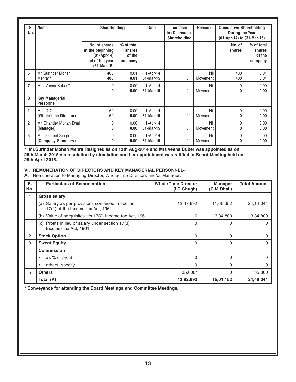| S.<br>No.      | <b>Name</b>                               | Shareholding                                                                           |                                           | <b>Date</b>             | Increase/<br>in (Decrease)<br><b>Shareholding</b> | Reason          | <b>Cumulative Shareholding</b><br>During the Year<br>(01-Apr-14) to (31-Mar-15) |                                           |
|----------------|-------------------------------------------|----------------------------------------------------------------------------------------|-------------------------------------------|-------------------------|---------------------------------------------------|-----------------|---------------------------------------------------------------------------------|-------------------------------------------|
|                |                                           | No. of shares<br>at the beginning<br>$(01-Apr-14)$<br>end of the year<br>$(31-Mar-15)$ | % of total<br>shares<br>of the<br>company |                         |                                                   |                 | No. of<br>shares                                                                | % of total<br>shares<br>of the<br>company |
| 6              | Mr. Surinder Mohan<br>Mehra**             | 400<br>400                                                                             | 0.01<br>0.01                              | $1-Apr-14$<br>31-Mar-15 | $\mathbf{0}$                                      | Nil<br>Movement | 400<br>400                                                                      | 0.01<br>0.01                              |
| $\overline{7}$ | Mrs. Veena Buber**                        | 0<br>0                                                                                 | 0.00<br>0.00                              | $1-Apr-14$<br>31-Mar-15 | $\mathbf{0}$                                      | Nil<br>Movement | $\Omega$<br>0                                                                   | 0.00<br>0.00                              |
| B              | <b>Key Managerial</b><br><b>Personnel</b> |                                                                                        |                                           |                         |                                                   |                 |                                                                                 |                                           |
| 1              | Mr. I.D Chugh<br>(Whole time Director)    | 60<br>60                                                                               | 0.00<br>0.00                              | $1-Apr-14$<br>31-Mar-15 | $\mathbf{0}$                                      | Nil<br>Movement | $\Omega$<br>0                                                                   | 0.00<br>0.00                              |
| $\overline{2}$ | Mr. Chander Mohan Dhall<br>(Manager)      | 0<br>0                                                                                 | 0.00<br>0.00                              | $1-Apr-14$<br>31-Mar-15 | $\mathbf{0}$                                      | Nil<br>Movement | $\Omega$<br>0                                                                   | 0.00<br>0.00                              |
| 3              | Mr. Jaspreet Singh<br>(Company Secretary) | 0<br>0                                                                                 | 0.00<br>0.00                              | $1-Apr-14$<br>31-Mar-15 | $\mathbf{0}$                                      | Nil<br>Movement | $\Omega$<br>0                                                                   | 0.00<br>0.00                              |

**\*\* Mr.Surinder Mohan Mehra Resigned as on 13th Aug-2014 and Mrs Veena Buber was appointed as on 26th March,2015 via resolution by circulation and her appointment was ratified in Board Meeting held on 29th April 2015.**

#### **VI. REMUNERATION OF DIRECTORS AND KEY MANAGERIAL PERSONNEL-**

**A.** Remuneration to Managing Director, Whole-time Directors and/or Manager:

| S.<br>No.      | <b>Particulars of Remuneration</b>                                                     | <b>Whole Time Director</b><br>(I.D Chugh) | <b>Manager</b><br>(C.M Dhall) | <b>Total Amount</b> |
|----------------|----------------------------------------------------------------------------------------|-------------------------------------------|-------------------------------|---------------------|
|                | <b>Gross salary</b>                                                                    |                                           |                               |                     |
|                | (a) Salary as per provisions contained in section<br>17(1) of the Income-tax Act, 1961 | 12,47,692                                 | 11,66,352                     | 24,14,044           |
|                | Value of perquisites u/s 17(2) Income-tax Act, 1961<br>(b)                             | 0                                         | 3,34,800                      | 3,34,800            |
|                | (c) Profits in lieu of salary under section 17(3)<br>Income- tax Act, 1961             | $\Omega$                                  | $\mathbf 0$                   | 0                   |
| $\overline{2}$ | <b>Stock Option</b>                                                                    | 0                                         | $\mathbf{0}$                  | 0                   |
| 3              | <b>Sweat Equity</b>                                                                    | $\Omega$                                  | 0                             | 0                   |
| 4              | <b>Commission</b>                                                                      |                                           |                               |                     |
|                | as % of profit<br>٠                                                                    | $\Omega$                                  | $\Omega$                      | 0                   |
|                | others, specify<br>$\bullet$                                                           | $\Omega$                                  | $\Omega$                      | $\Omega$            |
| 5              | <b>Others</b>                                                                          | 35,000*                                   | $\Omega$                      | 35,000              |
|                | Total (A)                                                                              | 12,82,692                                 | 15,01,152                     | 24,49,044           |

**\* Conveyance for attending the Board Meetings and Committee Meetings.**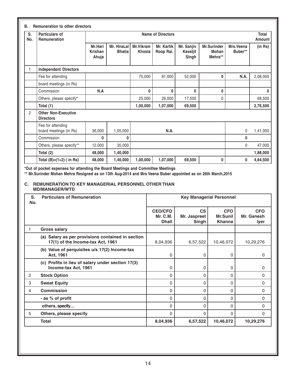| S.<br>No.      | Particulars of<br><b>Remuneration</b>          | <b>Name of Directors</b>           |                              |                      |                                |                                 |                                               |                      |          |
|----------------|------------------------------------------------|------------------------------------|------------------------------|----------------------|--------------------------------|---------------------------------|-----------------------------------------------|----------------------|----------|
|                |                                                | Mr.Hari<br><b>Krishan</b><br>Ahuja | Mr. HiraLal<br><b>Bhatia</b> | Mr. Vikram<br>Khosla | <b>Mr. Kartik</b><br>Roop Rai. | Mr. Sanjiv<br>Kavaljit<br>Singh | <b>Mr.Surinder</b><br><b>Mohan</b><br>Mehra** | Mrs.Veena<br>Buber** | (in Rs)  |
| 1              | <b>Independent Directors</b>                   |                                    |                              |                      |                                |                                 |                                               |                      |          |
|                | Fee for attending                              |                                    |                              | 75,000               | 81,000                         | 52,000                          | 0                                             | N.A.                 | 2,08,000 |
|                | board meetings (in Rs)                         |                                    |                              |                      |                                |                                 |                                               |                      |          |
|                | Commission                                     | N.A                                |                              | 0                    | $\mathbf{0}$                   | $\mathbf{0}$                    | 0                                             |                      | $\bf{0}$ |
|                | Others, please specify*                        |                                    |                              | 25,000               | 26,000                         | 17,500                          | 0                                             |                      | 68,500   |
|                | Total (1)                                      |                                    |                              | 1,00,000             | 1,07,000                       | 69,500                          |                                               |                      | 2,76,500 |
| $\overline{2}$ | <b>Other Non-Executive</b><br><b>Directors</b> |                                    |                              |                      |                                |                                 |                                               |                      |          |
|                | Fee for attending<br>board meetings (in Rs)    | 36,000                             | 1,05,000                     |                      | N.A.                           |                                 |                                               | 0                    | 1,41,000 |
|                | Commission                                     | 0                                  | 0                            |                      |                                |                                 |                                               | 0                    |          |
|                | Others, please specify**                       | 12,000                             | 35,000                       |                      |                                |                                 |                                               | $\mathbf{0}$         | 47,000   |
|                | Total (2)                                      | 48,000                             | 1,40,000                     |                      |                                |                                 |                                               |                      | 1,88,000 |
|                | Total $(B)=(1+2)$ (in Rs)                      | 48,000                             | 1,40,000                     | 1,00,000             | 1,07,000                       | 69,500                          | 0                                             | 0                    | 4,64,500 |

**\*Out of pocket expenses for attending the Board Meetings and Committee Meetings**

**\*\* Mr.Surinder Mohan Mehra Resigned as on 13th Aug-2014 and Mrs Veena Buber appointed as on 26th March,2015**

### **C. REMUNERATION TO KEY MANAGERIAL PERSONNEL OTHER THAN MD/MANAGER/WTD**

| S.<br>No.      | <b>Particulars of Remuneration</b>                                                     | <b>Key Managerial Personnel</b>            |                                    |                                         |                                         |
|----------------|----------------------------------------------------------------------------------------|--------------------------------------------|------------------------------------|-----------------------------------------|-----------------------------------------|
|                |                                                                                        | <b>CEO/CFO</b><br>Mr. C.M.<br><b>Dhall</b> | <b>CS</b><br>Mr. Jaspreet<br>Singh | <b>CFO</b><br>Mr.Sunil<br><b>Khanna</b> | <b>CFO</b><br>Mr. Ganesh<br><b>Iver</b> |
|                | <b>Gross salary</b>                                                                    |                                            |                                    |                                         |                                         |
|                | (a) Salary as per provisions contained in section<br>17(1) of the Income-tax Act, 1961 | 8,04,936                                   | 6,57,522                           | 10,46,072                               | 10,29,276                               |
|                | (b) Value of perquisites u/s 17(2) Income-tax<br>Act, 1961                             | 0                                          | 0                                  | 0                                       | 0                                       |
|                | (c) Profits in lieu of salary under section 17(3)<br>Income-tax Act, 1961              | 0                                          | 0                                  | 0                                       | 0                                       |
| $\overline{2}$ | <b>Stock Option</b>                                                                    | $\Omega$                                   | 0                                  | $\Omega$                                | 0                                       |
| 3              | <b>Sweat Equity</b>                                                                    | $\Omega$                                   | $\Omega$                           | 0                                       | 0                                       |
| 4              | <b>Commission</b>                                                                      | $\Omega$                                   | 0                                  | 0                                       | 0                                       |
|                | - as % of profit                                                                       | $\Omega$                                   | 0                                  | 0                                       | 0                                       |
|                | others, specify                                                                        | $\Omega$                                   | 0                                  | 0                                       | 0                                       |
| 5              | Others, please specify                                                                 | $\Omega$                                   | $\Omega$                           | 0                                       | 0                                       |
|                | <b>Total</b>                                                                           | 8,04,936                                   | 6,57,522                           | 10,46,072                               | 10,29,276                               |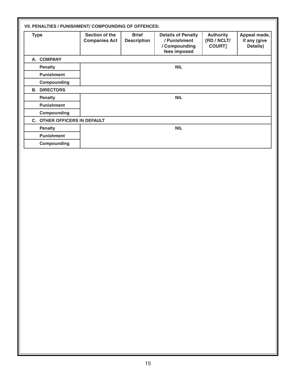| VII. PENALTIES / PUNISHMENT/ COMPOUNDING OF OFFENCES: |                                        |                                    |                                                                            |                                                  |                                          |  |  |
|-------------------------------------------------------|----------------------------------------|------------------------------------|----------------------------------------------------------------------------|--------------------------------------------------|------------------------------------------|--|--|
| <b>Type</b>                                           | Section of the<br><b>Companies Act</b> | <b>Brief</b><br><b>Description</b> | <b>Details of Penalty</b><br>/ Punishment<br>/ Compounding<br>fees imposed | <b>Authority</b><br>[RD / NCLT/<br><b>COURT]</b> | Appeal made,<br>if any (give<br>Details) |  |  |
| A. COMPANY                                            |                                        |                                    |                                                                            |                                                  |                                          |  |  |
| <b>Penalty</b>                                        |                                        |                                    | <b>NIL</b>                                                                 |                                                  |                                          |  |  |
| <b>Punishment</b>                                     |                                        |                                    |                                                                            |                                                  |                                          |  |  |
| Compounding                                           |                                        |                                    |                                                                            |                                                  |                                          |  |  |
| <b>DIRECTORS</b><br><b>B.</b>                         |                                        |                                    |                                                                            |                                                  |                                          |  |  |
| <b>Penalty</b>                                        |                                        |                                    | <b>NIL</b>                                                                 |                                                  |                                          |  |  |
| <b>Punishment</b>                                     |                                        |                                    |                                                                            |                                                  |                                          |  |  |
| Compounding                                           |                                        |                                    |                                                                            |                                                  |                                          |  |  |
| OTHER OFFICERS IN DEFAULT<br>$\mathbf{C}$ .           |                                        |                                    |                                                                            |                                                  |                                          |  |  |
| <b>Penalty</b>                                        |                                        |                                    | <b>NIL</b>                                                                 |                                                  |                                          |  |  |
| <b>Punishment</b>                                     |                                        |                                    |                                                                            |                                                  |                                          |  |  |
| Compounding                                           |                                        |                                    |                                                                            |                                                  |                                          |  |  |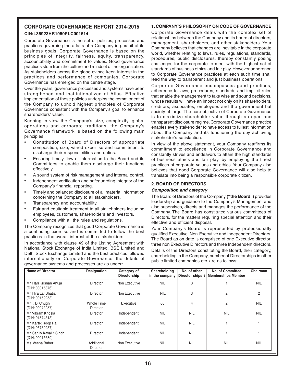# **CORPORATE GOVERNANCE REPORT 2014-2015 CIN:L35923HR1950PLC001614**

Corporate Governance is the set of policies, processes and practices governing the affairs of a Company in pursuit of its business goals. Corporate Governance is based on the principles of integrity, fairness, equity, transparency, accountability and commitment to values. Good governance practices stem from the culture and mindset of the organization. As stakeholders across the globe evince keen interest in the practices and performance of companies, Corporate Governance has emerged on the centre stage.

Over the years, governance processes and systems have been strengthened and institutionalized at Atlas. Effective implementation of these policies underpins the commitment of the Company to uphold highest principles of Corporate Governance consistent with the Company's goal to enhance shareholders' value.

Keeping in view the Company's size, complexity, global operations and corporate traditions, the Company's Governance framework is based on the following main principles:

- Constitution of Board of Directors of appropriate composition, size, varied expertise and commitment to discharge their responsibilities and duties.
- Ensuring timely flow of information to the Board and its Committees to enable them discharge their functions effectively.
- A sound system of risk management and internal control.
- Independent verification and safeguarding integrity of the Company's financial reporting.
- Timely and balanced disclosure of all material information concerning the Company to all stakeholders.
- Transparency and accountability.
- Fair and equitable treatment to all stakeholders including employees, customers, shareholders and investors.
- Compliance with all the rules and regulations.

The Company recognizes that good Corporate Governance is a continuing exercise and is committed to follow the best practices in the overall interest of the stakeholders.

In accordance with clause 49 of the Listing Agreement with National Stock Exchange of India Limited, BSE Limited and Delhi Stock Exchange Limited and the best practices followed internationally on Corporate Governance, the details of governance systems and processes are as under:

#### **1. COMPANY'S PHILOSOPHY ON CODE OF GOVERNANCE**

Corporate Governance deals with the complex set of relationships between the Company and its board of directors, management, shareholders, and other stakeholders. Your Company believes that changes are inevitable in the corporate world, whether relating to laws, rules, regulations, standards, procedures, public disclosures, thereby constantly posing challenges for the corporate to meet with the highest set of standards of business ethics and fair play. However adherence to Corporate Governance practices at each such time shall lead the way to transparent and just business operations.

Corporate Governance encompasses good practices, adherence to laws, procedures, standards and implicit rules that enable the management to take wise and sound decisions, whose results will have an impact not only on its shareholders, creditors, associates, employees and the government but society at large. The core objective of Corporate Governance is to maximize shareholder value through an open and transparent disclosure regime. Corporate Governance practice enables every stakeholder to have access to fullest information about the Company and its functioning thereby achieving stakeholder's satisfaction.

In view of the above statement, your Company reaffirms its commitment to excellence in Corporate Governance and constantly strives and endeavors to attain the high standards of business ethics and fair play, by employing the finest practices of corporate values and ethics. Your Company also believes that good Corporate Governance will also help to translate into being a responsible corporate citizen.

# **2. BOARD OF DIRECTORS**

#### **Composition and category**

The Board of Directors of the Company **("the Board")** provides leadership and guidance to the Company's Management and also supervises, directs and manages the performance of the Company. The Board has constituted various committees of Directors, for the matters requiring special attention and their effective and efficient disposal.

Your Company's Board is represented by professionally qualified Executive, Non-Executive and Independent Directors. The Board as on date is comprised of one Executive director, three non Executive Directors and three Independent directors.

Details of the Directors constituting the Board, their category, shareholding in the Company, number of Directorships in other public limited companies etc. are as follows:

| <b>Name of Director</b>                      | <b>Designation</b>     | Category of<br>Directorship | Shareholding<br>in the company | No. of other<br>Director ships $#$ | No. of Committee<br><b>Memberships Member</b> | Chairman   |
|----------------------------------------------|------------------------|-----------------------------|--------------------------------|------------------------------------|-----------------------------------------------|------------|
| Mr. Hari Krishan Ahuja<br>(DIN: 00315876)    | Director               | Non Executive               | <b>NIL</b>                     | 3                                  |                                               | <b>NIL</b> |
| Mr. Hira Lal Bhatia<br>(DIN: 00159258)       | <b>Director</b>        | Non Executive               | <b>NIL</b>                     | 3                                  | 2                                             | 2          |
| Mr. I. D. Chugh<br>(DIN: 00073257)           | Whole Time<br>Director | Executive                   | 60                             | 4                                  | 2                                             | <b>NIL</b> |
| Mr. Vikram Khosla<br>(DIN: 01574818)         | Director               | Independent                 | <b>NIL</b>                     | <b>NIL</b>                         | <b>NIL</b>                                    | <b>NIL</b> |
| Mr. Kartik Roop Rai<br>(DIN: 06789287)       | Director               | Independent                 | <b>NIL</b>                     | <b>NIL</b>                         |                                               |            |
| Mr. Sanjiv Kavaljit Singh<br>(DIN: 00015689) | Director               | Independent                 | <b>NIL</b>                     | <b>NIL</b>                         |                                               |            |
| Ms. Veena Buber*                             | Additional<br>Director | Non Executive               | <b>NIL</b>                     | <b>NIL</b>                         | <b>NIL</b>                                    | <b>NIL</b> |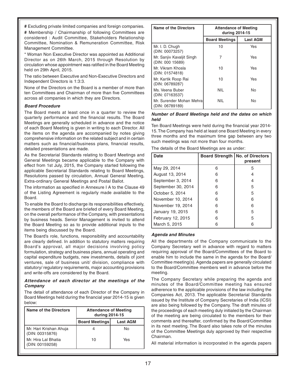**#** Excluding private limited companies and foreign companies. **#** Membership / Chairmanship of following Committees are considered : Audit Committee, Stakeholders Relationship Committee, Nomination & Remuneration Committee, Risk Management Committee.

\* Woman Non Executive Director was appointed as Additional Director as on 26th March, 2015 through Resolution by circulation whose appointment was ratified in the Board Meeting held on 29th April, 2015.

The ratio between Executive and Non-Executive Directors and Independent Directors is 1:3:3.

None of the Directors on the Board is a member of more than ten Committees and Chairman of more than five Committees across all companies in which they are Directors.

#### **Board Procedure**

The Board meets at least once in a quarter to review the quarterly performance and the financial results. The Board Meetings are generally scheduled in advance and the notice of each Board Meeting is given in writing to each Director. All the items on the agenda are accompanied by notes giving comprehensive information on the related subject and in certain matters such as financial/business plans, financial results, detailed presentations are made.

As the Secretarial Standards relating to Board Meetings and General Meetings became applicable to the Company with effect from 1st July, 2015, the Company started following the applicable Secretarial Standards relating to Board Meetings, Resolutions passed by circulation, Annual General Meeting, Extra-ordinary General Meetings and Postal Ballot.

The information as specified in Annexure I A to the Clause 49 of the Listing Agreement is regularly made available to the Board.

To enable the Board to discharge its responsibilities effectively, the members of the Board are briefed of every Board Meeting, on the overall performance of the Company, with presentations by business heads. Senior Management is invited to attend the Board Meeting so as to provide additional inputs to the items being discussed by the Board.

The Board's role, functions, responsibility and accountability are clearly defined. In addition to statutory matters requiring Board's approval, all major decisions involving policy formulation, strategy and business plans, annual operating and capital expenditure budgets, new investments, details of joint ventures, sale of business unit/ division, compliance with statutory/ regulatory requirements, major accounting provisions and write-offs are considered by the Board.

#### **Attendance of each director at the meetings of the Company**

The detail of attendance of each Director of the Company in Board Meetings held during the financial year 2014-15 is given below:

| Name of the Directors                     | <b>Attendance of Meeting</b><br>during 2014-15 |                 |  |
|-------------------------------------------|------------------------------------------------|-----------------|--|
|                                           | <b>Board Meetings</b>                          | <b>Last AGM</b> |  |
| Mr. Hari Krishan Ahuja<br>(DIN: 00315876) |                                                | No              |  |
| Mr. Hira Lal Bhatia<br>(DIN: 00159258)    | 10                                             | Yes             |  |

| Name of the Directors                         | <b>Attendance of Meeting</b><br>during 2014-15 |                 |  |
|-----------------------------------------------|------------------------------------------------|-----------------|--|
|                                               | <b>Board Meetings</b>                          | <b>Last AGM</b> |  |
| Mr. I. D. Chugh<br>(DIN: 00073257)            | 10                                             | Yes             |  |
| Mr. Sanjiv Kavaljit Singh<br>(DIN: 000 15689) | 7                                              | Yes             |  |
| Mr. Vikram Khosla<br>(DIN: 01574818)          | 10                                             | Yes             |  |
| Mr. Kartik Roop Rai<br>(DIN: 06789287)        | 10                                             | Yes             |  |
| Ms. Veena Buber<br>(DIN: 07163537)            | NII                                            | No              |  |
| Mr. Surender Mohan Mehral<br>(DIN: 06789189)  | NII                                            | No              |  |

**Number of Board Meetings held and the dates on which held**

Ten Board Meetings were held during the financial year 2014- 15. The Company has held at least one Board Meeting in every three months and the maximum time gap between any two such meetings was not more than four months.

The details of the Board Meetings are as under:

| Date               |   | Board Strength   No. of Directors<br>present |
|--------------------|---|----------------------------------------------|
| May 29, 2014       | 6 | 5                                            |
| August 13, 2014    | 6 |                                              |
| September 3, 2014  | 6 | 4                                            |
| September 30, 2014 | 6 | 5                                            |
| October 5, 2014    | 6 | 5                                            |
| November 10, 2014  | 6 | 6                                            |
| November 19, 2014  | 6 | 6                                            |
| January 19, 2015   | 6 | 5                                            |
| February 12, 2015  | 6 | 5                                            |
| March 5, 2015      | 6 | 6                                            |

#### **Agenda and Minutes**

All the departments of the Company communicate to the Company Secretary well in advance with regard to matters requiring approval of the Board/Committees of the Board to enable him to include the same in the agenda for the Board/ Committee meeting(s). Agenda papers are generally circulated to the Board/Committee members well in advance before the meeting.

The Company Secretary while preparing the agenda and minutes of the Board/Committee meeting has ensured adherence to the applicable provisions of the law including the Companies Act, 2013. The applicable Secretarial Standards issued by the Institute of Company Secretaries of India (ICSI) are also being followed by the Company. The draft minutes of the proceedings of each meeting duly initialed by the Chairman of the meeting are being circulated to the members for their comments and thereafter, confirmed by the Board/Committee in its next meeting. The Board also takes note of the minutes of the Committee Meetings duly approved by their respective Chairman.

All material information is incorporated in the agenda papers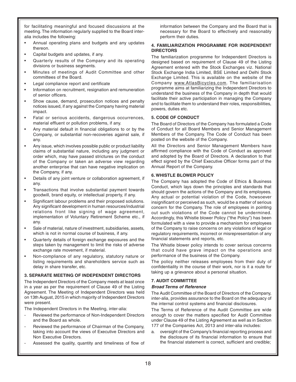for facilitating meaningful and focused discussions at the meeting. The information regularly supplied to the Board interalia includes the following:

- Annual operating plans and budgets and any updates thereon.
- Capital budgets and updates, if any.
- Quarterly results of the Company and its operating divisions or business segments.
- Minutes of meetings of Audit Committee and other committees of the Board.
- Legal compliance report and certificate
- Information on recruitment, resignation and remuneration of senior officers.
- Show cause, demand, prosecution notices and penalty notices issued, if any against the Company having material impact.
- Fatal or serious accidents, dangerous occurrences, material effluent or pollution problems, if any.
- Any material default in financial obligations to or by the Company, or substantial non-recoveries against sale, if any.
- Any issue, which involves possible public or product liability claims of substantial nature, including any judgment or order which, may have passed strictures on the conduct of the Company or taken an adverse view regarding another enterprise that can have negative implication on the Company, if any.
- Details of any joint venture or collaboration agreement, if any.
- Transactions that involve substantial payment towards goodwill, brand equity, or intellectual property, if any.
- Significant labour problems and their proposed solutions. Any significant development in human resources/industrial relations front like signing of wage agreement, implementation of Voluntary Retirement Scheme etc., if any.
- Sale of material, nature of investment, subsidiaries, assets, which is not in normal course of business, if any.
- Quarterly details of foreign exchange exposures and the steps taken by management to limit the risks of adverse exchange rate movement, if material.
- Non-compliance of any regulatory, statutory nature or listing requirements and shareholders service such as delay in share transfer, etc.

#### **3. SEPARATE MEETING OF INDEPENDENT DIRECTORS**

The Independent Directors of the Company meets at least once in a year as per the requirement of Clause 49 of the Listing Agreement. The Meeting of Independent Directors was held on 13th August, 2015 in which majority of Independent Directors were present.

The Independent Directors in the Meeting, inter-alia:

- Reviewed the performance of Non-Independent Directors and the Board as whole.
- Reviewed the performance of Chairman of the Company, taking into account the views of Executive Directors and Non Executive Directors.
- Assessed the quality, quantity and timeliness of flow of

information between the Company and the Board that is necessary for the Board to effectively and reasonably perform their duties.

#### **4. FAMILIARIZATION PROGRAMME FOR INDEPENDENT DIRECTORS**

The familiarization programme for Independent Directors is designed based on requirement of Clause 49 of the Listing Agreement entered with the Stock Exchanges viz. National Stock Exchange India Limited, BSE Limited and Delhi Stock Exchange Limited. This is available on the website of the Company www.AtlasBicycles.com. The familiarisation programme aims at familiarizing the Independent Directors to understand the business of the Company in depth that would facilitate their active participation in managing the Company and to facilitate them to understand their roles, responsibilities, powers, duties etc.

#### **5. CODE OF CONDUCT**

The Board of Directors of the Company has formulated a Code of Conduct for all Board Members and Senior Management Members of the Company. The Code of Conduct has been posted on the website of the Company.

All the Directors and Senior Management Members have affirmed compliance with the Code of Conduct as approved and adopted by the Board of Directors. A declaration to that effect signed by the Chief Executive Officer forms part of the Annual Report of the Company.

# **6. WHISTLE BLOWER POLICY**

The Company has adopted the Code of Ethics & Business Conduct, which lays down the principles and standards that should govern the actions of the Company and its employees. Any actual or potential violation of the Code, howsoever insignificant or perceived as such, would be a matter of serious concern for the Company. The role of employees in pointing out such violations of the Code cannot be undermined. Accordingly, this Whistle blower Policy ("the Policy") has been formulated with a view to provide a mechanism for employees of the Company to raise concerns on any violations of legal or regulatory requirements, incorrect or misrepresentation of any financial statements and reports, etc.

The Whistle blower policy intends to cover serious concerns that could have grave impact on the operations and performance of the business of the Company.

The policy neither releases employees from their duty of confidentiality in the course of their work, nor is it a route for taking up a grievance about a personal situation.

#### **7. AUDIT COMMITTEE**

#### **Broad Terms of Reference**

The Audit Committee of the Board of Directors of the Company, inter-alia, provides assurance to the Board on the adequacy of the internal control systems and financial disclosures.

The Terms of Reference of the Audit Committee are wide enough to cover the matters specified for Audit Committee under Clause 49 of the Listing Agreement as well as in Section 177 of the Companies Act, 2013 and inter-alia includes:

a. oversight of the Company's financial reporting process and the disclosure of its financial information to ensure that the financial statement is correct, sufficient and credible;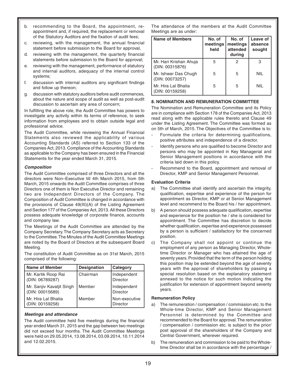- b. recommending to the Board, the appointment, reappointment and, if required, the replacement or removal of the Statutory Auditors and the fixation of audit fees;
- c. reviewing, with the management, the annual financial statement before submission to the Board for approval,
- d. reviewing with the management, the quarterly financial statements before submission to the Board for approval;
- e. reviewing with the management, performance of statutory and internal auditors, adequacy of the internal control systems;
- f. discussion with internal auditors any significant findings and follow up thereon;
- g. discussion with statutory auditors before audit commences, about the nature and scope of audit as well as post-audit discussion to ascertain any area of concern;

In fulfilling the above role, the Audit Committee has powers to investigate any activity within its terms of reference, to seek information from employees and to obtain outside legal and professional advice.

The Audit Committee, while reviewing the Annual Financial Statements also reviewed the applicability of various Accounting Standards (AS) referred to Section 133 of the Companies Act, 2013. Compliance of the Accounting Standards as applicable to the Company has been ensured in the Financial Statements for the year ended March 31, 2015.

#### **Composition**

The Audit Committee comprised of three Directors and all the directors were Non–Executive till 4th March 2015, from 5th March, 2015 onwards the Audit Committee comprises of three Directors one of them is Non Executive Director and remaining two are Independent Directors of the Company. The Composition of Audit Committee is changed in accordance with the provisions of Clause 49(III)(A) of the Listing Agreement and Section 177 of the Companies Act, 2013. All these Directors possess adequate knowledge of corporate finance, accounts and company law.

The Meetings of the Audit Committee are attended by the Company Secretary. The Company Secretary acts as Secretary to the Committee. The Minutes of the Audit Committee Meetings are noted by the Board of Directors at the subsequent Board Meeting.

The constitution of Audit Committee as on 31st March, 2015 comprised of the following:

| Name of Member                               | <b>Designation</b> | Category                  |
|----------------------------------------------|--------------------|---------------------------|
| Mr. Kartik Roop Rai<br>(DIN: 06789287)       | Chairman           | Independent<br>Director   |
| Mr. Sanjiv Kavaljit Singh<br>(DIN: 00015689) | Member             | Independent<br>Director   |
| Mr. Hira Lal Bhatia<br>(DIN: 00159258)       | Member             | Non-executive<br>Director |

#### **Meetings and attendance**

The Audit committee held five meetings during the financial year ended March 31, 2015 and the gap between two meetings did not exceed four months. The Audit Committee Meetings were held on 29.05.2014, 13.08.2014, 03.09.2014, 10.11.2014 and 12.02.2015.

The attendance of the members at the Audit Committee Meetings are as under:

| <b>Name of Members</b>                    | No. of<br>meetings<br>held | No. of<br>meetings<br>attended<br>during | Leave of<br>absence<br>sought |
|-------------------------------------------|----------------------------|------------------------------------------|-------------------------------|
| Mr. Hari Krishan Ahuja<br>(DIN: 00315876) | 5                          |                                          | 3                             |
| Mr. Ishwar Das Chugh<br>(DIN: 00073257)   | 5                          | 5                                        | NIL                           |
| Mr. Hira Lal Bhatia<br>(DIN: 00159258)    | 5                          | 5                                        | <b>NIL</b>                    |

#### **8. NOMINATION AND REMUNERATION COMMITTEE**

The Nomination and Remuneration Committee and its Policy are in compliance with Section 178 of the Companies Act, 2013 read along with the applicable rules thereto and Clause 49 under the Listing Agreement. The Committee was formed as on 5th of March, 2015. The Objectives of the Committee is to:

- Formulate the criteria for determining qualifications, positive attributes and independence of a director.
- Identify persons who are qualified to become Director and persons who may be appointed in Key Managerial and Senior Management positions in accordance with the criteria laid down in this policy.
- Recommend to the Board, appointment and removal of Director, KMP and Senior Management Personnel.

#### **Evaluation Criteria**

- a) The Committee shall identify and ascertain the integrity, qualification, expertise and experience of the person for appointment as Director, KMP or at Senior Management level and recommend to the Board his / her appointment.
- b) A person should possess adequate qualification, expertise and experience for the position he / she is considered for appointment. The Committee has discretion to decide whether qualification, expertise and experience possessed by a person is sufficient / satisfactory for the concerned position.
- c) The Company shall not appoint or continue the employment of any person as Managing Director, Wholetime Director or Manager who has attained the age of seventy years. Provided that the term of the person holding this position may be extended beyond the age of seventy years with the approval of shareholders by passing a special resolution based on the explanatory statement annexed to the notice for such motion indicating the justification for extension of appointment beyond seventy years.

#### **Remuneration Policy**

- a) The remuneration / compensation / commission etc. to the Whole-time Director, KMP and Senior Management Personnel is determined by the Committee and recommended to the Board for approval. The remuneration / compensation / commission etc. is subject to the prior/ post approval of the shareholders of the Company and Central Government, wherever required.
- b) The remuneration and commission to be paid to the Wholetime Director shall be in accordance with the percentage /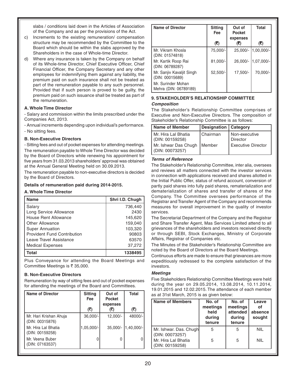slabs / conditions laid down in the Articles of Association of the Company and as per the provisions of the Act.

- c) Increments to the existing remuneration/ compensation structure may be recommended by the Committee to the Board which should be within the slabs approved by the Shareholders in the case of Whole-time Director.
- d) Where any insurance is taken by the Company on behalf of its Whole-time Director, Chief Executive Officer, Chief Financial Officer, the Company Secretary and any other employees for indemnifying them against any liability, the premium paid on such insurance shall not be treated as part of the remuneration payable to any such personnel. Provided that if such person is proved to be guilty, the premium paid on such issuance shall be treated as part of the remuneration.

#### **A. Whole Time Director**

- Salary and commission within the limits prescribed under the Companies Act, 2013.

- Annual increments depending upon individual's performance. - No sitting fees.

#### **B. Non-Executive Directors**

- Sitting fees and out of pocket expenses for attending meetings. The remuneration payable to Whole Time Director was decided by the Board of Directors while renewing his appointment for five years from 31.03.2013 shareholders' approval was obtained

at the Annual General Meeting held on 30.09.2013.

The remuneration payable to non-executive directors is decided by the Board of Directors.

#### **Details of remuneration paid during 2014-2015.**

#### **A. Whole Time Director**

| <b>Name</b>                        | Shri I.D. Chugh |
|------------------------------------|-----------------|
| Salary                             | 736,440         |
| Long Service Allowance             | 2430            |
| House Rent Allowance               | 145,620         |
| <b>Other Allowance</b>             | 159,040         |
| <b>Super Annuation</b>             | 103,320         |
| <b>Provident Fund Contribution</b> | 90803           |
| Leave Travel Assistance            | 63570           |
| <b>Medical Expenses</b>            | 37,272          |
| Total                              | 1338495         |

Plus Conveyance for attending the Board Meetings and Committee Meetings is  $\overline{\xi}$  35,000.

#### **B. Non-Executive Directors**

Remuneration by way of sitting fees and out of pocket expenses for attending the meetings of the Board and Committees.

| <b>Name of Director</b>                   | <b>Sitting</b><br>Fee | Out of<br><b>Pocket</b> | <b>Total</b> |
|-------------------------------------------|-----------------------|-------------------------|--------------|
|                                           | (5)                   | expenses<br>(₹)         | (₹)          |
| Mr. Hari Krishan Ahuja<br>(DIN: 00315876) | $36,000/-$            | $12,000/-$              | 48000/-      |
| Mr. Hira Lal Bhatia<br>(DIN: 00159258)    | 1,05,000/-            | $35,000/-$              | 1,40,000/-   |
| Mr. Veena Buber<br>(DIN: 07163537)        |                       | 0                       | 0            |

| <b>Name of Director</b>                                                                     | <b>Sitting</b><br>Fee<br>(₹) | Out of<br><b>Pocket</b><br>expenses | <b>Total</b><br>(₹) |
|---------------------------------------------------------------------------------------------|------------------------------|-------------------------------------|---------------------|
| Mr. Vikram Khosla<br>(DIN: 01574818)                                                        | 75,000/-                     | $25.000/-$                          | $ 1,00,000/- $      |
| Mr. Kartik Roop Rai<br>(DIN: 06789287)                                                      | 81,000/-                     | $26.000/-$                          | $1,07,000/-$        |
| Mr. Sanjiv Kavaljit Singh<br>(DIN: 00015689)<br>Mr. Surinder Mohan<br>Mehra (DIN: 06789189) | $52,500/-$                   | 17,500/-                            | 70,000/-            |

#### **9. STAKEHOLDER'S RELATIONSHIP COMMITTEE Composition**

The Stakeholder's Relationship Committee comprises of Executive and Non-Executive Directors. The composition of Stakeholder's Relationship Committee is as follows:

| Name of Member                                   | Designation   Category |                           |
|--------------------------------------------------|------------------------|---------------------------|
| I Mr. Hira Lal Bhatia<br>$ $ (DIN: 00159258)     | I Chairman             | Non-executive<br>Director |
| Mr. Ishwar Das Chugh   Member<br>(DIN: 00073257) |                        | Executive Director        |

#### **Terms of Reference**

The Stakeholder's Relationship Committee, inter alia, oversees and reviews all matters connected with the investor services in connection with applications received and shares allotted in the Initial Public Offer, status of refund account, conversion of partly paid shares into fully paid shares, rematerialization and dematerialization of shares and transfer of shares of the Company. The Committee oversees performance of the Registrar and Transfer Agent of the Company and recommends measures for overall improvement in the quality of investor services.

The Secretarial Department of the Company and the Registrar and Share Transfer Agent, Mas Services Limited attend to all grievances of the shareholders and investors received directly or through SEBI, Stock Exchanges, Ministry of Corporate Affairs, Registrar of Companies etc.

The Minutes of the Stakeholder's Relationship Committee are noted by the Board of Directors at the Board Meetings.

Continuous efforts are made to ensure that grievances are more expeditiously redressed to the complete satisfaction of the investors.

#### **Meetings**

Five Stakeholders Relationship Committee Meetings were held during the year on 29.05.2014, 13.08.2014, 10.11.2014, 19.01.2015 and 12.02.2015. The attendance of each member as at 31st March, 2015 is as given below:

| <b>Name of Members</b>                    | No. of<br>meetings<br>held<br>during<br>tenure | No. of<br>meetings<br>attended<br>during<br>tenure | Leave<br>of<br>absence<br>sought |
|-------------------------------------------|------------------------------------------------|----------------------------------------------------|----------------------------------|
| Mr. Ishwar. Das. Chugh<br>(DIN: 00073257) | 5                                              | 5                                                  | <b>NIL</b>                       |
| Mr. Hira Lal Bhatia<br>(DIN: 00159258)    | 5                                              | 5                                                  | NIL                              |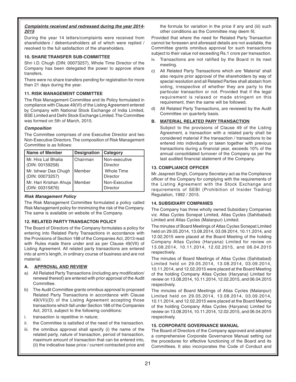#### **Complaints received and redressed during the year 2014- 2015**

During the year 14 letters/complaints were received from shareholders / debentureholders all of which were replied / resolved to the full satisfaction of the shareholders.

# **10. SHARE TRANSFER SUB-COMMITTEE**

Shri I.D. Chugh (DIN: 00073257), Whole Time Director of the Company has been delegated the power to approve share transfers.

There were no share transfers pending for registration for more than 21 days during the year.

# **11. RISK MANAGEMENT COMMITTEE**

The Risk Management Committee and its Policy formulated in compliance with Clause 49(VI) of the Listing Agreement entered by Company with National Stock Exchange of India Limited, BSE Limited and Delhi Stock Exchange Limited. The Committee was formed on 5th of March, 2015.

#### **Composition**

The Committee comprises of one Executive Director and two Non-Executive Directors. The composition of Risk Management Committee is as follows:

| <b>Name of Member</b>                              | Designation   Category |                                  |
|----------------------------------------------------|------------------------|----------------------------------|
| l Mr. Hira Lal Bhatia<br>(DIN: 00159258)           | Chairman               | Non-executive<br>Director        |
| Mr. Ishwar Das Chugh<br>(DIN: 00073257)            | Member                 | <b>Whole Time</b><br>Director    |
| Mr. Hari Krishan Ahuja   Member<br>(DIN: 00315876) |                        | Non-Executive<br><b>Director</b> |

# **Risk Management Policy**

The Risk Management Committee formulated a policy called Risk Management policy for minimizing the risk of the Company. The same is available on website of the Company.

# **12. RELATED PARTY TRANSACTON POLICY**

The Board of Directors of the Company formulates a policy for entering into Related Party Transactions in accordance with the Provisions of Section 188 of the Companies Act, 2013 read with Rules made there under and as per Clause 49(VII) of Listing Agreement. All related party transactions are entered into at arm's length, in ordinary course of business and are not material.

# **A. APPROVAL AND REVIEW**

- a) All Related Party Transactions (including any modification/ renewal thereof) are entered with prior approval of the Audit Committee.
- b) The Audit Committee grants omnibus approval to proposed Related Party Transactions in accordance with Clause 49(VII)(D) of the Listing Agreement accepting those transactions which fall under Section 188 of the Companies Act, 2013, subject to the following conditions:
- i. transaction is repetitive in nature;
- ii. the Committee is satisfied of the need of the transaction.
- iii. the omnibus approval shall specify (i) the name of the related party, nature of transaction, period of transaction, maximum amount of transaction that can be entered into, (ii) the indicative base price / current contracted price and

the formula for variation in the price if any and (iii) such other conditions as the Committee may deem fit;

Provided that where the need for Related Party Transaction cannot be foreseen and aforesaid details are not available, the Committee grants omnibus approval for such transactions subject to their value not exceeding Rs.1 crore per transaction.

- iv. Transactions are not ratified by the Board in its next meeting.
- c) All Related Party Transactions which are 'Material' shall also require prior approval of the shareholders by way of special resolution and all Related Parties shall abstain from voting, irrespective of whether they are party to the particular transaction or not. Provided that if the legal requirement is relaxed or made stringent on this requirement, then the same will be followed.
- d) All Related Party Transactions, are reviewed by the Audit Committee on quarterly basis.

#### **B. MATERIAL RELATED PARY TRANSACTION**

Subject to the provisions of Clause 49 of the Listing Agreement, a transaction with a related party shall be considered material if the transaction / transactions to be entered into individually or taken together with previous transactions during a financial year, exceeds 10% of the annual consolidated turnover of the Company as per the last audited financial statement of the Company.

#### **13. COMPLIANCE OFFICER**

Mr. Jaspreet Singh, Company Secretary act as the Compliance officer of the Company for complying with the requirements of the Listing Agreement with the Stock Exchange and requirements of SEBI (Prohibition of Insider Trading) Regulation, 1992 / 2015.

#### **14. SUBSIDIARY COMPANIES**

The Company has three wholly owned Subsidiary Companies viz. Atlas Cycles Sonepat Limited, Atlas Cycles (Sahibabad) Limited and Atlas Cycles (Malanpur) Limited.

The minutes of Board Meetings of Atlas Cycles Sonepat Limited held on 29.05.2014, 13.08.2014, 03.09.2014, 10.11.2014, and 12.02.2015 were placed at the Board Meeting of the holding Company Atlas Cycles (Haryana) Limited for review on 13.08.2014, 10.11.2014, 12.02.2015, and 06.04.2015 respectively.

The minutes of Board Meetings of Atlas Cycles (Sahibabad) Limited held on 29.05.2014, 13.08.2014, 03.09.2014, 10.11.2014, and 12.02.2015 were placed at the Board Meeting of the holding Company Atlas Cycles (Haryana) Limited for review on 13.08.2014, 10.11.2014, 12.02.2015, and 06.04.2015 respectively.

The minutes of Board Meetings of Atlas Cycles (Malanpur) Limited held on 29.05.2014, 13.08.2014, 03.09.2014, 10.11.2014, and 12.02.2015 were placed at the Board Meeting of the holding Company Atlas Cycles (Haryana) Limited for review on 13.08.2014, 10.11.2014, 12.02.2015, and 06.04.2015 respectively.

#### **15. CORPORATE GOVERNANCE MANUAL**

The Board of Directors of the Company approved and adopted a comprehensive Corporate Governance Manual setting out the procedures for effective functioning of the Board and its Committees. It also incorporates the Code of Conduct and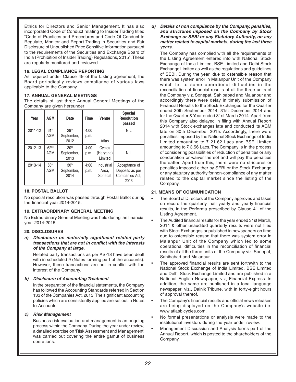Ethics for Directors and Senior Management. It has also incorporated Code of Conduct relating to Insider Trading titled "Code of Practices and Procedures and Code Of Conduct to Regulate, Monitor and Report Trading in Securities and Fair Disclosure of Unpublished Price Sensitive Information pursuant to the requirements of the Securities and Exchange Board of India (Prohibition of Insider Trading) Regulations, 2015". These are regularly monitored and reviewed.

#### **16. LEGAL COMPLIANCE REPORTING**

As required under Clause 49 of the Listing agreement, the Board periodically reviews compliance of various laws applicable to the Company.

#### **17. ANNUAL GENERAL MEETINGS**

The details of last three Annual General Meetings of the Company are given hereunder:

| Year    | AGM                     | Date                                   | <b>Time</b>  | Venue                          | <b>Special</b><br><b>Resolution</b><br>passed              |
|---------|-------------------------|----------------------------------------|--------------|--------------------------------|------------------------------------------------------------|
| 2011-12 | 61 <sup>st</sup><br>AGM | 29th<br>September,<br>2012             | 4:00<br>p.m. | Atlas                          | <b>NIL</b>                                                 |
| 2012-13 | 62 <sup>nd</sup><br>AGM | 30 <sup>th</sup><br>September,<br>2013 | 4:00<br>p.m. | Cycles<br>(Haryana)<br>Limited | <b>NIL</b>                                                 |
| 2013-14 | 63 <sup>rd</sup><br>AGM | 30 <sup>th</sup><br>September,<br>2014 | 4:00<br>p.m. | Industrial<br>Area.<br>Sonepat | Acceptance of<br>Deposits as per<br>Companies Act,<br>2013 |

# **18. POSTAL BALLOT**

No special resolution was passed through Postal Ballot during the financial year 2014-2015.

#### **19. EXTRAORDINARY GENERAL MEETING**

No Extraordinary General Meeting was held during the financial year 2014-2015.

#### **20. DISCLOSURES**

**a) Disclosure on materially significant related party transactions that are not in conflict with the interests of the Company at large.**

Related party transactions as per AS-18 have been dealt with in scheduled 9 (Notes forming part of the accounts). However, these transactions are not in conflict with the interest of the Company.

#### **b) Disclosure of Accounting Treatment**

In the preparation of the financial statements, the Company has followed the Accounting Standards referred in Section 133 of the Companies Act, 2013. The significant accounting policies which are consistently applied are set out in Notes to Accounts.

# **c) Risk Management**

Business risk evaluation and management is an ongoing process within the Company. During the year under review, a detailed exercise on 'Risk Assessment and Management' was carried out covering the entire gamut of business operations.

#### **d) Details of non compliance by the Company, penalties, and strictures imposed on the Company by Stock Exchange or SEBI or any Statutory Authority, on any matter related to capital markets, during the last three years.**

The Company has complied with all the requirements of the Listing Agreement entered into with National Stock Exchange of India Limited, BSE Limited and Delhi Stock Exchange Limited as well as the regulations and guidelines of SEBI. During the year, due to ostensible reason that there was system error in Malanpur Unit of the Company which let to some operational difficulties in the reconciliation of financial results of all the three units of the Company viz. Sonepat, Sahibabad and Malanpur and accordingly there were delay in timely submission of Financial Results to the Stock Exchanges for the Quarter ended 30th September 2014, 31st December 2014 and for the Quarter & Year ended 31st March 2014. Apart from this Company also delayed in filing with Annual Report 2014 with Stock exchanges late and conducted its AGM late on 30th December 2015. Accordingly, there were penalties imposed by the National Stock Exchange of India Limited amounting to  $\bar{\tau}$  21.62 Lacs and BSE Limited amounting to  $\bar{\tau}$  3.56 Lacs. The Company is in the process of considering possibilities of reduction of penalties or any condonation or waiver thereof and will pay the penalties thereafter. Apart from this, there were no strictures or penalties imposed either by SEBI or the Stock Exchange or any statutory authority for non-compliance of any matter related to the capital market since the listing of the Company.

# **21. MEANS OF COMMUNICATION**

- The Board of Directors of the Company approves and takes on record the quarterly, half yearly and yearly financial results, in the Performa prescribed by Clause 41 of the Listing Agreement.
- The Audited financial results for the year ended 31st March, 2014 & other unaudited quarterly results were not filed with Stock Exchanges or published in newspapers on time due to ostensible reason that there was system error in Malanpur Unit of the Company which led to some operational difficulties in the reconciliation of financial results of all the three units of the Company viz. Sonepat, Sahibabad and Malanpur.
- The approved financial results are sent forthwith to the National Stock Exchange of India Limited, BSE Limited and Delhi Stock Exchange Limited and are published in a National English Newspaper, viz, Financial Express. In addition, the same are published in a local language newspaper, viz., Dainik Tribune, with in forty-eight hours of approval thereof.
- The Company's financial results and official news releases are being displayed on the Company's website i.e. www.atlasbicycles.com.
- No formal presentations or analysis were made to the institutional investors during the year under review.
- Management Discussion and Analysis forms part of the Annual Report, which is posted to the shareholders of the Company.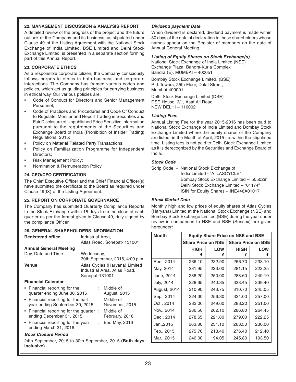#### **22. MANAGEMENT DISCUSSION & ANALYSIS REPORT**

A detailed review of the progress of the project and the future outlook of the Company and its business, as stipulated under Clause 49 of the Listing Agreement with the National Stock Exchange of India Limited, BSE Limited and Delhi Stock Exchange Limited, is presented in a separate section forming part of this Annual Report.

# **23. CORPORATE ETHICS**

As a responsible corporate citizen, the Company consciously follows corporate ethics in both business and corporate interactions. The Company has framed various codes and policies, which act as guiding principles for carrying business in ethical way. Our various policies are:

- Code of Conduct for Directors and Senior Management Personnel;
- Code of Practices and Procedures and Code Of Conduct to Regulate, Monitor and Report Trading in Securities and Fair Disclosure of Unpublished Price Sensitive Information pursuant to the requirements of the Securities and Exchange Board of India (Prohibition of Insider Trading) Regulations, 2015;
- Policy on Material Related Party Transactions;
- Policy on Familiarization Programme for Independent Directors;
- Risk Management Policy;
- Nomination & Remuneration Policy

#### **24. CEO/CFO CERTIFICATION**

The Chief Executive Officer and the Chief Financial Officer(s) have submitted the certificate to the Board as required under Clause 49(IX) of the Listing Agreement.

#### **25. REPORT ON CORPORATE GOVERNANCE**

The Company has submitted Quarterly Compliance Reports to the Stock Exchange within 15 days from the close of each quarter as per the format given in Clause 49, duly signed by the compliance Officer.

#### **26. GENERAL SHAREHOLDERS INFORMATION**

| <b>Registered office</b>                                |                |                             | Industrial Area,                |  |
|---------------------------------------------------------|----------------|-----------------------------|---------------------------------|--|
|                                                         |                | Atlas Road, Sonepat- 131001 |                                 |  |
| <b>Annual General Meeting</b>                           |                |                             |                                 |  |
| Day, Date and Time                                      | Wednesdav.     |                             |                                 |  |
|                                                         |                |                             | 30th September, 2015, 4:00 p.m. |  |
| <b>Venue</b>                                            |                |                             | Atlas Cycles (Haryana) Limited  |  |
|                                                         |                |                             | Industrial Area, Atlas Road,    |  |
|                                                         | Sonepat-131001 |                             |                                 |  |
| <b>Financial Calendar</b>                               |                |                             |                                 |  |
| • Financial reporting for the                           |                |                             | $:$ Middle of                   |  |
| quarter ending June 30, 2015                            |                |                             | August, 2015                    |  |
| • Financial reporting for the half                      |                | t.                          | Middle of                       |  |
| year ending September 30, 2015                          |                |                             | November, 2015                  |  |
| • Financial reporting for the quarter : Middle of       |                |                             |                                 |  |
| ending December 31, 2015                                |                |                             | February, 2016                  |  |
| • Financial reporting for the year                      |                |                             | : End May, 2016                 |  |
| ending March 31, 2016                                   |                |                             |                                 |  |
| <b>Book Closure Period</b>                              |                |                             |                                 |  |
| 24th Sentember, 2015 to 30th Sentember, 2015 (Roth dave |                |                             |                                 |  |

24th September, 2015 to 30th September, 2015 **(Both days inclusive)**

#### **Dividend payment Date**

When dividend is declared, dividend payment is made within 30 days of the date of declaration to those shareholders whose names appear on the Register of members on the date of Annual General Meeting.

#### **Listing of Equity Shares on Stock Exchange(s)**

National Stock Exchange of India Limited (NSE) Exchange Plaza, Bandra-Kurla Complex Bandra (E), MUMBAI – 400051

Bombay Stock Exchange Limited, (BSE) P. J. Towers, 25th Floor, Dalal Street, Mumbai-400001,

Delhi Stock Exchange Limited (DSE) DSE House, 3/1, Asaf Ali Road, NEW DELHI – 110002

#### **Listing Fees**

Annual Listing Fee for the year 2015-2016 has been paid to National Stock Exchange of India Limited and Bombay Stock Exchange Limited where the equity shares of the Company are listed, in the Month of April, 2015 i.e. within the stipulated time. Listing fees is not paid to Delhi Stock Exchange Limited as it is derecognized by the Securities and Exchange Board of India.

# **Stock Code**

|  | Scrip Code - National Stock Exchange of  |
|--|------------------------------------------|
|  | India Limited - "ATLASCYCLE"             |
|  | Bombay Stock Exchange Limited - '505029' |
|  | Delhi Stock Exchange Limited - "01174"   |
|  | ISIN for Equity Shares - INE446A01017    |

#### **Stock Market Data**

Monthly high and low prices of equity shares of Atlas Cycles (Haryana) Limited at the National Stock Exchange (NSE) and Bombay Stock Exchange Limited (BSE) during the year under review in comparison to NSE and BSE (Sensex) are given hereunder:

| <b>Month</b>      | <b>Equity Share Price on NSE and BSE</b> |                 |                           |            |
|-------------------|------------------------------------------|-----------------|---------------------------|------------|
|                   | <b>Share Price on NSE</b>                |                 | <b>Share Price on BSE</b> |            |
|                   | <b>HIGH</b><br>₹                         | <b>LOW</b><br>₹ | <b>HIGH</b><br>₹          | <b>LOW</b> |
|                   |                                          |                 |                           |            |
| April, 2014       | 236.10                                   | 232.90          | 256.70                    | 233.10     |
| May, 2014         | 281.95                                   | 223.00          | 281.15                    | 222.25     |
| June, 2014        | 288.20                                   | 250.00          | 288.60                    | 249.10     |
| <b>July, 2014</b> | 328.65                                   | 240.35          | 328.45                    | 239.40     |
| August, 2014      | 310.90                                   | 243.75          | 310.70                    | 245.05     |
| Sep., 2014        | 324.30                                   | 256.30          | 324.00                    | 257.00     |
| Oct., 2014        | 283.00                                   | 249.60          | 283.20                    | 251.00     |
| Nov., 2014        | 286.50                                   | 262.10          | 286.80                    | 264.45     |
| Dec., 2014        | 278.65                                   | 221.80          | 279.00                    | 222.25     |
| Jan., 2015        | 263.80                                   | 231.10          | 263.50                    | 230.00     |
| Feb., 2015        | 275.70                                   | 213.40          | 276.40                    | 212.40     |
| Mar., 2015        | 246.00                                   | 194.05          | 245.80                    | 193.50     |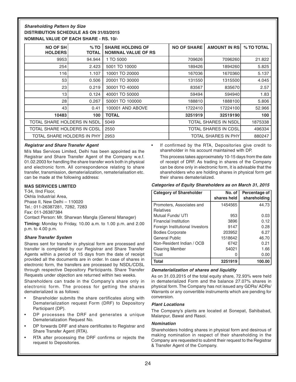# **Shareholding Pattern by Size DISTRIBUTION SCHEDULE AS ON 31/03/2015 NOMINAL VALUE OF EACH SHARE - RS. 10/-**

| <b>NO OF SH</b><br><b>HOLDERS</b> | %TO<br><b>TOTAL</b> | <b>SHARE HOLDING OF</b><br><b>NOMINAL VALUE OF RS</b> | <b>NO OF SHARE</b>   | <b>AMOUNT IN RS</b>        | % TO TOTAL |
|-----------------------------------|---------------------|-------------------------------------------------------|----------------------|----------------------------|------------|
| 9953                              | 94.944              | 1 TO 5000                                             | 709626               | 7096260                    | 21.822     |
| 254                               | 2.423               | 5001 TO 10000                                         | 189426               | 1894260                    | 5.825      |
| 116                               | 1.107               | 10001 TO 20000                                        | 167036               | 1670360                    | 5.137      |
| 53                                | 0.506               | 20001 TO 30000                                        | 131550               | 1315500                    | 4.045      |
| 23                                | 0.219               | 30001 TO 40000                                        | 83567                | 835670                     | 2.57       |
| 13                                | 0.124               | 40001 TO 50000                                        | 59494                | 594940                     | 1.83       |
| 28                                | 0.267               | 50001 TO 100000                                       | 188810               | 1888100                    | 5.806      |
| 43                                | 0.41                | 100001 AND ABOVE                                      | 1722410              | 17224100                   | 52.966     |
| 10483                             | 100                 | <b>TOTAL</b>                                          | 3251919              | 32519190                   | 100        |
| TOTAL SHARE HOLDERS IN NSDL       |                     | 5049                                                  | TOTAL SHARES IN NSDL |                            | 1875338    |
| TOTAL SHARE HOLDERS IN CDSL       |                     | 2550                                                  | TOTAL SHARES IN CDSL |                            | 496334     |
| TOTAL SHARE HOLDERS IN PHY        |                     | 2953                                                  |                      | <b>TOTAL SHARES IN PHY</b> | 880247     |

#### **Registrar and Share Transfer Agent**

M/s Mas Services Limited, Delhi has been appointed as the Registrar and Share Transfer Agent of the Company w.e.f. 01.02.2003 for handling the share transfer work both in physical and electronic form. All correspondence relating to share transfer, transmission, dematerialization, rematerialisation etc. can be made at the following address:

#### **MAS SERVICES LIMITED**

T-34, IInd Floor, Okhla Industrial Area, Phase II, New Delhi – 110020 Tel.: 011-26387281, 7282, 7283 Fax: 011-26387384 Contact Person: Mr. Sharwan Mangla (General Manager)

**Timing:** Monday to Friday, 10.00 a.m. to 1.00 p.m. and 2.00 p.m. to 4.00 p.m.

#### **Share Transfer System**

Shares sent for transfer in physical form are processed and transfer is completed by our Registrar and Share Transfer Agents within a period of 15 days from the date of receipt provided all the documents are in order. In case of shares in electronic form, the transfers are processed by NSDL/CDSL through respective Depository Participants. Share Transfer Requests under objection are returned within two weeks.

Shareholders can trade in the Company's share only in electronic form. The process for getting the shares dematerialized is as follows:

- Shareholder submits the share certificates along with Dematerialization request Form (DRF) to Depository Participant (DP).
- DP processes the DRF and generates a unique Dematerialization Request No.
- DP forwards DRF and share certificates to Registrar and Share Transfer Agent (RTA).
- RTA after processing the DRF confirms or rejects the request to Depositories.

If confirmed by the RTA, Depositories give credit to shareholder in his account maintained with DP.

This process takes approximately 10-15 days from the date of receipt of DRF. As trading in shares of the Company can be done only in electronic form, it is advisable that the shareholders who are holding shares in physical form get their shares dematerialized.

#### **Categories of Equity Shareholders as on March 31, 2015**

| <b>Category of Shareholder</b>  | No. of<br>shares held | Percentage of<br>shareholding |
|---------------------------------|-----------------------|-------------------------------|
| Promoters, Associates and       | 1454565               | 44.73                         |
| <b>Relatives</b>                |                       |                               |
| Mutual Funds/ UTI               | 953                   | 0.03                          |
| Financial Institution           | 3896                  | 0.12                          |
| Foreign Institutional Investors | 9147                  | 0.28                          |
| <b>Bodies Corporate</b>         | 203952                | 6.27                          |
| <b>General Public</b>           | 1518642               | 46.70                         |
| Non-Resident Indian / OCB       | 6742                  | 0.21                          |
| <b>Clearing Member</b>          | 54021                 | 1.66                          |
| Trust                           | 0                     | 0.00                          |
| <b>Total</b>                    | 3251919               | 100.00                        |

#### **Dematerialization of shares and liquidity**

As on 31.03.2015 of the total equity share, 72.93% were held in dematerialized Form and the balance 27.07% shares in physical form. The Company has not issued any GDRs/ ADRs/ Warrants or any convertible instruments which are pending for conversion.

#### **Plant Locations**

The Company's plants are located at Sonepat, Sahibabad, Malanpur, Bawal and Rasoi.

#### **Nomination**

Shareholders holding shares in physical form and desirous of making nomination in respect of their shareholding in the Company are requested to submit their request to the Registrar & Transfer Agent of the Company.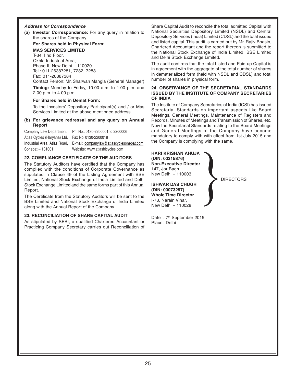#### **Address for Correspondence**

**(a) Investor Correspondence:** For any query in relation to the shares of the Company.

**For Shares held in Physical Form: MAS SERVICES LIMITED**

T-34, IInd Floor, Okhla Industrial Area, Phase II, New Delhi – 110020 Tel.: 011-26387281, 7282, 7283 Fax: 011-26387384

Contact Person: Mr. Sharwan Mangla (General Manager) **Timing:** Monday to Friday, 10.00 a.m. to 1.00 p.m. and 2.00 p.m. to 4.00 p.m.

#### **For Shares held in Demat Form:**

To the Investors' Depository Participant(s) and / or Mas Services Limited at the above mentioned address.

**(b) For grievance redressal and any query on Annual Report**

| Company Law Department       | Ph. No.: 0130-2200001 to 2200006         |
|------------------------------|------------------------------------------|
| Atlas Cycles (Haryana) Ltd.  | Fax No. 0130-2200018                     |
| Industrial Area. Atlas Road. | E-mail: companylaw@atlascyclesonepat.com |
| Sonepat - 131001             | Website: www.atlasbicycles.com           |

#### **22. COMPLIANCE CERTIFICATE OF THE AUDITORS**

The Statutory Auditors have certified that the Company has complied with the conditions of Corporate Governance as stipulated in Clause 49 of the Listing Agreement with BSE Limited, National Stock Exchange of India Limited and Delhi Stock Exchange Limited and the same forms part of this Annual Report.

The Certificate from the Statutory Auditors will be sent to the BSE Limited and National Stock Exchange of India Limited along with the Annual Report of the Company.

#### **23. RECONCILIATION OF SHARE CAPITAL AUDIT**

As stipulated by SEBI, a qualified Chartered Accountant or Practicing Company Secretary carries out Reconciliation of Share Capital Audit to reconcile the total admitted Capital with National Securities Depository Limited (NSDL) and Central Depository Services (India) Limited (CDSL) and the total issued and listed capital. This audit is carried out by Mr. Rajiv Bhasin, Chartered Accountant and the report thereon is submitted to the National Stock Exchange of India Limited, BSE Limited and Delhi Stock Exchange Limited.

The audit confirms that the total Listed and Paid-up Capital is in agreement with the aggregate of the total number of shares in dematerialized form (held with NSDL and CDSL) and total number of shares in physical form.

#### **24. OBSERVANCE OF THE SECRETARIAL STANDARDS ISSUED BY THE INSTITUTE OF COMPANY SECRETARIES OF INDIA**

The Institute of Company Secretaries of India (ICSI) has issued Secretarial Standards on important aspects like Board Meetings, General Meetings, Maintenance of Registers and Records, Minutes of Meetings and Transmission of Shares, etc. Now the Secretarial Standards relating to the Board Meetings and General Meetings of the Company have become mandatory to comply with with effect from 1st July 2015 and the Company is complying with the same.



Date: 7<sup>th</sup> September 2015 Place : Delhi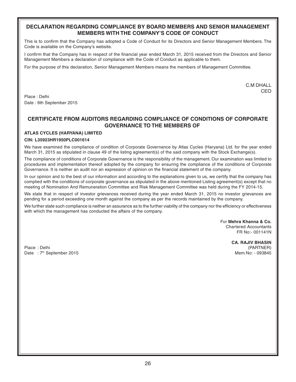# **DECLARATION REGARDING COMPLIANCE BY BOARD MEMBERS AND SENIOR MANAGEMENT MEMBERS WITH THE COMPANY'S CODE OF CONDUCT**

This is to confirm that the Company has adopted a Code of Conduct for its Directors and Senior Management Members. The Code is available on the Company's website.

I confirm that the Company has in respect of the financial year ended March 31, 2015 received from the Directors and Senior Management Members a declaration of compliance with the Code of Conduct as applicable to them.

For the purpose of this declaration, Senior Management Members means the members of Management Committee.

C.M DHALL CEO

Place : Delhi Date : 6th September 2015

# **CERTIFICATE FROM AUDITORS REGARDING COMPLIANCE OF CONDITIONS OF CORPORATE GOVERNANCE TO THE MEMBERS OF**

#### **ATLAS CYCLES (HARYANA) LIMITED**

#### **CIN: L35923HR1950PLC001614**

We have examined the compliance of condition of Corporate Governance by Atlas Cycles (Haryana) Ltd. for the year ended March 31, 2015 as stipulated in clause 49 of the listing agreement(s) of the said company with the Stock Exchange(s).

The compliance of conditions of Corporate Governance is the responsibility of the management. Our examination was limited to procedures and implementation thereof adopted by the company for ensuring the compliance of the conditions of Corporate Governance. It is neither an audit nor an expression of opinion on the financial statement of the company.

In our opinion and to the best of our information and according to the explanations given to us, we certify that the company has complied with the conditions of corporate governance as stipulated in the above mentioned Listing agreement(s) except that no meeting of Nomination And Remuneration Committee and Risk Management Committee was held during the FY 2014-15.

We state that in respect of investor grievances received during the year ended March 31, 2015 no investor grievances are pending for a period exceeding one month against the company as per the records maintained by the company.

We further state such compliance is neither an assurance as to the further viability of the company nor the efficiency or effectiveness with which the management has conducted the affairs of the company.

> For **Mehra Khanna & Co.** Chartered Accountants FR No:- 001141N

Place : Delhi (PARTNER) Date : 7<sup>th</sup> September 2015 **Mem.No: - 093845** Mem.No: - 093845

**CA. RAJIV BHASIN**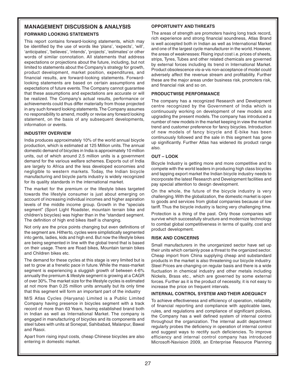# **MANAGEMENT DISCUSSION & ANALYSIS FORWARD LOOKING STATEMENTS**

This report contains forward-looking statements, which may be identified by the use of words like 'plans', 'expects', 'will', 'anticipates', 'believes', 'intends', 'projects', 'estimates' or other words of similar connotation. All statements that address expectations or projections about the future, including, but not limited to statements about the Company's strategy for growth, product development, market position, expenditures, and financial results, are forward-looking statements. Forwardlooking statements are based on certain assumptions and expectations of future events. The Company cannot guarantee that these assumptions and expectations are accurate or will be realized. The Company's actual results, performance or achievements could thus differ materially from those projected in any such forward looking statements. The Company assumes no responsibility to amend, modify or revise any forward looking statement, on the basis of any subsequent developments, information or events.

#### **INDUSTRY OVERVIEW**

India produces approximately 10% of the world annual bicycle production, which is estimated at 125 Million units. The annual domestic demand of bicycles in India is approximately 10 million units, out of which around 2.5 million units is a government demand for the various welfare schemes. Exports out of India are largely to Africa and the less developed economies and negligible to western markets. Today, the Indian bicycle manufacturing and bicycle parts industry is widely recognized for its quality standards in the international market.

The market for the premium or the lifestyle bikes targeted towards the lifestyle consumer is just about emerging on account of increasing individual incomes and higher aspiration levels of the middle income group. Growth in the "specials segment" (Sport Light Roadster, mountain terrain bike and children's bicycles) was higher than in the "standard segment. The definition of high end bikes itself is changing.

Not only are the price points changing but even definitions of the segment are. Hitherto, cycles were simplistically segmented into gents, ladies, kids and high end. But now the lifestyle bikes are being segmented in line with the global trend that is based on their usage. There are Road bikes, Mountain tarrain bikes and Children bikes etc.

The demand for these cycles at this stage is very limited but is set to grow at a frenetic pace in future. While the mass-market segment is experiencing a sluggish growth of between 4-6% annually the premium & lifestyle segment is growing at a CAGR of over 30%. The market size for the lifestyle cycles is estimated at not more than 0.25 million units annually but its only time that this segment will form an important part of the industry

M/S Atlas Cycles (Haryana) Limited is a Public Limited Company having presence in bicycles segment with a track record of more than 63 Years, having established brand both in Indian as well as International Market. The company is engaged in manufacturing of bicycles and its components and steel tubes with units at Sonepat, Sahibabad, Malanpur, Bawal and Rasoi.

Apart from rising input costs, cheap Chinese bicycles are also entering in domestic market.

# **OPPORTUNITY AND THREATS**

The areas of strength are promoters having long track record, rich experience and strong financial soundness, Atlas Brand is well accepted both in Indian as well as International Market and one of the largest cycle manufacturer in the world. However, the areas of weaknesses: Rising input cost i.e. prices of sheets, strips, Tyres, Tubes and other related chemicals are governed by external forces including its trend in International Market. Product obsolescence vis-a-vis non-acceptance of model could adversely affect the revenue stream and profitability. Further these are the major areas under business risk, promoters risk, and financial risk and so on.

#### **PRODUCTWISE PERFORMANCE**

The company has a recognized Research and Development centre recognized by the Government of India which is continuously working on development of new models and upgrading the present models. The company has introduced a number of new models in the market keeping in view the market trend and customer preference for fancy bicycles. Introduction of new models of fancy bicycle and E-bike has been continuously followed and the sale in this segment has gone up significantly. Further Atlas has widened its product range also.

# **OUT – LOOK**

Bicycle Industry is getting more and more competitive and to compete with the world leaders in producing high class bicycles and tapping export market the Indian bicycle industry needs to incorporate the latest Research and Development facilities and pay special attention to design development.

On the whole, the future of the bicycle industry is very challenging. With the globalization, the domestic market is open to goods and services from global companies because of low tariff. Thus the bicycle industry is facing very challenging time.

Protection is a thing of the past. Only those companies will survive which successfully structure and modernize technology to combat global competitiveness in terms of quality, cost and product development.

#### **RISK AND CONCERNS**

Small manufacturers in the unorganized sector have set up their units which certainly pose a threat to the organized sector. Cheap import from China supplying cheap and substandard products in the market is also threatening our bicycle industry. Steel Prices are changing on regular basis and there is a wide fluctuation in chemical industry and other metals including Nickels, Brass etc., which are governed by some external forces. Further as it is the product of necessity, it is not easy to increase the price on frequent intervals.

#### **INTERNAL CONTROL SYSTEM AND THEIR ADEQUACY**

To achieve effectiveness and efficiency of operation, reliability of financial reporting and compliance with applicable laws, rules, and regulations and compliance of significant policies, the Company has a well defined system of internal control throughout the organization. The internal audit department regularly probes the deficiency in operation of internal control and suggest ways to rectify such deficiencies. To improve efficiency and internal control company has introduced Microsoft-Navision 2009, an Enterprise Resource Planning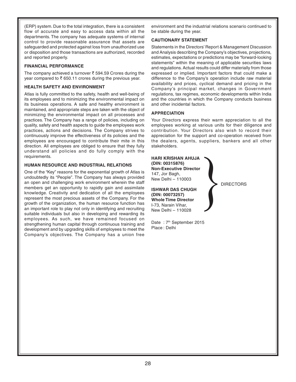(ERP) system. Due to the total integration, there is a consistent flow of accurate and easy to access data within all the departments. The company has adequate systems of internal control to provide reasonable assurance that assets are safeguarded and protected against loss from unauthorized use or disposition and those transactions are authorized, recorded and reported properly.

# **FINANCIAL PERFORMANCE**

The company achieved a turnover  $\bar{\tau}$  594.59 Crores during the year compared to  $\bar{\tau}$  650.11 crores during the previous year.

#### **HEALTH SAFETY AND ENVIRONMENT**

Atlas is fully committed to the safety, health and well-being of its employees and to minimizing the environmental impact on its business operations. A safe and healthy environment is maintained, and appropriate steps are taken with the object of minimizing the environmental impact on all processes and practices. The Company has a range of policies, including on quality, safety and health aspects to guide the employees work practices, actions and decisions. The Company strives to continuously improve the effectiveness of its policies and the employees are encouraged to contribute their mite in this direction. All employees are obliged to ensure that they fully understand all policies and do fully comply with the requirements.

#### **HUMAN RESOURCE AND INDUSTRIAL RELATIONS**

One of the "Key" reasons for the exponential growth of Atlas is undoubtedly its "People". The Company has always provided an open and challenging work environment wherein the staff members get an opportunity to rapidly gain and assimilate knowledge. Creativity and dedication of all the employees represent the most precious assets of the Company. For the growth of the organization, the human resource function has an important role to play not only in identifying and recruiting suitable individuals but also in developing and rewarding its employees. As such, we have remained focused on strengthening human capital through continuous training and development and by upgrading skills of employees to meet the Company's objectives. The Company has a union free

environment and the industrial relations scenario continued to be stable during the year.

#### **CAUTIONARY STATEMENT**

Statements in the Directors' Report & Management Discussion and Analysis describing the Company's objectives, projections, estimates, expectations or predictions may be "forward-looking statements" within the meaning of applicable securities laws and regulations. Actual results could differ materially from those expressed or implied. Important factors that could make a difference to the Company's operation include raw material availability and prices, cyclical demand and pricing in the Company's principal market, changes in Government regulations, tax regimes, economic developments within India and the countries in which the Company conducts business and other incidental factors.

#### **APPRECIATION**

Your Directors express their warm appreciation to all the employees working at various units for their diligence and contribution. Your Directors also wish to record their appreciation for the support and co-operation received from the dealers, agents, suppliers, bankers and all other stakeholders.

| <b>HARI KRISHAN AHUJA</b><br>(DIN: 00315876)<br><b>Non-Executive Director</b><br>147, Jor Bagh,<br>New Delhi - 110003 | <b>DIRECTORS</b> |
|-----------------------------------------------------------------------------------------------------------------------|------------------|
| <b>ISHWAR DAS CHUGH</b><br>(DIN: 00073257)<br><b>Whole Time Director</b><br>I-73, Narain Vihar,<br>New Delhi - 110028 |                  |

Date: 7<sup>th</sup> September 2015

Place : Delhi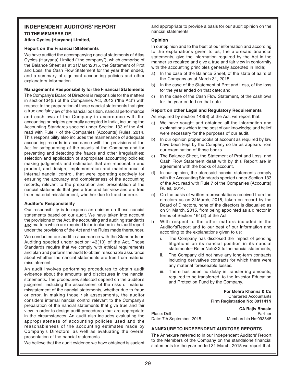# **INDEPENDENT AUDITORS' REPORT TO THE MEMBERS OF,**

#### **Atlas Cycles (Haryana) Limited,**

#### **Report on the Financial Statements**

We have audited the accompanying nancial statements of Atlas Cycles (Haryana) Limited ("the company"), which comprise of the Balance Sheet as at 31March2015, the Statement of Prot and Loss, the Cash Flow Statement for the year then ended, and a summary of signicant accounting policies and other explanatory information.

#### **Management's Responsibility for the Financial Statements**

The Company's Board of Directors is responsible for the matters in section134(5) of the Companies Act, 2013 ("the Act") with respect to the preparation of these nancial statements that give a true and fair view of the nancial position, nancial performance and cash ows of the Company in accordance with the accounting principles generally accepted in India, including the Accounting Standards specied under Section 133 of the Act, read with Rule 7 of the Companies (Accounts) Rules, 2014. This responsibility also includes the maintenance of adequate accounting records in accordance with the provisions of the Act for safeguarding of the assets of the Company and for preventing and detecting the frauds and other irregularities; selection and application of appropriate accounting policies; making judgments and estimates that are reasonable and prudent; and design, implementation and maintenance of internal nancial control, that were operating eectively for ensuring the accuracy and completeness of the accounting records, relevant to the preparation and presentation of the nancial statements that give a true and fair view and are free from material misstatement, whether due to fraud or error.

#### **Auditor's Responsibility**

Our responsibility is to express an opinion on these nancial statements based on our audit. We have taken into account the provisions of the Act, the accounting and auditing standards and matters which are required to be included in the audit report under the provisions of the Act and the Rules made thereunder.

We conducted our audit in accordance with the Standards on Auditing specied under section143(10) of the Act. Those Standards require that we comply with ethical requirements and plan and perform the audit to obtain reasonable assurance about whether the nancial statements are free from material misstatement.

An audit involves performing procedures to obtain audit evidence about the amounts and disclosures in the nancial statements. The procedures selected depend on the auditor's judgment, including the assessment of the risks of material misstatement of the nancial statements, whether due to fraud or error. In making those risk assessments, the auditor considers internal nancial control relevant to the Company's preparation of the nancial statements that give true and fair view in order to design audit procedures that are appropriate in the circumstances. An audit also includes evaluating the appropriateness of accounting policies used and the reasonableness of the accounting estimates made by Company's Directors, as well as evaluating the overall presentation of the nancial statements.

We believe that the audit evidence we have obtained is sucient

and appropriate to provide a basis for our audit opinion on the nancial statements.

#### **Opinion**

In our opinion and to the best of our information and according to the explanations given to us, the aforesaid ûnancial statements, give the information required by the Act in the manner so required and give a true and fair view in conformity with the accounting principles generally accepted in India;

- a) In the case of the Balance Sheet, of the state of aairs of the Company as at March 31, 2015;
- b) In the case of the Statement of Prot and Loss, of the loss for the year ended on that date; and
- c) In the case of the Cash Flow Statement, of the cash ows for the year ended on that date.

#### **Report on other Legal and Regulatory Requirements**

As required by section 143(3) of the Act, we report that:

- a) We have sought and obtained all the information and explanations which to the best of our knowledge and belief were necessary for the purposes of our audit.
- b) In our opinion proper books of account as required by law have been kept by the Company so far as appears from our examination of those books
- c) The Balance Sheet, the Statement of Prot and Loss, and Cash Flow Statement dealt with by this Report are in agreement with the books of account.
- d) In our opinion, the aforesaid nancial statements comply with the Accounting Standards specied under Section 133 of the Act, read with Rule 7 of the Companies (Accounts) Rules, 2014.
- e) On the basis of written representations received from the directors as on 31March, 2015, taken on record by the Board of Directors, none of the directors is disqualied as on 31 March, 2015, from being appointed as a director in terms of Section 164(2) of the Act.
- f) With respect to the other matters included in the Auditor'sReport and to our best of our information and according to the explanations given to us:
	- i. The Company has disclosed the impact of pending litigations on its nancial position in its nancial statements– Refer NoteXX to the nancial statements;
	- ii. The Company did not have any long-term contracts including derivatives contracts for which there were any material foreseeable losses.
	- iii. There has been no delay in transferring amounts, required to be transferred, to the Investor Education and Protection Fund by the Company.

**For Mehra Khanna & Co** Chartered Accountants **Firm Registration No: 001141N**

**CA Rajiv Bhasin** Place: Delhi Partner<br>Date: 7th September, 2015 Membership No:093845 Date: 7th September, 2015

# **ANNEXURE TO INDEPENDENT AUDITORS REPORTS**

The Annexure referred to in our Independent Auditors' Report to the Members of the Company on the standalone financial statements for the year ended 31 March, 2015 we report that: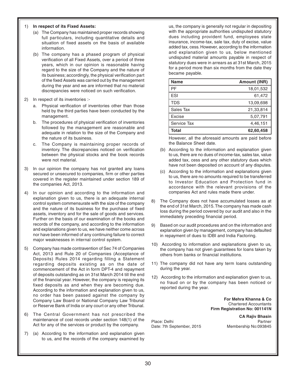#### 1) **In respect of its Fixed Assets:**

- (a) The Company has maintained proper records showing full particulars, including quantitative details and situation of fixed assets on the basis of available information.
- (b) The company has a phased program of physical verification of all Fixed Assets, over a period of three years, which in our opinion is reasonable having regard to the size of the Company and the nature of its business; accordingly, the physical verification part of the fixed Assets was carried out by the management during the year and we are informed that no material discrepancies were noticed on such verification.
- 2) In respect of its inventories :
	- a. Physical verification of inventories other than those held by the third parties have been conducted by the management.
	- b. The procedures of physical verification of inventories followed by the management are reasonable and adequate in relation to the size of the Company and the nature of its business.
	- c. The Company is maintaining proper records of inventory. The discrepancies noticed on verification between the physical stocks and the book records were not material.
- 3) In our opinion the company has not granted any loans secured or unsecured to companies, firm or other parties covered in the register maintained under section 189 of the companies Act, 2013.
- 4) In our opinion and according to the information and explanation given to us, there is an adequate internal control system commensurate with the size of the company and the nature of its business for the purchase of fixed assets, inventory and for the sale of goods and services. Further on the basis of our examination of the books and records of the company, and according to the information and explanations given to us, we have neither come across nor have been informed of any continuing failure to correct major weaknesses in internal control system.
- 5) Company has made contravention of Sec 74 of Companies Act, 2013 and Rule 20 of Companies (Acceptance of Deposits) Rules 2014 regarding filling a Statement regarding deposits existing as on the date of commencement of the Act in form DPT-4 and repayment of deposits outstanding as on 31st March 2014 till the end of the financial year. However, the company is repaying its fixed deposits as and when they are becoming due. According to the information and explanation given to us, no order has been passed against the company by Company Law Board or National Company Law Tribunal or Reserve Bank of India or any court or any other Tribunal.
- 6) The Central Government has not prescribed the maintenance of cost records under section 148(1) of the Act for any of the services or product by the company.
- 7) (a) According to the information and explanation given to us, and the records of the company examined by

us, the company is generally not regular in depositing with the appropriate authorities undisputed statutory dues including provident fund, employees state insurance, income-tax, sale tax, duty of excise, value added tax, cess. However, according to the information and explanation given to us, below mentioned undisputed material amounts payable in respect of statutory dues were in arrears as at 31st March, 2015 for a period more than six months from the date they became payable.

| <b>Name</b> | <b>Amount (INR)</b> |
|-------------|---------------------|
| PF          | 18,01,532           |
| ESI         | 61,472              |
| <b>TDS</b>  | 13,09,698           |
| Sales Tax   | 21,33,814           |
| Excise      | 5,07,791            |
| Service Tax | 4,46,151            |
| Total       | 62,60,458           |

However, all the aforesaid amounts are paid before the Balance Sheet date.

- (b) According to the information and explanation given to us, there are no dues of income-tax, sales tax, value added tax, cess and any other statutory dues which have not been deposited on account of any disputes.
- (c) According to the information and explanations given to us, there are no amounts required to be transferred to Investor Education and Protection fund in accordance with the relevant provisions of the companies Act and rules made there under.
- 8) The Company does not have accumulated losses as at the end of 31st March, 2015. The company has made cash loss during the period covered by our audit and also in the immediately preceding financial period.
- 9) Based on our audit procedures and on the information and explanation given by management, company has defaulted in repayment of dues to IDBI and India Factoring.
- 10) According to information and explanations given to us, the company has not given guarantees for loans taken by others from banks or financial institutions.
- 11) The company did not have any term loans outstanding during the year.
- 12) According to the information and explanation given to us, no fraud on or by the company has been noticed or reported during the year.

**For Mehra Khanna & Co** Chartered Accountants **Firm Registration No: 001141N**

Place: Delhi Partner<br>Date: 7th September, 2015 Membership No:093845 Date: 7th September, 2015

**CA Rajiv Bhasin**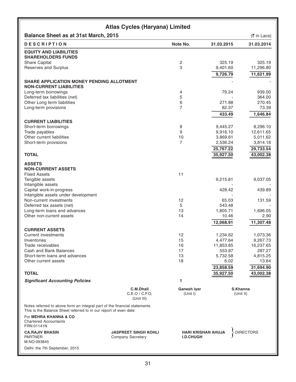| <b>Atlas Cycles (Haryana) Limited</b>                                                                                                         |                                           |                                |                        |                        |
|-----------------------------------------------------------------------------------------------------------------------------------------------|-------------------------------------------|--------------------------------|------------------------|------------------------|
| <b>Balance Sheet as at 31st March, 2015</b><br>$(5 \in \text{In}$ Lacs)                                                                       |                                           |                                |                        |                        |
| <b>DESCRIPTION</b>                                                                                                                            |                                           | Note No.                       | 31.03.2015             | 31.03.2014             |
| <b>EQUITY AND LIABILITIES</b>                                                                                                                 |                                           |                                |                        |                        |
| <b>SHAREHOLDERS FUNDS</b>                                                                                                                     |                                           |                                |                        |                        |
| Share Capital                                                                                                                                 |                                           | 2<br>3                         | 325.19                 | 325.19<br>11,296.80    |
| Reserves and Surplus                                                                                                                          |                                           |                                | 9,401.60<br>9,726.79   | 11,621.99              |
|                                                                                                                                               |                                           |                                |                        |                        |
| <b>SHARE APPLICATION MONEY PENDING ALLOTMENT</b><br><b>NON-CURRENT LIABILITIES</b>                                                            |                                           |                                |                        |                        |
| Long-term borrowings                                                                                                                          |                                           | 4                              | 79.24                  | 939.00                 |
| Deferred tax liabilities (net)                                                                                                                |                                           | 5                              |                        | 364.00                 |
| Other Long term liabilities                                                                                                                   |                                           | 6                              | 271.88                 | 270.45                 |
| Long-term provisions                                                                                                                          |                                           | $\overline{7}$                 | 82.37                  | 73.39                  |
|                                                                                                                                               |                                           |                                | 433.49                 | 1,646.84               |
| <b>CURRENT LIABILITIES</b>                                                                                                                    |                                           |                                |                        |                        |
| Short-term borrowings<br>Trade payables                                                                                                       |                                           | 8<br>9                         | 9,445.27<br>9,916.10   | 8,296.10<br>12,611.65  |
| Other current liabilities                                                                                                                     |                                           | 10                             | 3,869.61               | 5,011.62               |
| Short-term provisions                                                                                                                         |                                           | $\overline{7}$                 | 2,536.24               | 3,814.18               |
|                                                                                                                                               |                                           |                                | 25,767.22              | 29,733.54              |
| <b>TOTAL</b>                                                                                                                                  |                                           |                                | 35,927.50              | 43,002.38              |
| <b>ASSETS</b>                                                                                                                                 |                                           |                                |                        |                        |
| <b>NON-CURRENT ASSETS</b>                                                                                                                     |                                           |                                |                        |                        |
| <b>Fixed Assets</b>                                                                                                                           |                                           | 11                             |                        |                        |
| Tangible assets                                                                                                                               |                                           |                                | 9,215.81               | 9,037.05               |
| Intangible assets<br>Capital work-in-progress                                                                                                 |                                           |                                | 428.42                 | 439.89                 |
| Intangible assets under development                                                                                                           |                                           |                                |                        |                        |
| Non-current investments                                                                                                                       |                                           | 12                             | 65.03                  | 131.59                 |
| Deferred tax assets (net)                                                                                                                     |                                           | 5                              | 543.48                 |                        |
| Long-term loans and advances                                                                                                                  |                                           | 13<br>14                       | 1,805.71               | 1,696.05               |
| Other non-current assets                                                                                                                      |                                           |                                | 10.46                  | 2.90                   |
|                                                                                                                                               |                                           |                                | 12,068.91              | 11,307.48              |
| <b>CURRENT ASSETS</b>                                                                                                                         |                                           |                                |                        |                        |
| <b>Current investments</b><br>Inventories                                                                                                     |                                           | 12<br>15                       | 1,234.62<br>4,477.64   | 1,073.36<br>9,267.73   |
| Trade receivables                                                                                                                             |                                           | 16                             | 11,853.85              | 16,237.65              |
| Cash and Bank Balances                                                                                                                        |                                           | 17                             | 553.87                 | 287.27                 |
| Short-term loans and advances                                                                                                                 |                                           | 13                             | 5,732.58               | 4,815.25               |
| Other current assets                                                                                                                          |                                           | 18                             | 6.02                   | 13.64                  |
| <b>TOTAL</b>                                                                                                                                  |                                           |                                | 23,858.59<br>35,927.50 | 31,694.90<br>43,002.38 |
| <b>Significant Accounting Policies</b>                                                                                                        |                                           | 1.                             |                        |                        |
|                                                                                                                                               |                                           |                                |                        |                        |
|                                                                                                                                               | C.M.Dhall<br>C.E.O / C.F.O.<br>(Unit III) | <b>Ganesh Iyer</b><br>(Unit I) |                        | S.Khanna<br>(Unit II)  |
| Notes referred to above form an integral part of the financial statements<br>This is the Balance Sheet referred to in our report of even date |                                           |                                |                        |                        |
| For <b>MEHRA KHANNA &amp; CO</b><br><b>Chartered Accountants</b><br>FRN:01141N                                                                |                                           |                                |                        |                        |
| <b>CA.RAJIV BHASIN</b>                                                                                                                        | <b>JASPREET SINGH KOHLI</b>               | <b>HARI KRISHAN AHUJA</b>      |                        | <b>DIRECTORS</b>       |
| <b>PARTNER</b>                                                                                                                                | Company Secretary                         | <b>I.D.CHUGH</b>               |                        |                        |
| M.NO:093845                                                                                                                                   |                                           |                                |                        |                        |
| Delhi: the 7th September, 2015                                                                                                                |                                           |                                |                        |                        |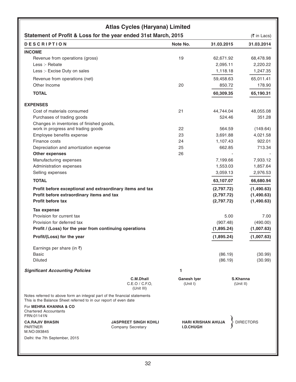| <b>Atlas Cycles (Haryana) Limited</b>                                         |                                           |                                |            |                       |
|-------------------------------------------------------------------------------|-------------------------------------------|--------------------------------|------------|-----------------------|
| Statement of Profit & Loss for the year ended 31st March, 2015<br>(₹ in Lacs) |                                           |                                |            |                       |
| <b>DESCRIPTION</b>                                                            |                                           | Note No.                       | 31.03.2015 | 31.03.2014            |
| <b>INCOME</b>                                                                 |                                           |                                |            |                       |
| Revenue from operations (gross)                                               |                                           | 19                             | 62,671.92  | 68,478.98             |
| Less :- Rebate                                                                |                                           |                                | 2,095.11   | 2,220.22              |
| Less :- Excise Duty on sales                                                  |                                           |                                | 1,118.18   | 1,247.35              |
| Revenue from operations (net)                                                 |                                           |                                | 59,458.63  | 65,011.41             |
| Other Income                                                                  |                                           | 20                             | 850.72     | 178.90                |
| <b>TOTAL</b>                                                                  |                                           |                                | 60,309.35  | 65,190.31             |
| <b>EXPENSES</b>                                                               |                                           |                                |            |                       |
| Cost of materials consumed                                                    |                                           | 21                             | 44,744.04  | 48,055.08             |
| Purchases of trading goods                                                    |                                           |                                | 524.46     | 351.28                |
| Changes in inventories of finished goods,                                     |                                           |                                |            |                       |
| work in progress and trading goods                                            |                                           | 22                             | 564.59     | (149.64)              |
| Employee benefits expense                                                     |                                           | 23                             | 3,691.88   | 4,021.58              |
| Finance costs                                                                 |                                           | 24                             | 1,107.43   | 922.01                |
| Depreciation and amortization expense                                         |                                           | 25                             | 662.85     | 713.34                |
| <b>Other expenses</b>                                                         |                                           | 26                             |            |                       |
| Manufacturing expenses                                                        |                                           |                                | 7,199.66   | 7,933.12              |
| Administration expenses                                                       |                                           |                                | 1,553.03   | 1,857.64              |
| Selling expenses                                                              |                                           |                                | 3,059.13   | 2,976.53              |
| <b>TOTAL</b>                                                                  |                                           |                                | 63,107.07  | 66,680.94             |
| Profit before exceptional and extraordinary items and tax                     |                                           |                                | (2,797.72) | (1,490.63)            |
| Profit before extraordinary items and tax                                     |                                           |                                | (2,797.72) | (1,490.63)            |
| <b>Profit before tax</b>                                                      |                                           |                                | (2,797.72) | (1,490.63)            |
| <b>Tax expense</b>                                                            |                                           |                                |            |                       |
| Provision for current tax                                                     |                                           |                                | 5.00       | 7.00                  |
| Provision for deferred tax                                                    |                                           |                                | (907.48)   | (490.00)              |
| Profit / (Loss) for the year from continuing operations                       |                                           |                                | (1,895.24) | (1,007.63)            |
| Profit/(Loss) for the year                                                    |                                           |                                | (1,895.24) | (1,007.63)            |
| Earnings per share (in $\overline{\tau}$ )                                    |                                           |                                |            |                       |
| Basic                                                                         |                                           |                                | (86.19)    | (30.99)               |
| <b>Diluted</b>                                                                |                                           |                                | (86.19)    | (30.99)               |
| <b>Significant Accounting Policies</b>                                        |                                           | 1                              |            |                       |
|                                                                               | C.M.Dhall<br>C.E.O / C.F.O.<br>(Unit III) | <b>Ganesh Iyer</b><br>(Unit I) |            | S.Khanna<br>(Unit II) |
| Notes referred to above form an integral part of the financial statements     |                                           |                                |            |                       |
| This is the Balance Sheet referred to in our report of even date              |                                           |                                |            |                       |
| For MEHRA KHANNA & CO<br><b>Chartered Accountants</b><br>FRN:01141N           |                                           |                                |            |                       |
| <b>CA.RAJIV BHASIN</b>                                                        | <b>JASPREET SINGH KOHLI</b>               | HARI KRISHAN AHUJA             |            | <b>DIRECTORS</b>      |
| <b>PARTNER</b>                                                                | <b>Company Secretary</b>                  | <b>I.D.CHUGH</b>               |            |                       |
| M.NO:093845                                                                   |                                           |                                |            |                       |
| Delhi: the 7th September, 2015                                                |                                           |                                |            |                       |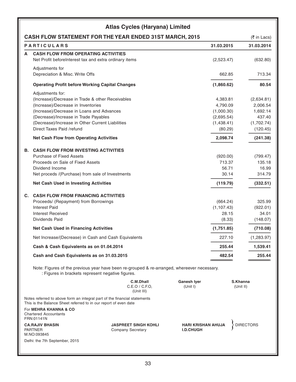| <b>Atlas Cycles (Haryana) Limited</b>                          |                                                                                                                                                                                                                                                                                                                                     |                                                  |                                               |                                                                                       |                                                                                    |  |
|----------------------------------------------------------------|-------------------------------------------------------------------------------------------------------------------------------------------------------------------------------------------------------------------------------------------------------------------------------------------------------------------------------------|--------------------------------------------------|-----------------------------------------------|---------------------------------------------------------------------------------------|------------------------------------------------------------------------------------|--|
| <b>CASH FLOW STATEMENT FOR THE YEAR ENDED 31ST MARCH, 2015</b> |                                                                                                                                                                                                                                                                                                                                     |                                                  |                                               |                                                                                       | $(5 \in \text{In}$ Lacs)                                                           |  |
|                                                                | <b>PARTICULARS</b>                                                                                                                                                                                                                                                                                                                  |                                                  |                                               | 31.03.2015                                                                            | 31.03.2014                                                                         |  |
| A                                                              | <b>CASH FLOW FROM OPERATING ACTIVITIES</b><br>Net Profit beforeInterest tax and extra ordinary items                                                                                                                                                                                                                                |                                                  |                                               | (2,523.47)                                                                            | (632.80)                                                                           |  |
|                                                                | Adjustments for<br>Depreciation & Misc. Write Offs                                                                                                                                                                                                                                                                                  |                                                  |                                               | 662.85                                                                                | 713.34                                                                             |  |
|                                                                | <b>Operating Profit before Working Capital Changes</b>                                                                                                                                                                                                                                                                              |                                                  |                                               | (1,860.62)                                                                            | 80.54                                                                              |  |
|                                                                | Adjustments for:<br>(Increase)/Decrease in Trade & other Receivables<br>(Increase)/Decrease in Inventories<br>(Increase)/Decrease in Loans and Advances<br>(Decrease)/Increase in Trade Payables<br>(Decrease)/Increase in Other Current Liabilities<br>Direct Taxes Paid /refund<br><b>Net Cash Flow from Operating Activities</b> |                                                  |                                               | 4,383.81<br>4,790.09<br>(1,000.30)<br>(2,695.54)<br>(1,438.41)<br>(80.29)<br>2,098.74 | (2,634.81)<br>2,006.54<br>1,692.14<br>437.40<br>(1,702.74)<br>(120.45)<br>(241.38) |  |
|                                                                |                                                                                                                                                                                                                                                                                                                                     |                                                  |                                               |                                                                                       |                                                                                    |  |
|                                                                | <b>B. CASH FLOW FROM INVESTING ACTIVITIES</b><br><b>Purchase of Fixed Assets</b><br>Proceeds on Sale of Fixed Assets<br>Dividend Income<br>Net proceds /(Purchase) from sale of Investments                                                                                                                                         |                                                  |                                               | (920.00)<br>713.37<br>56.71<br>30.14                                                  | (799.47)<br>135.18<br>16.99<br>314.79                                              |  |
|                                                                | <b>Net Cash Used in Investing Activities</b>                                                                                                                                                                                                                                                                                        |                                                  |                                               | (119.79)                                                                              | (332.51)                                                                           |  |
|                                                                | C. CASH FLOW FROM FINANCING ACTIVITIES<br>Proceeds/ (Repayment) from Borrowings<br>Interest Paid<br><b>Interest Received</b><br>Dividends Paid                                                                                                                                                                                      |                                                  |                                               | (664.24)<br>(1, 107.43)<br>28.15<br>(8.33)                                            | 325.99<br>(922.01)<br>34.01<br>(148.07)                                            |  |
|                                                                | <b>Net Cash Used in Financing Activities</b>                                                                                                                                                                                                                                                                                        |                                                  |                                               | (1,751.85)                                                                            | (710.08)                                                                           |  |
|                                                                | Net Increase/(Decrease) in Cash and Cash Equivalents                                                                                                                                                                                                                                                                                |                                                  |                                               | 227.10                                                                                | (1,283.97)                                                                         |  |
|                                                                | Cash & Cash Equivalents as on 01.04.2014                                                                                                                                                                                                                                                                                            |                                                  |                                               | 255.44                                                                                | 1,539.41                                                                           |  |
|                                                                | Cash and Cash Equivalents as on 31.03.2015                                                                                                                                                                                                                                                                                          |                                                  |                                               | 482.54                                                                                | 255.44                                                                             |  |
|                                                                | Note: Figures of the previous year have been re-grouped & re-arranged, whereever necessary.<br>: Figures in brackets represent negative figures.                                                                                                                                                                                    |                                                  |                                               |                                                                                       |                                                                                    |  |
|                                                                |                                                                                                                                                                                                                                                                                                                                     | C.M.Dhall<br>C.E.O/C.E.O.<br>(Unit III)          | <b>Ganesh lyer</b><br>(Unit I)                | S.Khanna<br>(Unit II)                                                                 |                                                                                    |  |
|                                                                | Notes referred to above form an integral part of the financial statements<br>This is the Balance Sheet referred to in our report of even date<br>For MEHRA KHANNA & CO<br><b>Chartered Accountants</b><br>FRN:01141N                                                                                                                |                                                  |                                               |                                                                                       |                                                                                    |  |
|                                                                | <b>CA.RAJIV BHASIN</b><br><b>PARTNER</b><br>M.NO:093845                                                                                                                                                                                                                                                                             | <b>JASPREET SINGH KOHLI</b><br>Company Secretary | <b>HARI KRISHAN AHUJA</b><br><b>I.D.CHUGH</b> |                                                                                       | <b>DIRECTORS</b>                                                                   |  |
|                                                                | Delhi: the 7th September, 2015                                                                                                                                                                                                                                                                                                      |                                                  |                                               |                                                                                       |                                                                                    |  |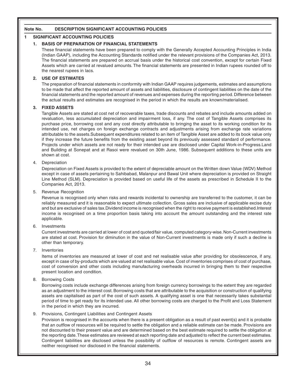#### **Note No. DESCRIPTION SIGNIFICANT ACCOUNTING POLICIES**

#### **1 SIGNIFICANT ACCOUNTING POLICIES**

#### **1. BASIS OF PREPARATION OF FINANCIAL STATEMENTS**

These financial statements have been prepared to comply with the Generally Accepted Accounting Principles in India (Indian GAAP), including the Accounting Standards notified under the relevant provisions of the Companies Act, 2013. The financial statements are prepared on accrual basis under the historical cost convention, except for certain Fixed Assets which are carried at revalued amounts. The financial statements are presented in Indian rupees rounded off to the nearest rupees in lacs.

#### **2. USE OF ESTIMATES**

The preparation of financial statements in conformity with Indian GAAP requires judgements, estimates and assumptions to be made that affect the reported amount of assets and liabilities, disclosure of contingent liabilities on the date of the financial statements and the reported amount of revenues and expenses during the reporting period. Difference between the actual results and estimates are recognised in the period in which the results are known/materialised.

#### **3. FIXED ASSETS**

Tangible Assets are stated at cost net of recoverable taxes, trade discounts and rebates and include amounts added on revaluation, less accumulated depreciation and impairment loss, if any. The cost of Tangible Assets comprises its purchase price, borrowing cost and any cost directly attributable to bringing the asset to its working condition for its intended use, net charges on foreign exchange contracts and adjustments arising from exchange rate variations attributable to the assets.Subsequent expenditures related to an item of Tangible Asset are added to its book value only if they increase the future benefits from the existing asset beyond its previously assessed standard of performance. Projects under which assets are not ready for their intended use are disclosed under Capital Work-in-Progress.Land and Building at Sonepat and at Rasoi were revalued on 30th June, 1986. Subsequent additions to these units are shown at cost.

#### 4. Depreciation

Depreciation on Fixed Assets is provided to the extent of depreciable amount on the Written down Value (WDV) Method except in case of assets pertaining to Sahibabad, Malanpur and Bawal Unit where depreciation is provided on Straight Line Method (SLM). Depreciation is provided based on useful life of the assets as prescribed in Schedule II to the Companies Act, 2013.

5. Revenue Recognition

Revenue is recognised only when risks and rewards incidental to ownership are transferred to the customer, it can be reliably measured and it is reasonable to expect ultimate collection. Gross sales are inclusive of applicable excise duty and but are exclusive of sales tax.Dividend income is recognised when the right to receive payment is established.Interest income is recognised on a time proportion basis taking into account the amount outstanding and the interest rate applicable.

6. Investments

Current investments are carried at lower of cost and quoted/fair value, computed category-wise. Non-Current investments are stated at cost. Provision for diminution in the value of Non-Current investments is made only if such a decline is other than temporary.

7. Inventories

Items of inventories are measured at lower of cost and net realisable value after providing for obsolescence, if any, except in case of by-products which are valued at net realisable value. Cost of inventories comprises of cost of purchase, cost of conversion and other costs including manufacturing overheads incurred in bringing them to their respective present location and condition.

8. Borrowing Costs

Borrowing costs include exchange differences arising from foreign currency borrowings to the extent they are regarded as an adjustment to the interest cost. Borrowing costs that are attributable to the acquisition or construction of qualifying assets are capitalised as part of the cost of such assets. A qualifying asset is one that necessarily takes substantial period of time to get ready for its intended use. All other borrowing costs are charged to the Profit and Loss Statement in the period in which they are incurred.

9. Provisions, Contingent Liabilities and Contingent Assets

Provision is recognised in the accounts when there is a present obligation as a result of past event(s) and it is probable that an outflow of resources will be required to settle the obligation and a reliable estimate can be made. Provisions are not discounted to their present value and are determined based on the best estimate required to settle the obligation at the reporting date. These estimates are reviewed at each reporting date and adjusted to reflect the current best estimates. Contingent liabilities are disclosed unless the possibility of outflow of resources is remote. Contingent assets are neither recognised nor disclosed in the financial statements.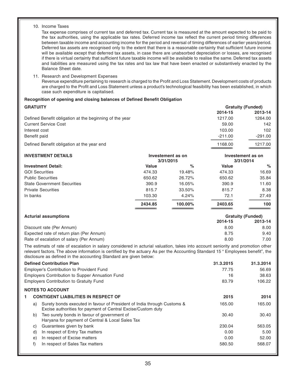#### 10. Income Taxes

Tax expense comprises of current tax and deferred tax. Current tax is measured at the amount expected to be paid to the tax authorities, using the applicable tax rates. Deferred income tax reflect the current period timing differences between taxable income and accounting income for the period and reversal of timing differences of earlier years/period. Deferred tax assets are recognised only to the extent that there is a reasonable certainty that sufficient future income will be available except that deferred tax assets, in case there are unabsorbed depreciation or losses, are recognised if there is virtual certainty that sufficient future taxable income will be available to realise the same. Deferred tax assets and liabilities are measured using the tax rates and tax law that have been enacted or substantively enacted by the Balance Sheet date.

11. Research and Development Expenses

Revenue expenditure pertaining to research is charged to the Profit and Loss Statement. Development costs of products are charged to the Profit and Loss Statement unless a product's technological feasibility has been established, in which case such expenditure is capitalised.

#### **Recognition of opening and closing balances of Defined Benefit Obligation**

| <b>GRATUITY</b>                                         | <b>Gratuity (Funded)</b> |                  |  |
|---------------------------------------------------------|--------------------------|------------------|--|
|                                                         | 2014-15                  | 2013-14          |  |
| Defined Benefit obligation at the beginning of the year | 1217.00                  | 1264.00          |  |
| <b>Current Service Cost</b>                             | 59.00                    | 142              |  |
| Interest cost                                           | 103.00                   | 102 <sub>2</sub> |  |
| Benefit paid                                            | $-211.00$                | $-291.00$        |  |
| Defined Benefit obligation at the year end              | 1168.00                  | 1217.00          |  |

| <b>INVESTMENT DETAILS</b>          | Investement as on<br>3/31/2015 |           | Investement as on<br>3/31/2014 |       |
|------------------------------------|--------------------------------|-----------|--------------------------------|-------|
| <b>Investment Detail:</b>          | <b>Value</b>                   | $\%$      | Value                          | %     |
| <b>GOI Securities</b>              | 474.33                         | 19.48%    | 474.33                         | 16.69 |
| <b>Public Securities</b>           | 650.62                         | 26.72%    | 650.62                         | 35.84 |
| <b>State Government Securities</b> | 390.9                          | 16.05%    | 390.9                          | 11.60 |
| <b>Private Securities</b>          | 815.7                          | $33.50\%$ | 815.7                          | 8.38  |
| In banks                           | 103.30                         | 4.24%     | 72.1                           | 27.49 |
|                                    | 2434.85                        | 100.00%   | 2403.65                        | 100   |

| <b>Acturial assumptions</b>              |         | <b>Gratuity (Funded)</b> |
|------------------------------------------|---------|--------------------------|
|                                          | 2014-15 | 2013-14                  |
| Discount rate (Per Annum)                | 8.00    | 8.00                     |
| Expected rate of return plan (Per Annum) | 8.75    | 9.40                     |
| Rate of escalation of salary (Per Annum) | 8.00    | 7.00                     |

The estimats of rate of escalation in salary considered in acturial valuation, takes into account seniority and promotion other relevant factors. The above information is certified by the actuary As per the Accounting Standard 15 " Employees benefit", the disclosure as defined in the accounting Standard are given below:

|    | <b>Defined Contribution Plan</b>                |                                                                                                                                         | 31.3.2015 | 31.3.2014 |
|----|-------------------------------------------------|-----------------------------------------------------------------------------------------------------------------------------------------|-----------|-----------|
|    |                                                 | Employer's Contribution to Provident Fund                                                                                               | 77.75     | 56.69     |
|    | Employers Contribution to Supper Annuation Fund |                                                                                                                                         | 16        | 38.63     |
|    | <b>Employers Contribution to Gratuity Fund</b>  |                                                                                                                                         | 83.79     | 106.22    |
|    |                                                 | <b>NOTES TO ACCOUNT</b>                                                                                                                 |           |           |
| 1. |                                                 | <b>CONTIGENT LIABILITIES IN RESPECT OF</b>                                                                                              | 2015      | 2014      |
|    | a)                                              | Surety bonds executed in favour of President of India through Customs &<br>Excise authorities for payment of Central Excise/Custom duty | 165.00    | 165.00    |
|    | b)                                              | Two surety bonds in favour of government of<br>Haryana for payment of Central & Local Sales Tax                                         | 30.40     | 30.40     |
|    | C)                                              | Guarantees given by bank                                                                                                                | 230.04    | 563.05    |
|    | d)                                              | In respect of Entry Tax matters                                                                                                         | 0.00      | 5.00      |
|    | e)                                              | In respect of Excise matters                                                                                                            | 0.00      | 52.00     |
|    | f)                                              | In respect of Sales Tax matters                                                                                                         | 580.50    | 568.07    |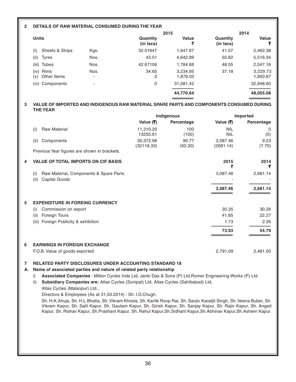|                                           |                                  |                       | 2015                 |                       | 2014                 |
|-------------------------------------------|----------------------------------|-----------------------|----------------------|-----------------------|----------------------|
| <b>Units</b>                              |                                  | Quantity<br>(in lacs) | <b>Value</b><br>₹    | Quantity<br>(in lacs) | Value<br>₹           |
| Sheets & Strips<br>(i)                    | Kgs.                             | 32.01647              | 1.647.67             | 41.07                 | 2,462.38             |
| (ii)<br>Tyres                             | Nos.                             | 43.51                 | 4,642.89             | 50.82                 | 5,516.34             |
| (iii)<br>Tubes                            | Nos.                             | 42.67106              | 1,784.68             | 48.55                 | 2,047.16             |
| <b>Rims</b><br>(iv)<br>Other Items<br>(v) | Nos.<br>$\overline{\phantom{a}}$ | 34.65<br>0            | 3,234.95<br>1.879.03 | 37.18                 | 3.229.73<br>1,850.87 |
| (vi) Components                           | -                                | 0                     | 31,581.42            |                       | 32,948.60            |
|                                           |                                  |                       | 44,770.64            |                       | 48,055.08            |

#### **3 VALUE OF IMPORTED AND INDIGENOUS RAW MATERIAL SPARE PARTS AND COMPONENTS CONSUMED DURING THE YEAR**

|   |                                                                        | Indigenous              |                  | Imported                 |                   |
|---|------------------------------------------------------------------------|-------------------------|------------------|--------------------------|-------------------|
|   |                                                                        | Value (そ)               | Percentage       | Value (そ)                | <b>Percentage</b> |
|   | <b>Raw Material</b><br>(i)                                             | 11,310.20<br>13255.61   | 100<br>(100)     | <b>NIL</b><br><b>NIL</b> | $\Omega$<br>(0)   |
|   | Components<br>(ii)                                                     | 30,372.98<br>(32118.33) | 90.77<br>(92.30) | 3,087.46<br>(2681.14)    | 9.23<br>(7.70)    |
|   | Previous Year figures are shown in brackets.                           |                         |                  |                          |                   |
| 4 | <b>VALUE OF TOTAL IMPORTS ON CIF BASIS</b>                             |                         |                  | 2015<br>₹                | 2014<br>₹         |
|   | Raw Material, Components & Spare Parts<br>(i)<br>Capital Goods<br>(ii) |                         |                  | 3,087.46                 | 2,681.14          |
|   |                                                                        |                         |                  | 3,087.46                 | 2,681.14          |
| 5 | <b>EXPENDITURE IN FOREING CURRENCY</b>                                 |                         |                  |                          |                   |
|   | Commission on export<br>(i)                                            |                         |                  | 30.35                    | 30.26             |
|   | Foreign Tours<br>(ii)                                                  |                         |                  | 41.85                    | 22.27             |
|   | Foreign Publicity & exhibition<br>(iii)                                |                         |                  | 1.73                     | 2.26              |
|   |                                                                        |                         |                  | 73.93                    | 54.79             |
| 6 | <b>EARNINGS IN FOREIGN EXCHANGE</b>                                    |                         |                  |                          |                   |
|   | F.O.B. Value of goods exported                                         |                         |                  | 2,791.09                 | 2,481.00          |

#### **7 RELATED PARTY DISCLOSURES UNDER ACCOUNTING STANDARD 18**

#### **A. Name of associated parties and nature of related party relationship**

- i) **Associated Companies** : Milton Cycles Inds Ltd, Janki Das & Sons (P) Ltd,Romer Engineering Works (P) Ltd
- ii) **Subsidiary Companies are:** Atlas Cycles (Sonipat) Ltd, Atlas Cycles (Sahibabad) Ltd,

Atlas Cycles (Malanpur) Ltd.,

Directors & Employees (As at 31.03.2014) : Sh. I.D.Chugh,

Sh. H.K.Ahuja, Sh. H.L.Bhatia, Sh. Vikram Khosla, Sh. Kartik Roop Rai, Sh. Sanjiv Kavaljit Singh, Sh. Veena Buber, Sh. Vikram Kapur, Sh. Salil Kapur, Sh. Gautam Kapur, Sh. Girish Kapur, Sh. Sanjay Kapur, Sh. Rajiv Kapur, Sh. Angad Kapur, Sh. Rishav Kapur, Sh.Prashant Kapur, Sh. Rahul Kapur,Sh.Sidhant Kapur,Sh.Abhinav Kapur,Sh.Ashwin Kapur.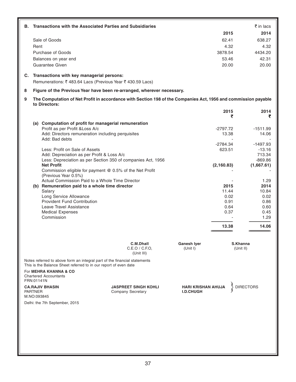| В. | <b>Transactions with the Associated Parties and Subsidiaries</b>                                                                |                                           |                                 |                       | $\bar{\tau}$ in lacs |
|----|---------------------------------------------------------------------------------------------------------------------------------|-------------------------------------------|---------------------------------|-----------------------|----------------------|
|    |                                                                                                                                 |                                           |                                 | 2015                  | 2014                 |
|    | Sale of Goods                                                                                                                   |                                           |                                 | 62.41                 | 638.27               |
|    | Rent                                                                                                                            |                                           |                                 | 4.32                  | 4.32                 |
|    | <b>Purchase of Goods</b>                                                                                                        |                                           |                                 | 3878.54               | 4434.20              |
|    | Balances on year end                                                                                                            |                                           |                                 | 53.46                 | 42.31                |
|    | <b>Guarantee Given</b>                                                                                                          |                                           |                                 | 20.00                 | 20.00                |
|    | C. Transactions with key managerial persons:                                                                                    |                                           |                                 |                       |                      |
|    | Remunerations: ₹483.64 Lacs (Previous Year ₹430.59 Lacs)                                                                        |                                           |                                 |                       |                      |
| 8  | Figure of the Previous Year have been re-arranged, wherever necessary.                                                          |                                           |                                 |                       |                      |
| 9  | The Computation of Net Profit in accordance with Section 198 of the Companies Act, 1956 and commission payable<br>to Directors: |                                           |                                 |                       |                      |
|    |                                                                                                                                 |                                           |                                 | 2015                  | 2014                 |
|    |                                                                                                                                 |                                           |                                 | ₹                     | ₹                    |
|    | (a) Computation of profit for managerial remuneration<br>Profit as per Profit & Loss A/c                                        |                                           |                                 | $-2797.72$            | $-1511.99$           |
|    | Add: Directors remuneration including perquisites                                                                               |                                           |                                 | 13.38                 | 14.06                |
|    | Add: Bad debts                                                                                                                  |                                           |                                 |                       |                      |
|    |                                                                                                                                 |                                           |                                 | $-2784.34$            | $-1497.93$           |
|    | Less: Profit on Sale of Assets<br>Add: Depreciation as per Profit & Loss A/c                                                    |                                           |                                 | 623.51                | $-13.16$<br>713.34   |
|    | Less: Depreciation as per Section 350 of companies Act, 1956                                                                    |                                           |                                 |                       | $-869.86$            |
|    | <b>Net Profit</b>                                                                                                               |                                           |                                 | (2, 160.83)           | (1,667.61)           |
|    | Commission eligible for payment @ 0.5% of the Net Profit<br>(Previous Year 0.5%)                                                |                                           |                                 |                       |                      |
|    | Actual Commission Paid to a Whole Time Director                                                                                 |                                           |                                 |                       | 1.29                 |
|    | (b) Remuneration paid to a whole time director                                                                                  |                                           |                                 | 2015                  | 2014                 |
|    | Salary                                                                                                                          |                                           |                                 | 11.44                 | 10.84                |
|    | Long Service Allowance<br><b>Provident Fund Contribution</b>                                                                    |                                           |                                 | 0.02<br>0.91          | 0.02<br>0.86         |
|    | Leave Travel Assistance                                                                                                         |                                           |                                 | 0.64                  | 0.60                 |
|    | <b>Medical Expenses</b>                                                                                                         |                                           |                                 | 0.37                  | 0.45                 |
|    | Commission                                                                                                                      |                                           |                                 |                       | 1.29                 |
|    |                                                                                                                                 |                                           |                                 | 13.38                 | 14.06                |
|    |                                                                                                                                 |                                           |                                 |                       |                      |
|    |                                                                                                                                 | C.M.Dhall<br>C.E.O / C.F.O.<br>(Unit III) | <b>Ganesh Iyer</b><br>(Unit I)  | S.Khanna<br>(Unit II) |                      |
|    | Notes referred to above form an integral part of the financial statements                                                       |                                           |                                 |                       |                      |
|    | This is the Balance Sheet referred to in our report of even date                                                                |                                           |                                 |                       |                      |
|    | For <b>MEHRA KHANNA &amp; CO</b><br><b>Chartered Accountants</b>                                                                |                                           |                                 |                       |                      |
|    | FRN:01141N                                                                                                                      |                                           |                                 |                       |                      |
|    | <b>CA.RAJIV BHASIN</b>                                                                                                          | <b>JASPREET SINGH KOHLI</b>               | HARI KRISHAN AHUJA<br>I.D.CHUGH |                       | <b>DIRECTORS</b>     |
|    | <b>PARTNER</b><br>M.NO:093845                                                                                                   | Company Secretary                         |                                 |                       |                      |
|    | Delhi: the 7th September, 2015                                                                                                  |                                           |                                 |                       |                      |
|    |                                                                                                                                 |                                           |                                 |                       |                      |
|    |                                                                                                                                 |                                           |                                 |                       |                      |
|    |                                                                                                                                 |                                           |                                 |                       |                      |
|    |                                                                                                                                 |                                           |                                 |                       |                      |
|    |                                                                                                                                 |                                           |                                 |                       |                      |
|    |                                                                                                                                 |                                           |                                 |                       |                      |
|    |                                                                                                                                 |                                           |                                 |                       |                      |
|    |                                                                                                                                 |                                           |                                 |                       |                      |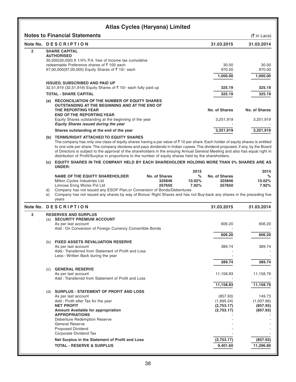|                |          | <b>Atlas Cycles (Haryana) Limited</b>                                                                                                                                                                                                                                                                                                                                                                                                                                                                                                                                                                                                                         |                                                                  |                                              |
|----------------|----------|---------------------------------------------------------------------------------------------------------------------------------------------------------------------------------------------------------------------------------------------------------------------------------------------------------------------------------------------------------------------------------------------------------------------------------------------------------------------------------------------------------------------------------------------------------------------------------------------------------------------------------------------------------------|------------------------------------------------------------------|----------------------------------------------|
|                |          | <b>Notes to Financial Statements</b>                                                                                                                                                                                                                                                                                                                                                                                                                                                                                                                                                                                                                          |                                                                  | $(5 \in \text{Ln}$ Lacs)                     |
|                |          | Note No. DESCRIPTION                                                                                                                                                                                                                                                                                                                                                                                                                                                                                                                                                                                                                                          | 31.03.2015                                                       | 31.03.2014                                   |
| $\overline{2}$ |          | <b>SHARE CAPITAL</b><br><b>AUTHORISED</b><br>30,000(30,000) 6 1/4% P.A. free of Income tax cumulative<br>redeemable Preference shares of ₹100 each<br>97,00,000(97,00,000) Equity Shares of ₹10/- each                                                                                                                                                                                                                                                                                                                                                                                                                                                        | 30.00<br>970.00<br>1,000.00                                      | 30.00<br>970.00<br>1,000.00                  |
|                |          | <b>ISSUED, SUBSCRIBED AND PAID UP</b>                                                                                                                                                                                                                                                                                                                                                                                                                                                                                                                                                                                                                         |                                                                  |                                              |
|                |          | 32,51,919 (32,51,919) Equity Shares of ₹ 10/- each fully paid up                                                                                                                                                                                                                                                                                                                                                                                                                                                                                                                                                                                              | 325.19                                                           | 325.19                                       |
|                |          | <b>TOTAL - SHARE CAPITAL</b>                                                                                                                                                                                                                                                                                                                                                                                                                                                                                                                                                                                                                                  | 325.19                                                           | 325.19                                       |
|                | (a)      | <b>RECONCILIATION OF THE NUMBER OF EQUITY SHARES</b><br><b>OUTSTANDING AT THE BEGINNING AND AT THE END OF</b><br>THE REPORTING YEAR<br><b>END OF THE REPORTING YEAR</b><br>Equity Shares outstanding at the beginning of the year<br>Equity Shares issued during the year                                                                                                                                                                                                                                                                                                                                                                                     | <b>No. of Shares</b><br>3,251,919                                | <b>No. of Shares</b><br>3,251,919            |
|                |          | Shares outstanding at the end of the year                                                                                                                                                                                                                                                                                                                                                                                                                                                                                                                                                                                                                     | 3,251,919                                                        | 3,251,919                                    |
|                | (c)      | (b) TERMS/RIGHT ATTACHED TO EQUITY SHARES<br>The company has only one class of equity shares having a par value of $\bar{\tau}$ 10 per share. Each holder of equity shares is entitled<br>to one vote per share. The company declares and pays dividends in Indian rupees. The dividend proposed, if any, by the Board<br>of Directors is subject to the approval of the shareholders in the ensuing Annual General Meeting and also has equal right in<br>distribution of Profit/Surplus in proportions to the number of equity shares held by the shareholders.<br>EQUITY SHARES IN THE COMPANY HELD BY EACH SHAREHOLDER HOLDING MORE THAN 5% SHARES ARE AS |                                                                  |                                              |
|                |          | <b>UNDER:</b>                                                                                                                                                                                                                                                                                                                                                                                                                                                                                                                                                                                                                                                 | 2015                                                             | 2014                                         |
|                | d)<br>e) | <b>No. of Shares</b><br><b>NAME OF THE EQUITY SHAREHOLDER</b><br>Milton Cycles Industries Ltd<br>325846<br>Limrose Enng Works Pvt Ltd<br>257650<br>Company has not issued any ESOP Plan, or Conversion of Bonds/Debentures<br>Company has not issued any shares by way of Bonus/ Right Shares and has not Buy-back any shares in the preceding five<br>years                                                                                                                                                                                                                                                                                                  | %<br><b>No. of Shares</b><br>10.02%<br>325846<br>7.92%<br>257650 | ℅<br>10.02%<br>7.92%                         |
|                |          | Note No. DESCRIPTION                                                                                                                                                                                                                                                                                                                                                                                                                                                                                                                                                                                                                                          | 31.03.2015                                                       | 31.03.2014                                   |
| 3              |          | <b>RESERVES AND SURPLUS</b><br>(a) SECURITY PREMIUM ACCOUNT<br>As per last account<br>Add: On Conversion of Foreign Currency Convertible Bonds                                                                                                                                                                                                                                                                                                                                                                                                                                                                                                                | 606.20<br>606.20                                                 | 606.20<br>606.20                             |
|                | (b)      | <b>FIXED ASSETS REVALUATION RESERVE</b>                                                                                                                                                                                                                                                                                                                                                                                                                                                                                                                                                                                                                       |                                                                  |                                              |
|                |          | As per last account<br>Add:- Transferred from Statement of Profit and Loss<br>Less:- Written Back during the year                                                                                                                                                                                                                                                                                                                                                                                                                                                                                                                                             | 389.74                                                           | 389.74                                       |
|                |          |                                                                                                                                                                                                                                                                                                                                                                                                                                                                                                                                                                                                                                                               | 389.74                                                           | 389.74                                       |
|                | (c)      | <b>GENERAL RESERVE</b><br>As per last account<br>Add: Transferred from Statement of Profit and Loss                                                                                                                                                                                                                                                                                                                                                                                                                                                                                                                                                           | 11,158.83                                                        | 11,158.79<br>11,158.79                       |
|                |          | (d) SURPLUS - STATEMENT OF PROFIT AND LOSS                                                                                                                                                                                                                                                                                                                                                                                                                                                                                                                                                                                                                    | 11,158.83                                                        |                                              |
|                |          | As per last account<br>Add: Profit after Tax for the year<br><b>NET PROFIT</b><br>Amount Available for appropriation<br><b>APPROPRIATIONS</b><br><b>Debenture Redemption Reserve</b><br>General Reserve<br><b>Proposed Dividend</b><br>Corporate Dividend Tax                                                                                                                                                                                                                                                                                                                                                                                                 | (857.93)<br>(1,895.24)<br>(2,753.17)<br>(2,753.17)               | 149.73<br>(1,007.66)<br>(857.93)<br>(857.93) |
|                |          | Net Surplus in the Statement of Profit and Loss<br><b>TOTAL - RESERVE &amp; SURPLUS</b>                                                                                                                                                                                                                                                                                                                                                                                                                                                                                                                                                                       | (2,753.17)<br>9,401.60                                           | (857.93)<br>11,296.80                        |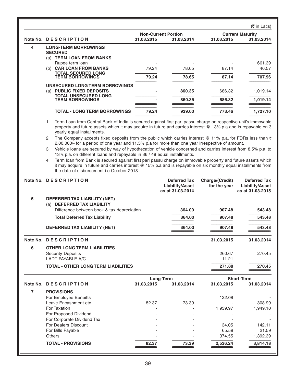|   |                                                                                                                                                                                                                                                                |                            |            |                         | $(5 \in \text{Ln}$ Lacs) |
|---|----------------------------------------------------------------------------------------------------------------------------------------------------------------------------------------------------------------------------------------------------------------|----------------------------|------------|-------------------------|--------------------------|
|   |                                                                                                                                                                                                                                                                | <b>Non-Current Portion</b> |            | <b>Current Maturity</b> |                          |
|   | Note No. DESCRIPTION                                                                                                                                                                                                                                           | 31.03.2015                 | 31.03.2014 | 31.03.2015              | 31.03.2014               |
| 4 | <b>LONG-TERM BORROWINGS</b><br><b>SECURED</b><br><b>TERM LOAN FROM BANKS</b><br>(a)                                                                                                                                                                            |                            |            |                         |                          |
|   | Rupee term loan                                                                                                                                                                                                                                                |                            |            |                         | 661.39                   |
|   | (b) CAR LOAN FROM BANKS                                                                                                                                                                                                                                        | 79.24                      | 78.65      | 87.14                   | 46.57                    |
|   | <b>TOTAL SECURED LONG</b><br><b>TERM BORROWINGS</b>                                                                                                                                                                                                            | 79.24                      | 78.65      | 87.14                   | 707.96                   |
|   | UNSECURED LONG TERM BORROWINGS<br>(a) PUBLIC FIXED DEPOSITS                                                                                                                                                                                                    |                            | 860.35     | 686.32                  | 1,019.14                 |
|   | <b>TOTAL UNSECURED LONG</b><br><b>TERM BORROWINGS</b>                                                                                                                                                                                                          |                            | 860.35     | 686.32                  | 1,019.14                 |
|   | <b>TOTAL - LONG TERM BORROWINGS</b>                                                                                                                                                                                                                            | 79.24                      | 939.00     | 773.46                  | 1,727.10                 |
|   | Term Loan from Central Bank of India is secured against first pari passu charge on respective unit's immovable<br>property and future assets which it may acquire in future and carries interest @ 13% p.a and is repayable on 3<br>yearly equal installments. |                            |            |                         |                          |

2 The Company accepts fixed deposits from the public which carries interest @ 11% p.a. for FDRs less than  $\bar{\tau}$ 2,00,000/- for a period of one year and 11.5% p.a for more than one year irrespective of amount.

3 Vehicle loans are secured by way of hypothecation of vehicle concerned and carries interest from 8.5% p.a. to 13% p.a. on different loans and repayable in 36 / 48 equal installments.

4 Term loan from Bank is secured against first pari passu charge on immovable property and future assets which it may acquire in future and carries interest @ 15% p.a and is repayable on six monthly equal installments from the date of disbursement i.e October 2013.

|   | Note No. DESCRIPTION                                                 | <b>Deferred Tax</b><br><b>Liability/Asset</b><br>as at 31.03.2014 | <b>Charge/(Credit)</b><br>for the year | <b>Deferred Tax</b><br><b>Liability/Asset</b><br>as at 31.03.2015 |
|---|----------------------------------------------------------------------|-------------------------------------------------------------------|----------------------------------------|-------------------------------------------------------------------|
| 5 | DEFERRED TAX LIABILITY (NET)<br><b>DEFERRED TAX LIABILITY</b><br>(a) |                                                                   |                                        |                                                                   |
|   | Difference between book & tax depreciation                           | 364.00                                                            | 907.48                                 | 543.48                                                            |
|   | <b>Total Deferred Tax Liability</b>                                  | 364.00                                                            | 907.48                                 | 543.48                                                            |
|   | DEFERRED TAX LIABILITY (NET)                                         | 364.00                                                            | 907.48                                 | 543.48                                                            |
|   | Note No. DESCRIPTION                                                 |                                                                   | 31.03.2015                             | 31.03.2014                                                        |
| 6 | <b>OTHER LONG TERM LIABILITIES</b>                                   |                                                                   |                                        |                                                                   |
|   | <b>Security Deposits</b>                                             |                                                                   | 260.67                                 | 270.45                                                            |
|   | <b>LADT PAYABLE A/C</b>                                              |                                                                   | 11.21                                  |                                                                   |
|   | <b>TOTAL - OTHER LONG TERM LIABILITIES</b>                           |                                                                   | 271.88                                 | 270.45                                                            |
|   |                                                                      |                                                                   |                                        |                                                                   |

|   | Note No. DESCRIPTION       | Long-Term  |            | <b>Short-Term</b> |            |
|---|----------------------------|------------|------------|-------------------|------------|
|   |                            | 31.03.2015 | 31.03.2014 | 31.03.2015        | 31.03.2014 |
| 7 | <b>PROVISIONS</b>          |            |            |                   |            |
|   | For Employee Beneifts      |            |            | 122.08            |            |
|   | Leave Encashment etc       | 82.37      | 73.39      |                   | 308.99     |
|   | For Taxation               |            |            | 1,939.97          | 1,949.10   |
|   | For Proposed Dividend      |            |            |                   |            |
|   | For Corporate Dividend Tax |            |            |                   |            |
|   | For Dealers Discount       |            |            | 34.05             | 142.11     |
|   | For Bills Payable          |            |            | 65.59             | 21.59      |
|   | Others                     |            |            | 374.55            | 1,392.39   |
|   | <b>TOTAL - PROVISIONS</b>  | 82.37      | 73.39      | 2,536.24          | 3,814.18   |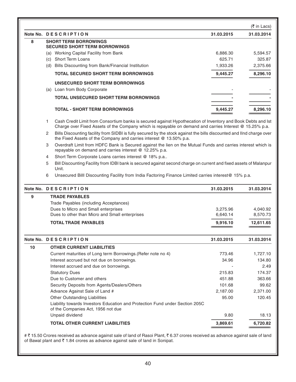|   |     |                                                                                                              |            | $(5 \in \text{Ln}$ Lacs) |
|---|-----|--------------------------------------------------------------------------------------------------------------|------------|--------------------------|
|   |     | Note No. DESCRIPTION                                                                                         | 31.03.2015 | 31.03.2014               |
| 8 |     | <b>SHORT TERM BORROWINGS</b><br><b>SECURED SHORT TERM BORROWINGS</b>                                         |            |                          |
|   | (a) | Working Capital Facility from Bank                                                                           | 6,886.30   | 5,594.57                 |
|   | (c) | Short Term Loans                                                                                             | 625.71     | 325.87                   |
|   | (d) | Bills Discounting from Bank/Financial Institution                                                            | 1,933.26   | 2,375.66                 |
|   |     | <b>TOTAL SECURED SHORT TERM BORROWINGS</b>                                                                   | 9,445.27   | 8,296.10                 |
|   |     | UNSECURED SHORT TERM BORROWINGS                                                                              |            |                          |
|   | (a) | Loan from Body Corporate                                                                                     | ۰          |                          |
|   |     | <b>TOTAL UNSECURED SHORT TERM BORROWINGS</b>                                                                 |            |                          |
|   |     | <b>TOTAL - SHORT TERM BORROWINGS</b>                                                                         | 9.445.27   | 8,296.10                 |
|   |     | Cash Credit Limit from Consortium banks is secured against Hypothecation of Inventory and Book Debts and Ist |            |                          |

1 Cash Credit Limit from Consortium banks is secured against Hypothecation of Inventory and Book Debts and Ist Charge over Fixed Assets of the Company which is repayable on demand and carries Interest @ 15.25% p.a.

2 Bills Discounting facility from SIDBI is fully secured by the stock against the bills discounted and IInd charge over the Fixed Assets of the Company and carries interest @ 13.50% p.a.

3 Overdraft Limit from HDFC Bank is Secured against the lien on the Mutual Funds and carries interest which is repayable on demand and carries interest @ 12.25% p.a.

4 Short Term Corporate Loans carries interest @ 18% p.a..

5 Bill Discounting Facility from IDBI bank is secured against second charge on current and fixed assets of Malanpur Unit.

6 Unsecured Billl Discounting Facility from India Factoring Finance Limited carries interest@ 15% p.a.

|    | Note No. DESCRIPTION                                                                                               | 31.03.2015 | 31.03.2014 |
|----|--------------------------------------------------------------------------------------------------------------------|------------|------------|
| 9  | <b>TRADE PAYABLES</b>                                                                                              |            |            |
|    | Trade Payables (including Acceptances)                                                                             |            |            |
|    | Dues to Micro and Small enterprises                                                                                | 3,275.96   | 4,040.92   |
|    | Dues to other than Micro and Small enterprises                                                                     | 6,640.14   | 8,570.73   |
|    | <b>TOTAL TRADE PAYABLES</b>                                                                                        | 9,916.10   | 12,611.65  |
|    | Note No. DESCRIPTION                                                                                               | 31.03.2015 | 31.03.2014 |
| 10 | <b>OTHER CURRENT LIABILITIES</b>                                                                                   |            |            |
|    | Current maturities of Long term Borrowings. (Refer note no 4)                                                      | 773.46     | 1,727.10   |
|    | Interest accrued but not due on borrowings.                                                                        | 34.96      | 134.80     |
|    | Interest accrued and due on borrowings.                                                                            |            | 2.49       |
|    | <b>Statutory Dues</b>                                                                                              | 215.83     | 174.37     |
|    | Due to Customer and others                                                                                         | 451.88     | 363.66     |
|    | Security Deposits from Agents/Dealers/Others                                                                       | 101.68     | 99.62      |
|    | Advance Against Sale of Land #                                                                                     | 2,187.00   | 2,371.00   |
|    | Other Outstanding Liabilities                                                                                      | 95.00      | 120.45     |
|    | Liability towards Investors Education and Protection Fund under Section 205C<br>of the Companies Act, 1956 not due |            |            |
|    | Unpaid dividend                                                                                                    | 9.80       | 18.13      |
|    | <b>TOTAL OTHER CURRENT LIABILITIES</b>                                                                             | 3,869.61   | 6,720.82   |

# ₹ 15.50 Crores received as advance against sale of land of Rasoi Plant, ₹ 6.37 crores received as advance against sale of land of Bawal plant and  $\bar{\tau}$  1.84 crores as advance against sale of land in Sonipat.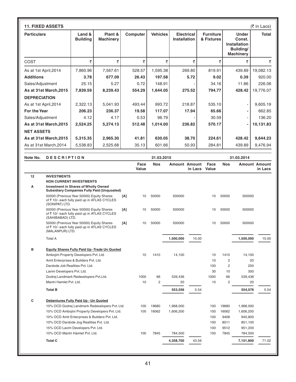| <b>Particulars</b>     | Land &<br><b>Building</b> | Plant &<br><b>Machinery</b> | Computer | <b>Vehicles</b> | <b>Electrical</b><br><b>Installation</b> | <b>Furniture</b><br>& Fixtures | <b>Under</b><br>Const.<br><b>Installation</b><br>Building/<br><b>Machinery</b> | <b>Total</b> |
|------------------------|---------------------------|-----------------------------|----------|-----------------|------------------------------------------|--------------------------------|--------------------------------------------------------------------------------|--------------|
| <b>COST</b>            | ₹                         | ₹                           | ₹        | ₹               | ₹                                        | ₹                              | ₹                                                                              | ₹            |
| As at 1st April, 2014  | 7,860.96                  | 7,567.61                    | 528.57   | 1,595.38        | 269.80                                   | 819.91                         | 439.89                                                                         | 19,082.13    |
| <b>Additions</b>       | 3.78                      | 677.09                      | 26.43    | 197.58          | 5.72                                     | 9.02                           | 0.39                                                                           | 920.00       |
| Sales/Adjustment       | 25.15                     | 5.27                        | 0.72     | 148.91          |                                          | 34.16                          | 11.86                                                                          | 226.06       |
| As at 31st March, 2015 | 7,839.59                  | 8,239.43                    | 554.29   | 1,644.05        | 275.52                                   | 794.77                         | 428.42                                                                         | 19,776.07    |
| <b>DEPRECIATION</b>    |                           |                             |          |                 |                                          |                                |                                                                                |              |
| As at 1st April, 2014  | 2,322.13                  | 5,041.93                    | 493.44   | 993.72          | 218.87                                   | 535.10                         |                                                                                | 9,605.19     |
| For the Year           | 206.23                    | 236.37                      | 19.58    | 117.07          | 17.94                                    | 65.66                          |                                                                                | 662.85       |
| Sales/Adjustment       | 4.12                      | 4.17                        | 0.53     | 96.79           |                                          | 30.59                          |                                                                                | 136.20       |
| As at 31st March, 2015 | 2,524.25                  | 5,274.13                    | 512.48   | 1,014.00        | 236.82                                   | 570.17                         |                                                                                | 10,131.83    |
| <b>NET ASSETS</b>      |                           |                             |          |                 |                                          |                                |                                                                                |              |
| As at 31st March, 2015 | 5,315.35                  | 2,965.30                    | 41.81    | 630.05          | 38.70                                    | 224.61                         | 428.42                                                                         | 9,644.23     |
| As at 31st March, 2014 | 5,538.83                  | 2,525.68                    | 35.13    | 601.66          | 50.93                                    | 284.81                         | 439.89                                                                         | 9,476.94     |

| Note No.    | <b>DESCRIPTION</b>                                                                                            | 31.03.2015 |               |                |           | 31.03.2014                      |               |                |                      |         |
|-------------|---------------------------------------------------------------------------------------------------------------|------------|---------------|----------------|-----------|---------------------------------|---------------|----------------|----------------------|---------|
|             |                                                                                                               |            | Face<br>Value | <b>Nos</b>     |           | <b>Amount Amount</b><br>in Lacs | Face<br>Value | <b>Nos</b>     | <b>Amount Amount</b> | in Lacs |
| 12          | <b>INVESTMENTS</b>                                                                                            |            |               |                |           |                                 |               |                |                      |         |
|             | <b>NON CURRENT INVESTMENTS</b>                                                                                |            |               |                |           |                                 |               |                |                      |         |
| Α           | <b>Investment in Shares of Wholly Owned</b><br><b>Subsidiary Companies Fully Paid (Unquoated)</b>             |            |               |                |           |                                 |               |                |                      |         |
|             | 50000 (Previous Year 50000) Equity Shares<br>of ₹10/- each fully paid up in ATLAS CYCLES<br>(SONIPAT) LTD.    | [A]        | 10            | 50000          | 500000    |                                 | 10            | 50000          | 500000               |         |
|             | 50000 (Previous Year 50000) Equity Shares<br>of ₹ 10/- each fully paid up in ATLAS CYCLES<br>(SAHIBABAD) LTD. | [A]        | 10            | 50000          | 500000    |                                 | 10            | 50000          | 500000               |         |
|             | 50000 (Previous Year 50000) Equity Shares<br>of ₹ 10/- each fully paid up in ATLAS CYCLES<br>(MALANPUR) LTD.  | [A]        | 10            | 50000          | 500000    |                                 | 10            | 50000          | 500000               |         |
|             | <b>Total A</b>                                                                                                |            |               |                | 1,500,000 | 15.00                           |               |                | 1,500,000            | 15.00   |
| в           | <b>Equity Shares Fully Paid Up - Trade Un Quoted</b>                                                          |            |               |                |           |                                 |               |                |                      |         |
|             | Ambojini Property Developers Pvt. Ltd.                                                                        |            | 10            | 1410           | 14,100    |                                 | 10            | 1410           | 14,100               |         |
|             | Amit Enterprises & Builders Pvt. Ltd.                                                                         |            |               |                |           |                                 | 10            | 2              | 20                   |         |
|             | Dardode Job Realities Pvt. Ltd.                                                                               |            |               |                |           |                                 | 100           | 2              | 200                  |         |
|             | Lavim Developers Pvt. Ltd.                                                                                    |            |               |                |           |                                 | 30            | 10             | 300                  |         |
|             | Godrej Landmark Redevelopers Pvt.Ltd.                                                                         |            | 1000          | 66             | 539,436   |                                 | 1000          | 66             | 539,436              |         |
|             | Mantri Hamlet Pvt. Ltd.                                                                                       |            | 10            | $\overline{2}$ | 20        |                                 | 10            | $\overline{2}$ | 20                   |         |
|             | <b>Total B</b>                                                                                                |            |               |                | 553,556   | 5.54                            |               |                | 554,076              | 5.54    |
| $\mathbf c$ | Debentures Fully Paid Up - Un Quoted                                                                          |            |               |                |           |                                 |               |                |                      |         |
|             | 10% OCD Godrej Landmark Redevelopers Pvt. Ltd.                                                                |            | 100           | 19680          | 1,968,000 |                                 | 100           | 19680          | 1,968,000            |         |
|             | 10% OCD Ambojini Property Developers Pvt. Ltd.                                                                |            | 100           | 16062          | 1,606,200 |                                 | 100           | 16062          | 1,606,200            |         |
|             | 10% OCD Amit Enterprises & Builders Pvt. Ltd.                                                                 |            |               |                |           |                                 | 100           | 9408           | 940,800              |         |
|             | 10% OCD Dardode Jog Realities Pvt. Ltd.                                                                       |            |               |                |           |                                 | 100           | 8511           | 851,100              |         |
|             | 15% OCD Lavim Developers Pvt. Ltd.                                                                            |            |               |                |           |                                 | 100           | 9512           | 951,200              |         |
|             | 10% OCD Mantri Hamlet Pvt. Ltd.                                                                               |            | 100           | 7845           | 784,500   |                                 | 100           | 7845           | 784,500              |         |
|             | <b>Total C</b>                                                                                                |            |               |                | 4,358,700 | 43.59                           |               |                | 7,101,800            | 71.02   |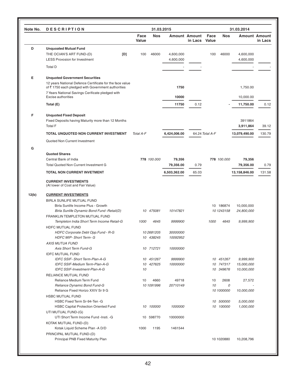| Note No. | <b>DESCRIPTION</b>                                                                                                                                     |               | 31.03.2015  |                 |                                 |                 | 31.03.2014  |               |                                 |  |
|----------|--------------------------------------------------------------------------------------------------------------------------------------------------------|---------------|-------------|-----------------|---------------------------------|-----------------|-------------|---------------|---------------------------------|--|
|          |                                                                                                                                                        | Face<br>Value | Nos         |                 | <b>Amount Amount</b><br>in Lacs | Face<br>Value   | Nos         |               | <b>Amount Amount</b><br>in Lacs |  |
| D        | <b>Unquoated Mutual Fund</b>                                                                                                                           |               |             |                 |                                 |                 |             |               |                                 |  |
|          | THE OCIAN'S ART FUND-(D)<br>[D]                                                                                                                        | 100           | 46000       | 4,600,000       |                                 | 100             | 46000       | 4,600,000     |                                 |  |
|          | <b>LESS Provosion for Investment</b>                                                                                                                   |               |             | 4,600,000       |                                 |                 |             | 4,600,000     |                                 |  |
|          | <b>Total D</b>                                                                                                                                         |               |             |                 |                                 |                 |             |               |                                 |  |
|          |                                                                                                                                                        |               |             |                 |                                 |                 |             |               |                                 |  |
| Е        | <b>Unquoted Government Securities</b><br>12 years National Defence Certificate for the face value<br>of ₹1750 each pledged with Government authorities |               |             | 1750            |                                 |                 |             | 1,750.00      |                                 |  |
|          | 7 Years National Savings Cerificate pledged with<br>Excise authorities                                                                                 |               |             | 10000           |                                 |                 |             | 10,000.00     |                                 |  |
|          | Total (E)                                                                                                                                              |               |             | 11750           | 0.12                            |                 |             | 11,750.00     | 0.12                            |  |
| F        | <b>Unquoted Fixed Deposit</b>                                                                                                                          |               |             |                 |                                 |                 |             |               |                                 |  |
|          | Fixed Deposits having Maturity more than 12 Months                                                                                                     |               |             |                 |                                 |                 |             | 3911864       |                                 |  |
|          | Total F                                                                                                                                                |               |             |                 |                                 |                 |             | 3,911,864     | 39.12                           |  |
|          | TOTAL UNQUOTED NON CURRENT INVESTMENT                                                                                                                  | Total A-F     |             | 6,424,006.00    |                                 | 64.24 Total A-F |             | 13,079,490.00 | 130.79                          |  |
|          | Quoted Non Current Investment                                                                                                                          |               |             |                 |                                 |                 |             |               |                                 |  |
| G        |                                                                                                                                                        |               |             |                 |                                 |                 |             |               |                                 |  |
|          | <b>Quoted Shares</b>                                                                                                                                   |               |             |                 |                                 |                 |             |               |                                 |  |
|          | Central Bank of India                                                                                                                                  |               | 778 100.000 | 79,356          |                                 |                 | 778 100.000 | 79,356        |                                 |  |
|          | <b>Total Quoted Non Current Investment G</b>                                                                                                           |               |             | 79,356.00       | 0.79                            |                 |             | 79,356.00     | 0.79                            |  |
|          | <b>TOTAL NON CURRENT INVETMENT</b>                                                                                                                     |               |             | 6,503,362.00    | 65.03                           |                 |             | 13,158,846.00 | 131.58                          |  |
|          | <b>CURRENT INVESTMENTS</b><br>(At lower of Cost and Fair Value)                                                                                        |               |             |                 |                                 |                 |             |               |                                 |  |
| 12(b)    | <b>CURRENT INVESTMENTS</b>                                                                                                                             |               |             |                 |                                 |                 |             |               |                                 |  |
|          | BIRLA SUNLIFE MUTUAL FUND                                                                                                                              |               |             |                 |                                 |                 |             |               |                                 |  |
|          | Birla Sunlife Income Plus - Growth                                                                                                                     |               |             |                 |                                 |                 | 10 186874   | 10,000,000    |                                 |  |
|          | Birla Sunlife Dynamic Bond Fund -Retail(D)                                                                                                             |               | 10 475081   | 10147821        |                                 |                 | 10 1243158  | 24,800,000    |                                 |  |
|          | <b>FRANKLIN TEMPLETON MUTUAL FUND</b>                                                                                                                  |               |             |                 |                                 |                 |             |               |                                 |  |
|          | Templeton India Short Term Income Retail-G<br><b>HDFC MUTUAL FUND</b>                                                                                  | 1000          | 4645        | 9999900         |                                 | 1000            | 4645        | 9,999,900     |                                 |  |
|          | HDFC Corporate Debt Opp.Fund - R-G                                                                                                                     |               | 10 268 1205 | <i>30000000</i> |                                 |                 |             |               |                                 |  |
|          | <b>HDFC MIP- Short Term- G</b>                                                                                                                         |               | 10 438245   | 10092952        |                                 |                 |             |               |                                 |  |
|          | <b>AXIS MUTUA FUND</b>                                                                                                                                 |               |             |                 |                                 |                 |             |               |                                 |  |
|          | Axis Short Term Fund-G                                                                                                                                 |               | 10 712721   | 10000000        |                                 |                 |             |               |                                 |  |
|          | <b>IDFC MUTUAL FUND</b>                                                                                                                                |               |             |                 |                                 |                 |             |               |                                 |  |
|          | IDFC SSIF-Short Term-Plan-A-G                                                                                                                          |               | 10 451267   | 9999900         |                                 |                 | 10 451267   | 9,999,900     |                                 |  |
|          | IDFC SSIF-Medium Term-Plan-A-G                                                                                                                         |               | 10 427625   | 10000000        |                                 |                 | 10 747317   | 15,000,000    |                                 |  |
|          | IDFC SSIF-Investment-Plan-A-G                                                                                                                          | 10            |             |                 |                                 |                 | 10 349676   | 10,000,000    |                                 |  |
|          | <b>RELIANCE MUTUAL FUND</b>                                                                                                                            |               |             |                 |                                 |                 |             |               |                                 |  |
|          | Reliance Medium Term Fund                                                                                                                              | 10            | 4660        | 49718           |                                 | 10              | 2608        | 27,572        |                                 |  |
|          | Reliance Dynamic Bond Fund-G                                                                                                                           |               | 10 1091996  | 20710149        |                                 | 10              | 0           |               |                                 |  |
|          | Reliance Fixed Horizo XXIV Sr 9 G                                                                                                                      |               |             |                 |                                 |                 | 10 1000000  | 10,000,000    |                                 |  |
|          | <b>HSBC MUTUAL FUND</b>                                                                                                                                |               |             |                 |                                 |                 |             |               |                                 |  |
|          | HSBC Fixed Term Sr-94-Ten -G                                                                                                                           |               |             |                 |                                 |                 | 10 500000   | 5,000,000     |                                 |  |
|          | <b>HSBC Capital Protection Oriented Fund</b>                                                                                                           |               | 10 100000   | 1000000         |                                 |                 | 10 100000   | 1,000,000     |                                 |  |
|          | UTI MUTUAL FUND-(G)                                                                                                                                    |               |             |                 |                                 |                 |             |               |                                 |  |
|          | UTI Short Term Income Fund -Insti. - G                                                                                                                 |               | 10 598770   | 10000000        |                                 |                 |             |               |                                 |  |
|          |                                                                                                                                                        |               |             |                 |                                 |                 |             |               |                                 |  |
|          | KOTAK MUTUAL FUND-(D)                                                                                                                                  |               |             |                 |                                 |                 |             |               |                                 |  |
|          | Kotak Liquid Scheme Plan -A D/D                                                                                                                        | 1000          | 1195        | 1461544         |                                 |                 |             |               |                                 |  |
|          | PRINCIPAL MUTUAL FUND-(D)                                                                                                                              |               |             |                 |                                 |                 |             |               |                                 |  |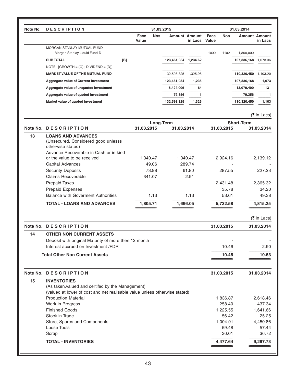| Note No. | <b>DESCRIPTION</b>                                                                                                                                    |               | 31.03.2015     |             |                                 |               |            | 31.03.2014           |                           |
|----------|-------------------------------------------------------------------------------------------------------------------------------------------------------|---------------|----------------|-------------|---------------------------------|---------------|------------|----------------------|---------------------------|
|          |                                                                                                                                                       | Face<br>Value | <b>Nos</b>     |             | <b>Amount Amount</b><br>in Lacs | Face<br>Value | <b>Nos</b> | <b>Amount Amount</b> | in Lacs                   |
|          | MORGAN STANLAY MUTUAL FUND<br>Morgan Stanlay Liquid Fund-D                                                                                            |               |                |             |                                 | 1000          | 1102       | 1,300,000            |                           |
|          | <b>SUB TOTAL</b><br>[B]                                                                                                                               |               |                | 123,461,984 | 1,234.62                        |               |            | 107,336,168          | 1,073.36                  |
|          | NOTE : [GROWTH = $(G)$ ; DIVIDEND = $(D)$ ]                                                                                                           |               |                |             |                                 |               |            |                      |                           |
|          | <b>MARKET VALUE OF THE MUTUAL FUND</b>                                                                                                                |               |                | 132,598,325 | 1,325.98                        |               |            | 110,320,450          | 1,103.20                  |
|          | <b>Aggregate value of Current Investment</b>                                                                                                          |               |                | 123,461,984 | 1,235                           |               |            | 107,336,168          | 1,073                     |
|          | Aggregate value of unquoted investment                                                                                                                |               |                | 6,424,006   | 64                              |               |            | 13,079,490           | 131                       |
|          | Aggregate value of quoted investment                                                                                                                  |               |                | 79,356      | $\mathbf{1}$                    |               |            | 79,356               | $\mathbf{1}$              |
|          | Market value of quoted investment                                                                                                                     |               |                | 132,598,325 | 1,326                           |               |            | 110,320,450          | 1,103                     |
|          |                                                                                                                                                       |               |                |             |                                 |               |            |                      | (₹ in Lacs)               |
|          |                                                                                                                                                       |               | Long-Term      |             |                                 |               |            | <b>Short-Term</b>    |                           |
|          | Note No. DESCRIPTION                                                                                                                                  | 31.03.2015    |                | 31.03.2014  |                                 |               | 31.03.2015 |                      | 31.03.2014                |
| 13       | <b>LOANS AND ADVANCES</b><br>(Unsecured, Considered good unlesss<br>otherwise stated)                                                                 |               |                |             |                                 |               |            |                      |                           |
|          | Advance Recoverable in Cash or in kind                                                                                                                |               |                |             |                                 |               |            |                      |                           |
|          | or the value to be received                                                                                                                           |               | 1,340.47       |             | 1,340.47                        |               | 2,924.16   |                      | 2,139.12                  |
|          | Capital Advances<br><b>Security Deposits</b>                                                                                                          |               | 49.06<br>73.98 |             | 289.74<br>61.80                 |               | 287.55     |                      | 227.23                    |
|          | <b>Claims Recoverable</b>                                                                                                                             |               | 341.07         |             | 2.91                            |               |            |                      |                           |
|          | <b>Prepaid Taxes</b>                                                                                                                                  |               |                |             |                                 |               | 2,431.48   |                      | 2,365.32                  |
|          | <b>Prepaid Expenses</b>                                                                                                                               |               |                |             |                                 |               | 35.78      |                      | 34.20                     |
|          | <b>Balance with Goverment Authorities</b>                                                                                                             |               | 1.13           |             | 1.13                            |               | 53.61      |                      | 49.38                     |
|          | <b>TOTAL - LOANS AND ADVANCES</b>                                                                                                                     | 1,805.71      |                |             | 1,696.05                        |               | 5,732.58   |                      | 4,815.25                  |
|          |                                                                                                                                                       |               |                |             |                                 |               |            |                      |                           |
|          | Note No. DESCRIPTION                                                                                                                                  |               |                |             |                                 |               | 31.03.2015 |                      | (₹ in Lacs)<br>31.03.2014 |
|          |                                                                                                                                                       |               |                |             |                                 |               |            |                      |                           |
| 14       | <b>OTHER NON CURRENT ASSETS</b>                                                                                                                       |               |                |             |                                 |               |            |                      |                           |
|          | Deposit with original Maturity of more then 12 month<br>Interest accrued on Investment /FDR                                                           |               |                |             |                                 |               | 10.46      |                      | 2.90                      |
|          |                                                                                                                                                       |               |                |             |                                 |               |            |                      |                           |
|          | <b>Total Other Non Current Assets</b>                                                                                                                 |               |                |             |                                 |               | 10.46      |                      | 10.63                     |
|          | Note No. DESCRIPTION                                                                                                                                  |               |                |             |                                 |               | 31.03.2015 |                      | 31.03.2014                |
| 15       | <b>INVENTORIES</b><br>(As taken, valued and certifed by the Management)<br>(valued at lower of cost and net realisable value unless otherwise stated) |               |                |             |                                 |               |            |                      |                           |
|          | <b>Production Material</b>                                                                                                                            |               |                |             |                                 |               | 1,836.87   |                      | 2,618.46                  |
|          | Work in Progress                                                                                                                                      |               |                |             |                                 |               | 258.40     |                      | 437.34                    |
|          | <b>Finished Goods</b>                                                                                                                                 |               |                |             |                                 |               | 1,225.55   |                      | 1,641.66                  |
|          | Stock in Trade                                                                                                                                        |               |                |             |                                 |               | 56.42      |                      | 25.25                     |
|          | Store, Spares and Components                                                                                                                          |               |                |             |                                 |               | 1,004.91   |                      | 4,450.86                  |
|          | Loose Tools                                                                                                                                           |               |                |             |                                 |               | 59.48      |                      | 57.44                     |
|          | Scrap                                                                                                                                                 |               |                |             |                                 |               | 36.01      |                      | 36.72                     |
|          | <b>TOTAL - INVENTORIES</b>                                                                                                                            |               |                |             |                                 |               | 4,477.64   |                      | 9,267.73                  |
|          |                                                                                                                                                       |               |                |             |                                 |               |            |                      |                           |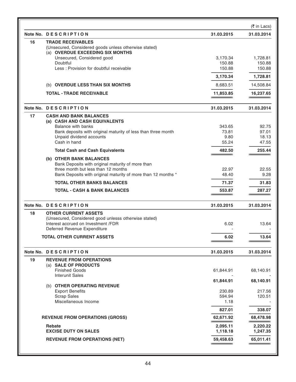|    |                                                                                                                              |                  | (₹ in Lacs)      |
|----|------------------------------------------------------------------------------------------------------------------------------|------------------|------------------|
|    | Note No. DESCRIPTION                                                                                                         | 31.03.2015       | 31.03.2014       |
| 16 | <b>TRADE RECEIVABLES</b><br>(Unsecured, Considered goods unless otherwise stated)<br>(a) OVERDUE EXCEEDING SIX MONTHS        |                  |                  |
|    | Unsecured, Considered good                                                                                                   | 3,170.34         | 1,728.81         |
|    | Doubtful<br>Less: Provision for doubtful receivable                                                                          | 150.88<br>150.88 | 150.88<br>150.88 |
|    |                                                                                                                              | 3,170.34         | 1,728.81         |
|    | (b) OVERDUE LESS THAN SIX MONTHS                                                                                             | 8,683.51         | 14,508.84        |
|    | <b>TOTAL - TRADE RECEIVABLE</b>                                                                                              | 11,853.85        | 16,237.65        |
|    | Note No. DESCRIPTION                                                                                                         | 31.03.2015       | 31.03.2014       |
| 17 | <b>CASH AND BANK BALANCES</b>                                                                                                |                  |                  |
|    | (a) CASH AND CASH EQUIVALENTS                                                                                                |                  |                  |
|    | <b>Balance with banks</b>                                                                                                    | 343.65           | 92.75            |
|    | Bank deposits with original maturity of less than three month<br>Unpaid dividend accounts                                    | 73.81<br>9.80    | 97.01<br>18.13   |
|    | Cash in hand                                                                                                                 | 55.24            | 47.55            |
|    | <b>Total Cash and Cash Equivalents</b>                                                                                       | 482.50           | 255.44           |
|    | (b) OTHER BANK BALANCES<br>Bank Deposits with original maturity of more than                                                 |                  |                  |
|    | three month but less than 12 months                                                                                          | 22.97            | 22.55            |
|    | Bank Deposits with original maturity of more than 12 months *                                                                | 48.40            | 9.28             |
|    | <b>TOTAL OTHER BANKS BALANCES</b>                                                                                            | 71.37            | 31.83            |
|    | <b>TOTAL - CASH &amp; BANK BALANCES</b>                                                                                      | 553.87           | 287.27           |
|    | Note No. DESCRIPTION                                                                                                         | 31.03.2015       | 31.03.2014       |
| 18 | <b>OTHER CURRENT ASSETS</b>                                                                                                  |                  |                  |
|    | (Unsecured, Considered good unlesss otherwise stated)<br>Interest accrued on Investment /FDR<br>Deferred Revenue Expenditure | 6.02             | 13.64            |
|    | <b>TOTAL OTHER CURRENT ASSETS</b>                                                                                            | 6.02             | 13.64            |
|    |                                                                                                                              |                  |                  |
|    | Note No. DESCRIPTION                                                                                                         | 31.03.2015       | 31.03.2014       |
| 19 | <b>REVENUE FROM OPERATIONS</b>                                                                                               |                  |                  |
|    | (a) <b>SALE OF PRODUCTS</b><br><b>Finished Goods</b>                                                                         | 61,844.91        | 68,140.91        |
|    | <b>Interunit Sales</b>                                                                                                       |                  |                  |
|    |                                                                                                                              | 61,844.91        | 68,140.91        |
|    | (b) OTHER OPERATING REVENUE<br><b>Export Benefits</b>                                                                        | 230.89           | 217.56           |
|    | <b>Scrap Sales</b>                                                                                                           | 594.94           | 120.51           |
|    | Miscellaneous Income                                                                                                         | 1.18             |                  |
|    |                                                                                                                              | 827.01           | 338.07           |
|    | <b>REVENUE FROM OPERATIONS (GROSS)</b>                                                                                       | 62,671.92        | 68,478.98        |
|    | <b>Rebate</b>                                                                                                                | 2,095.11         | 2,220.22         |
|    | <b>EXCISE DUTY ON SALES</b>                                                                                                  | 1,118.18         | 1,247.35         |
|    | <b>REVENUE FROM OPERATIONS (NET)</b>                                                                                         | 59,458.63        | 65,011.41        |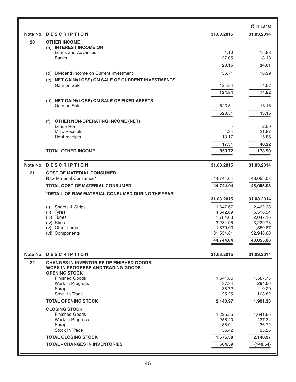|    |                                                                   |                      | (₹ in Lacs)          |
|----|-------------------------------------------------------------------|----------------------|----------------------|
|    | Note No. DESCRIPTION                                              | 31.03.2015           | 31.03.2014           |
| 20 | <b>OTHER INCOME</b><br>(a) INTEREST INCOME ON                     |                      |                      |
|    | Loans and Advances                                                | 1.10                 | 15.83                |
|    | <b>Banks</b>                                                      | 27.05                | 18.18                |
|    |                                                                   | 28.15                | 34.01                |
|    | (b) Dividend Income on Current Investment                         | 56.71                | 16.99                |
|    | NET GAIN/(LOSS) ON SALE OF CURRENT INVESTMENTS<br>(c)             |                      |                      |
|    | Gain on Sale                                                      | 124.84               | 74.52                |
|    |                                                                   | 124.84               | 74.52                |
|    | (d) NET GAIN/(LOSS) ON SALE OF FIXED ASSETS                       |                      |                      |
|    | Gain on Sale                                                      | 623.51               | 13.16                |
|    |                                                                   | 623.51               | 13.16                |
|    | <b>OTHER NON-OPERATING INCOME (NET)</b><br>(f)                    |                      |                      |
|    | Lease Rent                                                        |                      | 2.50                 |
|    | <b>Misc Receipts</b><br>Rent receipts                             | 4.34<br>13.17        | 21.87<br>15.85       |
|    |                                                                   | 17.51                | 40.22                |
|    | <b>TOTAL OTHER INCOME</b>                                         | 850.72               | 178.90               |
|    |                                                                   |                      |                      |
|    | Note No. DESCRIPTION                                              | 31.03.2015           | 31.03.2014           |
| 21 | <b>COST OF MATERIAL CONSUMED</b>                                  |                      |                      |
|    | Raw Material Consumed*                                            | 44,744.04            | 48,055.08            |
|    | <b>TOTAL COST OF MATERIAL CONSUMED</b>                            | 44,744.04            | 48,055.08            |
|    | *DETAIL OF RAW MATERIAL CONSUMED DURING THE YEAR                  |                      |                      |
|    |                                                                   | 31.03.2015           | 31.03.2014           |
|    | Sheets & Strips<br>(i)                                            | 1,647.67             | 2,462.38             |
|    | (ii) Tyres                                                        | 4,642.89             | 5,516.34             |
|    | (iii) Tubes<br>(iv) Rims                                          | 1,784.68<br>3,234.95 | 2,047.16<br>3,229.73 |
|    | Other Items<br>(v)                                                | 1,879.03             | 1,850.87             |
|    | (vi) Components                                                   | 31,554.81            | 32,948.60            |
|    |                                                                   | 44,744.04            | 48,055.08            |
|    | Note No. DESCRIPTION                                              | 31.03.2015           | 31.03.2014           |
| 22 | <b>CHANGES IN INVENTORIES OF FINISHED GOODS,</b>                  |                      |                      |
|    | <b>WORK IN PROGRESS AND TRADING GOODS</b><br><b>OPENING STOCK</b> |                      |                      |
|    | <b>Finished Goods</b>                                             | 1,641.66             | 1,587.75             |
|    | Work in Progress                                                  | 437.34               | 294.56               |
|    | Scrap<br>Stock In Trade                                           | 36.72<br>25.25       | 0.20<br>108.82       |
|    | <b>TOTAL OPENING STOCK</b>                                        | 2,140.97             | 1,991.33             |
|    | <b>CLOSING STOCK</b>                                              |                      |                      |
|    | <b>Finished Goods</b>                                             | 1,225.55             | 1,641.66             |
|    | Work in Progress                                                  | 258.40               | 437.34               |
|    | Scrap                                                             | 36.01                | 36.72                |
|    | Stock In Trade                                                    | 56.42                | 25.25                |
|    | <b>TOTAL CLOSING STOCK</b>                                        | 1,576.38             | 2,140.97             |
|    | <b>TOTAL - CHANGES IN INVENTORIES</b>                             | 564.59               | (149.64)             |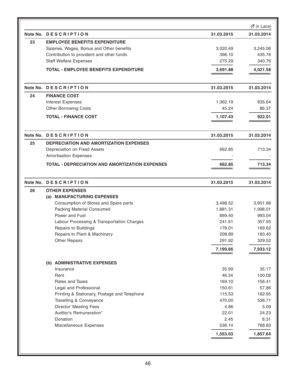|    |                                                |            | (₹ in Lacs) |
|----|------------------------------------------------|------------|-------------|
|    | Note No. DESCRIPTION                           | 31.03.2015 | 31.03.2014  |
| 23 | <b>EMPLOYEE BENEFITS EXPENDITURE</b>           |            |             |
|    | Salaries, Wages, Bonus and Other benefits      | 3,020.49   | 3,245.06    |
|    | Contribution to provident and other funds      | 396.10     | 435.76      |
|    | <b>Staff Welfare Expenses</b>                  | 275.29     | 340.76      |
|    | <b>TOTAL - EMPLOYEE BENEFITS EXPENDITURE</b>   | 3,691.88   | 4,021.58    |
|    |                                                |            |             |
|    | Note No. DESCRIPTION                           | 31.03.2015 | 31.03.2014  |
| 24 | <b>FINANCE COST</b>                            |            |             |
|    | <b>Interest Expenses</b>                       | 1,062.19   | 835.64      |
|    | <b>Other Borrowing Costs</b>                   | 45.24      | 86.37       |
|    | <b>TOTAL - FINANCE COST</b>                    | 1,107.43   | 922.01      |
|    |                                                |            |             |
|    | Note No. DESCRIPTION                           | 31.03.2015 | 31.03.2014  |
| 25 | <b>DEPRECIATION AND AMORTIZATION EXPENSES</b>  |            |             |
|    | Depreciation on Fixed Assets                   | 662.85     | 713.34      |
|    | <b>Amortisation Expenses</b>                   |            |             |
|    | TOTAL - DEPRECIATION AND AMORTIZATION EXPENSES | 662.85     | 713.34      |
|    |                                                |            |             |
|    | Note No. DESCRIPTION                           | 31.03.2015 | 31.03.2014  |
| 26 | <b>OTHER EXPENSES</b>                          |            |             |
|    | (a) MANUFACTURING EXPENSES                     |            |             |
|    | Consumption of Stores and Spare parts          | 3,498.52   | 3,901.98    |
|    | <b>Packing Material Consumed</b>               | 1,881.31   | 1,998.01    |
|    | Power and Fuel                                 | 899.40     | 993.04      |
|    | Labour Processing & Transportation Charges     | 241.61     | 357.55      |
|    | Repairs to Buildings                           | 178.01     | 169.62      |
|    | Repairs to Plant & Machinery                   | 208.89     | 183.40      |
|    | <b>Other Repairs</b>                           | 291.92     | 329.52      |
|    |                                                | 7,199.66   | 7,933.12    |
|    | (b) ADMINISTRATIVE EXPENSES                    |            |             |
|    | Insurance                                      | 35.99      | 35.17       |
|    | Rent                                           | 46.34      | 100.08      |
|    | Rates and Taxes                                | 169.10     | 156.41      |
|    | Legal and Professional                         | 150.61     | 57.86       |
|    | Printing & Stationary, Postage and Telephone   | 115.53     | 162.95      |
|    | Travelling & Conveyance                        | 470.00     | 538.71      |
|    | Director' Meeting Fees                         | 4.86       | 5.09        |
|    | Auditor's Remuneration*                        | 22.01      | 24.23       |
|    | Donation                                       | 2.45       | 8.31        |
|    | Miscellaneous Expenses                         | 536.14     | 768.83      |
|    |                                                | 1,553.03   | 1,857.64    |
|    |                                                |            |             |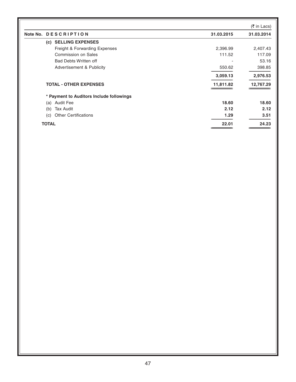|                                          |            | $(5 \in \text{In}$ Lacs) |
|------------------------------------------|------------|--------------------------|
| Note No. DESCRIPTION                     | 31.03.2015 | 31.03.2014               |
| (c) SELLING EXPENSES                     |            |                          |
| Freight & Forwarding Expenses            | 2,396.99   | 2,407.43                 |
| Commission on Sales                      | 111.52     | 117.09                   |
| <b>Bad Debts Written off</b>             | -          | 53.16                    |
| <b>Advertisement &amp; Publicity</b>     | 550.62     | 398.85                   |
|                                          | 3,059.13   | 2,976.53                 |
| <b>TOTAL - OTHER EXPENSES</b>            | 11,811.82  | 12,767.29                |
| * Payment to Auditors Include followings |            |                          |
| Audit Fee<br>(a)                         | 18.60      | 18.60                    |
| Tax Audit<br>(b)                         | 2.12       | 2.12                     |
| <b>Other Certifications</b><br>(c)       | 1.29       | 3.51                     |
| <b>TOTAL</b>                             | 22.01      | 24.23                    |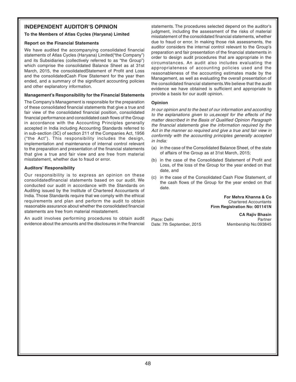# **INDEPENDENT AUDITOR'S OPINION**

#### **To the Members of Atlas Cycles (Haryana) Limited**

#### **Report on the Financial Statements**

We have audited the accompanying consolidated financial statements of Atlas Cycles (Haryana) Limited("the Company") and its Subsidiaries (collectively referred to as "the Group") which comprise the consolidated Balance Sheet as at 31st March, 2015, the consolidatedStatement of Profit and Loss and the consolidatedCash Flow Statement for the year then ended, and a summary of the significant accounting policies and other explanatory information.

#### **Management's Responsibility for the Financial Statements**

The Company's Management is responsible for the preparation of these consolidated financial statements that give a true and fair view of the consolidated financial position, consolidated financial performance and consolidated cash flows of the Group in accordance with the Accounting Principles generally accepted in India including Accounting Standards referred to in sub-section (3C) of section 211 of the Companies Act, 1956 ("the Act"). This responsibility includes the design, implementation and maintenance of internal control relevant to the preparation and presentation of the financial statements that give a true and fair view and are free from material misstatement, whether due to fraud or error.

#### **Auditors' Responsibility**

Our responsibility is to express an opinion on these consolidatedfinancial statements based on our audit. We conducted our audit in accordance with the Standards on Auditing issued by the Institute of Chartered Accountants of India. Those Standards require that we comply with the ethical requirements and plan and perform the audit to obtain reasonable assurance about whether the consolidated financial statements are free from material misstatement.

An audit involves performing procedures to obtain audit evidence about the amounts and the disclosures in the financial

statements. The procedures selected depend on the auditor's judgment, including the assessment of the risks of material misstatement of the consolidated financial statements, whether due to fraud or error. In making those risk assessments, the auditor considers the internal control relevant to the Group's preparation and fair presentation of the financial statements in order to design audit procedures that are appropriate in the circumstances. An audit also includes evaluating the appropriateness of accounting policies used and the reasonableness of the accounting estimates made by the Management, as well as evaluating the overall presentation of the consolidated financial statements.We believe that the audit evidence we have obtained is sufficient and appropriate to provide a basis for our audit opinion.

#### **Opinion**

In our opinion and to the best of our information and according to the explanations given to us,except for the effects of the matter described in the Basis of Qualified Opinion Paragraph the financial statements give the information required by the Act in the manner so required and give a true and fair view in conformity with the accounting principles generally accepted in India:

- (a) in the case of the Consolidated Balance Sheet, of the state of affairs of the Group as at 31st March, 2015;
- (b) in the case of the Consolidated Statement of Profit and Loss, of the loss of the Group for the year ended on that date, and
- (c) in the case of the Consolidated Cash Flow Statement, of the cash flows of the Group for the year ended on that date.

**For Mehra Khanna & Co** Chartered Accountants **Firm Registration No: 001141N**

Place: Delhi Partner Date: 7th September, 2015 Membership No:093845

**CA Rajiv Bhasin**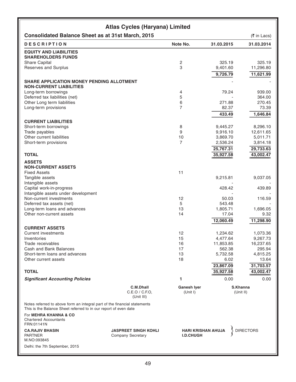|                                                                                                                                               | <b>Atlas Cycles (Haryana) Limited</b>                   |                                        |                        |                          |
|-----------------------------------------------------------------------------------------------------------------------------------------------|---------------------------------------------------------|----------------------------------------|------------------------|--------------------------|
| <b>Consolidated Balance Sheet as at 31st March, 2015</b>                                                                                      |                                                         |                                        |                        | $(5 \in \text{In}$ Lacs) |
| <b>DESCRIPTION</b>                                                                                                                            |                                                         | Note No.                               | 31.03.2015             | 31.03.2014               |
| <b>EQUITY AND LIABILITIES</b>                                                                                                                 |                                                         |                                        |                        |                          |
| <b>SHAREHOLDERS FUNDS</b>                                                                                                                     |                                                         |                                        |                        |                          |
| <b>Share Capital</b>                                                                                                                          |                                                         | 2                                      | 325.19                 | 325.19                   |
| Reserves and Surplus                                                                                                                          |                                                         | 3                                      | 9,401.60               | 11,296.80                |
|                                                                                                                                               |                                                         |                                        | 9,726.79               | 11,621.99                |
| <b>SHARE APPLICATION MONEY PENDING ALLOTMENT</b>                                                                                              |                                                         |                                        |                        |                          |
| <b>NON-CURRENT LIABILITIES</b><br>Long-term borrowings                                                                                        |                                                         | 4                                      | 79.24                  | 939.00                   |
| Deferred tax liabilities (net)                                                                                                                |                                                         | 5                                      |                        | 364.00                   |
| Other Long term liabilities                                                                                                                   |                                                         | 6                                      | 271.88                 | 270.45                   |
| Long-term provisions                                                                                                                          |                                                         | $\overline{7}$                         | 82.37                  | 73.39                    |
|                                                                                                                                               |                                                         |                                        | 433.49                 | 1,646.84                 |
| <b>CURRENT LIABILITIES</b>                                                                                                                    |                                                         |                                        |                        |                          |
| Short-term borrowings                                                                                                                         |                                                         | 8                                      | 9,445.27               | 8,296.10                 |
| Trade payables                                                                                                                                |                                                         | 9                                      | 9,916.10               | 12,611.65                |
| Other current liabilities                                                                                                                     |                                                         | 10<br>$\overline{7}$                   | 3,869.70               | 5,011.71                 |
| Short-term provisions                                                                                                                         |                                                         |                                        | 2,536.24               | 3,814.18                 |
| <b>TOTAL</b>                                                                                                                                  |                                                         |                                        | 25,767.31              | 29,733.63                |
|                                                                                                                                               |                                                         |                                        | 35,927.58              | 43,002.47                |
| <b>ASSETS</b><br><b>NON-CURRENT ASSETS</b>                                                                                                    |                                                         |                                        |                        |                          |
| <b>Fixed Assets</b>                                                                                                                           |                                                         | 11                                     |                        |                          |
| Tangible assets                                                                                                                               |                                                         |                                        | 9,215.81               | 9,037.05                 |
| Intangible assets                                                                                                                             |                                                         |                                        |                        |                          |
| Capital work-in-progress                                                                                                                      |                                                         |                                        | 428.42                 | 439.89                   |
| Intangible assets under development                                                                                                           |                                                         |                                        |                        |                          |
| Non-current investments                                                                                                                       |                                                         | 12                                     | 50.03                  | 116.59                   |
| Deferred tax assets (net)<br>Long-term loans and advances                                                                                     |                                                         | 5<br>13                                | 543.48<br>1,805.71     | 1,696.05                 |
| Other non-current assets                                                                                                                      |                                                         | 14                                     | 17.04                  | 9.32                     |
|                                                                                                                                               |                                                         |                                        | 12,060.49              | 11,298.90                |
| <b>CURRENT ASSETS</b>                                                                                                                         |                                                         |                                        |                        |                          |
| <b>Current investments</b>                                                                                                                    |                                                         | 12                                     | 1,234.62               | 1,073.36                 |
| Inventories                                                                                                                                   |                                                         | 15                                     | 4,477.64               | 9,267.73                 |
| Trade receivables                                                                                                                             |                                                         | 16                                     | 11,853.85              | 16,237.65                |
| Cash and Bank Balances                                                                                                                        |                                                         | 17                                     | 562.38                 | 295.94                   |
| Short-term loans and advances<br>Other current assets                                                                                         |                                                         | 13<br>18                               | 5,732.58<br>6.02       | 4,815.25<br>13.64        |
|                                                                                                                                               |                                                         |                                        |                        | 31,703.57                |
| <b>TOTAL</b>                                                                                                                                  |                                                         |                                        | 23,867.09<br>35,927.58 | 43,002.47                |
| <b>Significant Accounting Policies</b>                                                                                                        |                                                         | 1                                      | 0.00                   | 0.00                     |
|                                                                                                                                               | C.M.Dhall                                               |                                        | S.Khanna               |                          |
|                                                                                                                                               | C.E.O / C.F.O.<br>(Unit III)                            | <b>Ganesh Iyer</b><br>(Unit I)         |                        | (Unit II)                |
| Notes referred to above form an integral part of the financial statements<br>This is the Balance Sheet referred to in our report of even date |                                                         |                                        |                        |                          |
| For <b>MEHRA KHANNA &amp; CO</b><br><b>Chartered Accountants</b><br>FRN:01141N                                                                |                                                         |                                        |                        |                          |
| <b>CA.RAJIV BHASIN</b><br><b>PARTNER</b><br>M.NO:093845                                                                                       | <b>JASPREET SINGH KOHLI</b><br><b>Company Secretary</b> | HARI KRISHAN AHUJA<br><b>I.D.CHUGH</b> |                        | <b>DIRECTORS</b>         |
| Delhi: the 7th September, 2015                                                                                                                |                                                         |                                        |                        |                          |
|                                                                                                                                               |                                                         |                                        |                        |                          |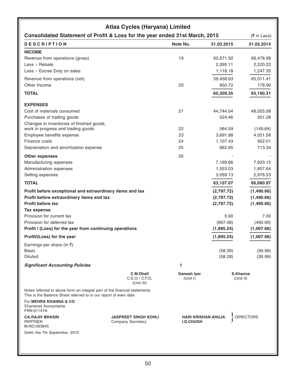|                                                                                                                                               | <b>Atlas Cycles (Haryana) Limited</b>                   |                                               |                       |                  |
|-----------------------------------------------------------------------------------------------------------------------------------------------|---------------------------------------------------------|-----------------------------------------------|-----------------------|------------------|
| Consolidated Statement of Profit & Loss for the year ended 31st March, 2015                                                                   |                                                         |                                               |                       | (₹ in Lacs)      |
| <b>DESCRIPTION</b>                                                                                                                            |                                                         | Note No.                                      | 31.03.2015            | 31.03.2014       |
| <b>INCOME</b>                                                                                                                                 |                                                         |                                               |                       |                  |
| Revenue from operations (gross)                                                                                                               |                                                         | 19                                            | 62,671.92             | 68,478.98        |
| Less :- Rebate                                                                                                                                |                                                         |                                               | 2,095.11              | 2,220.22         |
| Less :- Excise Duty on sales                                                                                                                  |                                                         |                                               | 1,118.18              | 1,247.35         |
| Revenue from operations (net)                                                                                                                 |                                                         |                                               | 59,458.63             | 65,011.41        |
| Other Income                                                                                                                                  |                                                         | 20                                            | 850.72                | 178.90           |
| <b>TOTAL</b>                                                                                                                                  |                                                         |                                               | 60,309.35             | 65,190.31        |
| <b>EXPENSES</b>                                                                                                                               |                                                         |                                               |                       |                  |
| Cost of materials consumed                                                                                                                    |                                                         | 21                                            | 44,744.04             | 48,055.08        |
| Purchases of trading goods                                                                                                                    |                                                         |                                               | 524.46                | 351.28           |
| Changes in inventories of finished goods,                                                                                                     |                                                         |                                               |                       |                  |
| work in progress and trading goods                                                                                                            |                                                         | 22                                            | 564.59                | (149.64)         |
| Employee benefits expense                                                                                                                     |                                                         | 23                                            | 3,691.88              | 4,021.58         |
| Finance costs                                                                                                                                 |                                                         | 24                                            | 1,107.43              | 922.01           |
| Depreciation and amortization expense                                                                                                         |                                                         | 25                                            | 662.85                | 713.34           |
| <b>Other expenses</b>                                                                                                                         |                                                         | 26                                            |                       |                  |
| Manufacturing expenses                                                                                                                        |                                                         |                                               | 7,199.66              | 7,933.15         |
| Administration expenses                                                                                                                       |                                                         |                                               | 1,553.03              | 1,857.64         |
| Selling expenses                                                                                                                              |                                                         |                                               | 3,059.13              | 2,976.53         |
| <b>TOTAL</b>                                                                                                                                  |                                                         |                                               | 63,107.07             | 66,680.97        |
| Profit before exceptional and extraordinary items and tax                                                                                     |                                                         |                                               | (2,797.72)            | (1,490.66)       |
| Profit before extraordinary items and tax                                                                                                     |                                                         |                                               | (2,797.72)            | (1,490.66)       |
| <b>Profit before tax</b>                                                                                                                      |                                                         |                                               | (2,797.72)            | (1,490.66)       |
| <b>Tax expense</b>                                                                                                                            |                                                         |                                               |                       |                  |
| Provision for current tax                                                                                                                     |                                                         |                                               | 5.00                  | 7.00             |
| Provision for deferred tax                                                                                                                    |                                                         |                                               | (907.48)              | (490.00)         |
| Profit / (Loss) for the year from continuing operations                                                                                       |                                                         |                                               | (1,895.24)            | (1,007.66)       |
| Profit/(Loss) for the year                                                                                                                    |                                                         |                                               | (1,895.24)            | (1,007.66)       |
| Earnings per share (in $\bar{\tau}$ )                                                                                                         |                                                         |                                               |                       |                  |
| <b>Basic</b>                                                                                                                                  |                                                         |                                               | (58.28)               | (30.99)          |
| <b>Diluted</b>                                                                                                                                |                                                         |                                               | (58.28)               | (30.99)          |
| <b>Significant Accounting Policies</b>                                                                                                        |                                                         | 1                                             |                       |                  |
|                                                                                                                                               | C.M.Dhall<br>C.E.O / C.F.O.<br>(Unit III)               | <b>Ganesh Iyer</b><br>(Unit I)                | S.Khanna<br>(Unit II) |                  |
| Notes referred to above form an integral part of the financial statements<br>This is the Balance Sheet referred to in our report of even date |                                                         |                                               |                       |                  |
| For MEHRA KHANNA & CO<br><b>Chartered Accountants</b><br>FRN:01141N                                                                           |                                                         |                                               |                       |                  |
| <b>CA.RAJIV BHASIN</b><br><b>PARTNER</b><br>M.NO:093845                                                                                       | <b>JASPREET SINGH KOHLI</b><br><b>Company Secretary</b> | <b>HARI KRISHAN AHUJA</b><br><b>I.D.CHUGH</b> |                       | <b>DIRECTORS</b> |
| Delhi: the 7th September, 2015                                                                                                                |                                                         |                                               |                       |                  |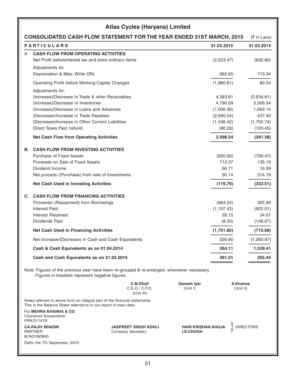|    |                                                                                                                                                            | <b>Atlas Cycles (Haryana) Limited</b>                   |                                               |                        |                    |
|----|------------------------------------------------------------------------------------------------------------------------------------------------------------|---------------------------------------------------------|-----------------------------------------------|------------------------|--------------------|
|    | <b>CONSOLIDATED CASH FLOW STATEMENT FOR THE YEAR ENDED 31ST MARCH, 2015</b>                                                                                |                                                         |                                               |                        | (₹ in Lacs)        |
|    | <b>PARTICULARS</b>                                                                                                                                         |                                                         |                                               | 31.03.2015             | 31.03.2014         |
| A  | <b>CASH FLOW FROM OPERATING ACTIVITIES</b><br>Net Profit beforeInterest tax and extra ordinary items<br>Adjustments for<br>Depreciation & Misc. Write Offs |                                                         |                                               | (2,523.47)<br>662.65   | (632.80)<br>713.34 |
|    |                                                                                                                                                            |                                                         |                                               |                        | 80.54              |
|    | Operating Profit before Working Capital Changes<br>Adjustments for:<br>(Increase)/Decrease in Trade & other Receivables                                    |                                                         |                                               | (1,860.81)<br>4,383.81 | (2,634.81)         |
|    | (Increase)/Decrease in Inventories                                                                                                                         |                                                         |                                               | 4,790.09               | 2,006.54           |
|    | (Increase)/Decrease in Loans and Advances                                                                                                                  |                                                         |                                               | (1,000.30)             | 1,692.14           |
|    | (Decrease)/Increase in Trade Payables                                                                                                                      |                                                         |                                               | (2,695.54)             | 437.40             |
|    | (Decrease)/Increase in Other Current Liabilities                                                                                                           |                                                         |                                               | (1,438.42)             | (1,702.74)         |
|    | Direct Taxes Paid /refund                                                                                                                                  |                                                         |                                               | (80.29)                | (120.45)           |
|    | <b>Net Cash Flow from Operating Activities</b>                                                                                                             |                                                         |                                               | 2,098.54               | (241.38)           |
| В. | <b>CASH FLOW FROM INVESTING ACTIVITIES</b>                                                                                                                 |                                                         |                                               |                        |                    |
|    | <b>Purchase of Fixed Assets</b>                                                                                                                            |                                                         |                                               | (920.00)               | (799.47)           |
|    | Proceeds on Sale of Fixed Assets                                                                                                                           |                                                         |                                               | 713.37                 | 135.18             |
|    | Dividend Income                                                                                                                                            |                                                         |                                               | 56.71                  | 16.99              |
|    | Net proceds /(Purchase) from sale of Investments                                                                                                           |                                                         |                                               | 30.14                  | 314.79             |
|    | <b>Net Cash Used in Investing Activities</b>                                                                                                               |                                                         |                                               | (119.79)               | (332.51)           |
| C. | <b>CASH FLOW FROM FINANCING ACTIVITIES</b>                                                                                                                 |                                                         |                                               |                        |                    |
|    | Proceeds/ (Repayment) from Borrowings                                                                                                                      |                                                         |                                               | (664.24)               | 325.99             |
|    | <b>Interest Paid</b>                                                                                                                                       |                                                         |                                               | (1, 107.43)            | (922.01)           |
|    | <b>Interest Received</b>                                                                                                                                   |                                                         |                                               | 28.15                  | 34.01              |
|    | Dividends Paid                                                                                                                                             |                                                         |                                               | (8.33)                 | (148.07)           |
|    | <b>Net Cash Used in Financing Activities</b>                                                                                                               |                                                         |                                               | (1,751.85)             | (710.08)           |
|    | Net Increase/(Decrease) in Cash and Cash Equivalents                                                                                                       |                                                         |                                               | 226.90                 | (1,283.97)         |
|    | Cash & Cash Equivalents as on 01.04.2014                                                                                                                   |                                                         |                                               | 264.11                 | 1,539.41           |
|    | Cash and Cash Equivalents as on 31.03.2015                                                                                                                 |                                                         |                                               | 491.01                 | 255.44             |
|    | Note: Figures of the previous year have been re-grouped & re-arranged, whereever necessary.<br>: Figures in brackets represent negative figures.           |                                                         |                                               |                        |                    |
|    |                                                                                                                                                            | C.M.Dhall<br>C.E.O / C.F.O.<br>(Unit III)               | <b>Ganesh Iyer</b><br>(Unit I)                | S.Khanna<br>(Unit II)  |                    |
|    | Notes referred to above form an integral part of the financial statements<br>This is the Balance Sheet referred to in our report of even date              |                                                         |                                               |                        |                    |
|    | For MEHRA KHANNA & CO<br><b>Chartered Accountants</b><br>FRN:01141N                                                                                        |                                                         |                                               |                        |                    |
|    | <b>CA.RAJIV BHASIN</b><br><b>PARTNER</b><br>M.NO:093845                                                                                                    | <b>JASPREET SINGH KOHLI</b><br><b>Company Secretary</b> | <b>HARI KRISHAN AHUJA</b><br><b>I.D.CHUGH</b> |                        | <b>DIRECTORS</b>   |
|    | Delhi: the 7th September, 2015                                                                                                                             |                                                         |                                               |                        |                    |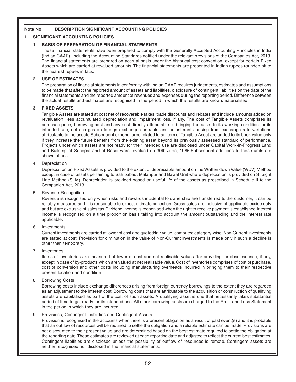#### **Note No. DESCRIPTION SIGNIFICANT ACCOUNTING POLICIES**

#### **1 SIGNIFICANT ACCOUNTING POLICIES**

#### **1. BASIS OF PREPARATION OF FINANCIAL STATEMENTS**

These financial statements have been prepared to comply with the Generally Accepted Accounting Principles in India (Indian GAAP), including the Accounting Standards notified under the relevant provisions of the Companies Act, 2013. The financial statements are prepared on accrual basis under the historical cost convention, except for certain Fixed Assets which are carried at revalued amounts. The financial statements are presented in Indian rupees rounded off to the nearest rupees in lacs.

#### **2. USE OF ESTIMATES**

The preparation of financial statements in conformity with Indian GAAP requires judgements, estimates and assumptions to be made that affect the reported amount of assets and liabilities, disclosure of contingent liabilities on the date of the financial statements and the reported amount of revenues and expenses during the reporting period. Difference between the actual results and estimates are recognised in the period in which the results are known/materialised.

#### **3. FIXED ASSETS**

Tangible Assets are stated at cost net of recoverable taxes, trade discounts and rebates and include amounts added on revaluation, less accumulated depreciation and impairment loss, if any. The cost of Tangible Assets comprises its purchase price, borrowing cost and any cost directly attributable to bringing the asset to its working condition for its intended use, net charges on foreign exchange contracts and adjustments arising from exchange rate variations attributable to the assets.Subsequent expenditures related to an item of Tangible Asset are added to its book value only if they increase the future benefits from the existing asset beyond its previously assessed standard of performance. Projects under which assets are not ready for their intended use are disclosed under Capital Work-in-Progress.Land and Building at Sonepat and at Rasoi were revalued on 30th June, 1986.Subsequent additions to these units are shown at cost.]

#### 4. Depreciation

Depreciation on Fixed Assets is provided to the extent of depreciable amount on the Written down Value (WDV) Method except in case of assets pertaining to Sahibabad, Malanpur and Bawal Unit where depreciation is provided on Straight Line Method (SLM). Depreciation is provided based on useful life of the assets as prescribed in Schedule II to the Companies Act, 2013.

5. Revenue Recognition

Revenue is recognised only when risks and rewards incidental to ownership are transferred to the customer, it can be reliably measured and it is reasonable to expect ultimate collection. Gross sales are inclusive of applicable excise duty and but are exclusive of sales tax.Dividend income is recognised when the right to receive payment is established.Interest income is recognised on a time proportion basis taking into account the amount outstanding and the interest rate applicable.

6. Investments

Current investments are carried at lower of cost and quoted/fair value, computed category-wise. Non-Current investments are stated at cost. Provision for diminution in the value of Non-Current investments is made only if such a decline is other than temporary.

7. Inventories

Items of inventories are measured at lower of cost and net realisable value after providing for obsolescence, if any, except in case of by-products which are valued at net realisable value. Cost of inventories comprises of cost of purchase, cost of conversion and other costs including manufacturing overheads incurred in bringing them to their respective present location and condition.

8. Borrowing Costs

Borrowing costs include exchange differences arising from foreign currency borrowings to the extent they are regarded as an adjustment to the interest cost. Borrowing costs that are attributable to the acquisition or construction of qualifying assets are capitalised as part of the cost of such assets. A qualifying asset is one that necessarily takes substantial period of time to get ready for its intended use. All other borrowing costs are charged to the Profit and Loss Statement in the period in which they are incurred.

9. Provisions, Contingent Liabilities and Contingent Assets

Provision is recognised in the accounts when there is a present obligation as a result of past event(s) and it is probable that an outflow of resources will be required to settle the obligation and a reliable estimate can be made. Provisions are not discounted to their present value and are determined based on the best estimate required to settle the obligation at the reporting date. These estimates are reviewed at each reporting date and adjusted to reflect the current best estimates. Contingent liabilities are disclosed unless the possibility of outflow of resources is remote. Contingent assets are neither recognised nor disclosed in the financial statements.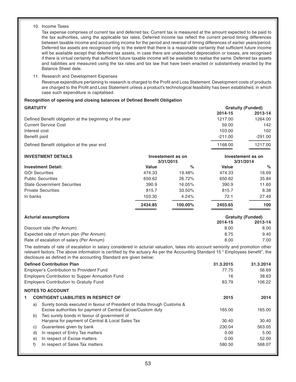#### 10. Income Taxes

Tax expense comprises of current tax and deferred tax. Current tax is measured at the amount expected to be paid to the tax authorities, using the applicable tax rates. Deferred income tax reflect the current period timing differences between taxable income and accounting income for the period and reversal of timing differences of earlier years/period. Deferred tax assets are recognised only to the extent that there is a reasonable certainty that sufficient future income will be available except that deferred tax assets, in case there are unabsorbed depreciation or losses, are recognised if there is virtual certainty that sufficient future taxable income will be available to realise the same. Deferred tax assets and liabilities are measured using the tax rates and tax law that have been enacted or substantively enacted by the Balance Sheet date.

11. Research and Development Expenses

Revenue expenditure pertaining to research is charged to the Profit and Loss Statement. Development costs of products are charged to the Profit and Loss Statement unless a product's technological feasibility has been established, in which case such expenditure is capitalised.

#### **Recognition of opening and closing balances of Defined Benefit Obligation**

| <b>GRATUITY</b>                                         |           | <b>Gratuity (Funded)</b> |
|---------------------------------------------------------|-----------|--------------------------|
|                                                         | 2014-15   | 2013-14                  |
| Defined Benefit obligation at the beginning of the year | 1217.00   | 1264.00                  |
| <b>Current Service Cost</b>                             | 59.00     | 142                      |
| Interest cost                                           | 103.00    | 102                      |
| Benefit paid                                            | $-211.00$ | $-291.00$                |
| Defined Benefit obligation at the year end              | 1168.00   | 1217.00                  |

| <b>INVESTMENT DETAILS</b>          | Investement as on<br>3/31/2015 | Investement as on<br>3/31/2014 |         |       |
|------------------------------------|--------------------------------|--------------------------------|---------|-------|
| <b>Investment Detail:</b>          | Value                          | $\%$                           | Value   | $\%$  |
| <b>GOI Securities</b>              | 474.33                         | 19.48%                         | 474.33  | 16.69 |
| <b>Public Securities</b>           | 650.62                         | 26.72%                         | 650.62  | 35.84 |
| <b>State Government Securities</b> | 390.9                          | 16.05%                         | 390.9   | 11.60 |
| <b>Private Securities</b>          | 815.7                          | 33.50%                         | 815.7   | 8.38  |
| In banks                           | 103.30                         | 4.24%                          | 72.1    | 27.49 |
|                                    | 2434.85                        | 100.00%                        | 2403.65 | 100   |

| <b>Acturial assumptions</b>              |         | <b>Gratuity (Funded)</b> |
|------------------------------------------|---------|--------------------------|
|                                          | 2014-15 | 2013-14                  |
| Discount rate (Per Annum)                | 8.00    | 8.00                     |
| Expected rate of return plan (Per Annum) | 8.75    | 9.40                     |
| Rate of escalation of salary (Per Annum) | 8.00    | 7.00                     |

The estimats of rate of escalation in salary considered in acturial valuation, takes into account seniority and promotion other relevant factors. The above information is certified by the actuary As per the Accounting Standard 15 " Employees benefit", the disclosure as defined in the accounting Standard are given below:

|   |    | <b>Defined Contribution Plan</b>                                        | 31.3.2015 | 31.3.2014 |
|---|----|-------------------------------------------------------------------------|-----------|-----------|
|   |    | <b>Employer's Contribution to Provident Fund</b>                        | 77.75     | 56.69     |
|   |    | <b>Employers Contribution to Supper Annuation Fund</b>                  | 16        | 38.63     |
|   |    | <b>Employers Contribution to Gratuity Fund</b>                          | 83.79     | 106.22    |
|   |    | <b>NOTES TO ACCOUNT</b>                                                 |           |           |
| 1 |    | <b>CONTIGENT LIABILITIES IN RESPECT OF</b>                              | 2015      | 2014      |
|   | a) | Surety bonds executed in favour of President of India through Customs & |           |           |
|   |    | Excise authorities for payment of Central Excise/Custom duty            | 165.00    | 165.00    |
|   | b) | Two surety bonds in favour of government of                             |           |           |
|   |    | Haryana for payment of Central & Local Sales Tax                        | 30.40     | 30.40     |
|   | C) | Guarantees given by bank                                                | 230.04    | 563.05    |
|   | d) | In respect of Entry Tax matters                                         | 0.00      | 5.00      |
|   | e) | In respect of Excise matters                                            | 0.00      | 52.00     |
|   | f) | In respect of Sales Tax matters                                         | 580.50    | 568.07    |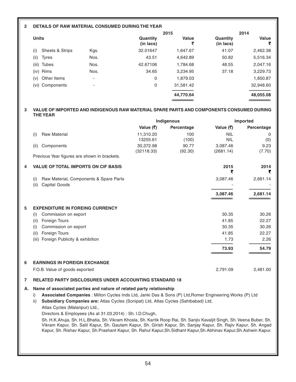## **2 DETAILS OF RAW MATERIAL CONSUMED DURING THE YEAR 2015 2014 Units Quantity Value Quantity Value (in lacs)** ` **(in lacs)** ` (i) Sheets & Strips Kgs. 32.01647 1,647.67 41.07 2,462.38 (ii) Tyres Nos. 43.51 4,642.89 50.82 5,516.34 (iii) Tubes Nos. 42.67106 1,784.68 48.55 2,047.16 (iv) Rims Nos. 34.65 3,234.95 37.18 3,229.73 (v) Other Items - 0 1,879.03 1,850.87 (vi) Components - 0 31,581.42 32,948.60 ------------------------------------------------ ------------------------------------------------ **44,770.64 48,055.08** ============================== ==============================

#### **3 VALUE OF IMPORTED AND INDIGENOUS RAW MATERIAL SPARE PARTS AND COMPONENTS CONSUMED DURING THE YEAR**

|    |                                                                                                                |            | Indigenous |            | <b>Imported</b> |
|----|----------------------------------------------------------------------------------------------------------------|------------|------------|------------|-----------------|
|    |                                                                                                                | Value (₹)  | Percentage | Value (₹)  | Percentage      |
|    | <b>Raw Material</b><br>(i)                                                                                     | 11,310.20  | 100        | <b>NIL</b> | 0               |
|    |                                                                                                                | 13255.61   | (100)      | <b>NIL</b> | (0)             |
|    | Components<br>(ii)                                                                                             | 30,372.98  | 90.77      | 3.087.46   | 9.23            |
|    | Previous Year figures are shown in brackets.                                                                   | (32118.33) | (92.30)    | (2681.14)  | (7.70)          |
|    |                                                                                                                |            |            |            |                 |
| 4  | <b>VALUE OF TOTAL IMPORTS ON CIF BASIS</b>                                                                     |            |            | 2015       | 2014            |
|    |                                                                                                                |            |            | ₹          | ₹               |
|    | Raw Material, Components & Spare Parts<br>(i)                                                                  |            |            | 3,087.46   | 2,681.14        |
|    | <b>Capital Goods</b><br>(ii)                                                                                   |            |            |            |                 |
|    |                                                                                                                |            |            | 3,087.46   | 2,681.14        |
|    |                                                                                                                |            |            |            |                 |
| 5  | <b>EXPENDITURE IN FOREING CURRENCY</b>                                                                         |            |            |            |                 |
|    | Commission on export<br>(i)                                                                                    |            |            | 30.35      | 30.26           |
|    | Foreign Tours<br>(ii)                                                                                          |            |            | 41.85      | 22.27           |
|    | Commission on export<br>(i)                                                                                    |            |            | 30.35      | 30.26           |
|    | Foreign Tours<br>(ii)                                                                                          |            |            | 41.85      | 22.27           |
|    | Foreign Publicity & exhibition<br>(iii)                                                                        |            |            | 1.73       | 2.26            |
|    |                                                                                                                |            |            | 73.93      | 54.79           |
| 6  | <b>EARNINGS IN FOREIGN EXCHANGE</b>                                                                            |            |            |            |                 |
|    | F.O.B. Value of goods exported                                                                                 |            |            | 2,791.09   | 2,481.00        |
| 7  | <b>RELATED PARTY DISCLOSURES UNDER ACCOUNTING STANDARD 18</b>                                                  |            |            |            |                 |
| А. | Name of associated parties and nature of related party relationship                                            |            |            |            |                 |
|    | Associated Companies : Milton Cycles Inds Ltd, Janki Das & Sons (P) Ltd, Romer Engineering Works (P) Ltd<br>i) |            |            |            |                 |

ii) **Subsidiary Companies are:** Atlas Cycles (Sonipat) Ltd, Atlas Cycles (Sahibabad) Ltd,

### Atlas Cycles (Malanpur) Ltd.,

Directors & Employees (As at 31.03.2014) : Sh. I.D.Chugh,

Sh. H.K.Ahuja, Sh. H.L.Bhatia, Sh. Vikram Khosla, Sh. Kartik Roop Rai, Sh. Sanjiv Kavaljit Singh, Sh. Veena Buber, Sh. Vikram Kapur, Sh. Salil Kapur, Sh. Gautam Kapur, Sh. Girish Kapur, Sh. Sanjay Kapur, Sh. Rajiv Kapur, Sh. Angad Kapur, Sh. Rishav Kapur, Sh.Prashant Kapur, Sh. Rahul Kapur,Sh.Sidhant Kapur,Sh.Abhinav Kapur,Sh.Ashwin Kapur.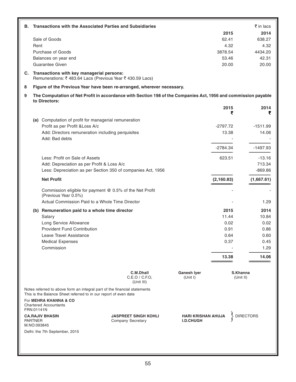| В. | <b>Transactions with the Associated Parties and Subsidiaries</b>                                                                |                                |                       | ₹ in lacs        |
|----|---------------------------------------------------------------------------------------------------------------------------------|--------------------------------|-----------------------|------------------|
|    |                                                                                                                                 |                                | 2015                  | 2014             |
|    | Sale of Goods                                                                                                                   |                                | 62.41                 | 638.27           |
|    | Rent                                                                                                                            |                                | 4.32                  | 4.32             |
|    | <b>Purchase of Goods</b>                                                                                                        |                                | 3878.54               | 4434.20          |
|    | Balances on year end                                                                                                            |                                | 53.46                 | 42.31            |
|    | Guarantee Given                                                                                                                 |                                | 20.00                 | 20.00            |
|    | C. Transactions with key managerial persons:<br>Remunerations: ₹ 483.64 Lacs (Previous Year ₹ 430.59 Lacs)                      |                                |                       |                  |
| 8  | Figure of the Previous Year have been re-arranged, wherever necessary.                                                          |                                |                       |                  |
| 9  | The Computation of Net Profit in accordance with Section 198 of the Companies Act, 1956 and commission payable<br>to Directors: |                                |                       |                  |
|    |                                                                                                                                 |                                | 2015                  | 2014             |
|    |                                                                                                                                 |                                | ₹                     | ₹                |
|    | (a) Computation of profit for managerial remuneration                                                                           |                                |                       |                  |
|    | Profit as per Profit & Loss A/c                                                                                                 |                                | $-2797.72$            | $-1511.99$       |
|    | Add: Directors remuneration including perquisites                                                                               |                                | 13.38                 | 14.06            |
|    | Add: Bad debts                                                                                                                  |                                |                       |                  |
|    |                                                                                                                                 |                                | $-2784.34$            | $-1497.93$       |
|    | Less: Profit on Sale of Assets                                                                                                  |                                | 623.51                | $-13.16$         |
|    | Add: Depreciation as per Profit & Loss A/c                                                                                      |                                |                       | 713.34           |
|    | Less: Depreciation as per Section 350 of companies Act, 1956                                                                    |                                |                       | $-869.86$        |
|    | <b>Net Profit</b>                                                                                                               |                                | (2, 160.83)           | (1,667.61)       |
|    | Commission eligible for payment @ 0.5% of the Net Profit                                                                        |                                |                       |                  |
|    | (Previous Year 0.5%)                                                                                                            |                                |                       |                  |
|    | Actual Commission Paid to a Whole Time Director                                                                                 |                                |                       | 1.29             |
|    | (b) Remuneration paid to a whole time director                                                                                  |                                | 2015                  | 2014             |
|    | Salary                                                                                                                          |                                | 11.44                 | 10.84            |
|    | Long Service Allowance                                                                                                          |                                | 0.02                  | 0.02             |
|    | <b>Provident Fund Contribution</b>                                                                                              |                                | 0.91                  | 0.86             |
|    | Leave Travel Assistance                                                                                                         |                                | 0.64                  | 0.60             |
|    | <b>Medical Expenses</b>                                                                                                         |                                | 0.37                  | 0.45             |
|    | Commission                                                                                                                      |                                |                       | 1.29             |
|    |                                                                                                                                 |                                | 13.38                 | 14.06            |
|    | C.M.Dhall<br>C.E.O / C.F.O.<br>(Unit III)                                                                                       | <b>Ganesh Iver</b><br>(Unit I) | S.Khanna<br>(Unit II) |                  |
|    | Notes referred to above form an integral part of the financial statements                                                       |                                |                       |                  |
|    | This is the Balance Sheet referred to in our report of even date                                                                |                                |                       |                  |
|    | For MEHRA KHANNA & CO<br><b>Chartered Accountants</b>                                                                           |                                |                       |                  |
|    | FRN:01141N                                                                                                                      | <b>HARI KRISHAN AHUJA</b>      |                       |                  |
|    | <b>CA.RAJIV BHASIN</b><br><b>JASPREET SINGH KOHLI</b><br><b>PARTNER</b><br><b>Company Secretary</b><br>M.NO:093845              | <b>I.D.CHUGH</b>               |                       | <b>DIRECTORS</b> |
|    | Delhi: the 7th September, 2015                                                                                                  |                                |                       |                  |
|    |                                                                                                                                 |                                |                       |                  |
|    |                                                                                                                                 |                                |                       |                  |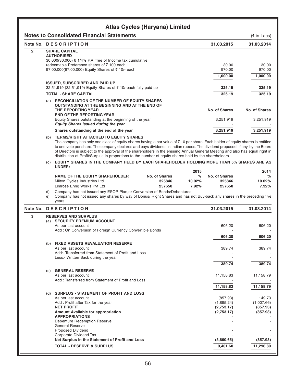# **Atlas Cycles (Haryana) Limited**

|                |          | Atlas Cycles (Haryana) Limited<br><b>Notes to Consolidated Financial Statements</b>                                                                                                                                                                                                                                                                                                                                                                                                                                                                                  |                              |                                          | $(5 \in \text{In}$ Lacs)         |
|----------------|----------|----------------------------------------------------------------------------------------------------------------------------------------------------------------------------------------------------------------------------------------------------------------------------------------------------------------------------------------------------------------------------------------------------------------------------------------------------------------------------------------------------------------------------------------------------------------------|------------------------------|------------------------------------------|----------------------------------|
|                |          | Note No. DESCRIPTION                                                                                                                                                                                                                                                                                                                                                                                                                                                                                                                                                 |                              | 31.03.2015                               | 31.03.2014                       |
| $\overline{2}$ |          | <b>SHARE CAPITAL</b><br><b>AUTHORISED</b><br>30,000(30,000) 6 1/4% P.A. free of Income tax cumulative<br>redeemable Preference shares of ₹100 each                                                                                                                                                                                                                                                                                                                                                                                                                   |                              | 30.00                                    | 30.00                            |
|                |          | 97,00,000(97,00,000) Equity Shares of ₹10/- each                                                                                                                                                                                                                                                                                                                                                                                                                                                                                                                     |                              | 970.00<br>1,000.00                       | 970.00<br>1,000.00               |
|                |          | <b>ISSUED, SUBSCRIBED AND PAID UP</b><br>32,51,919 (32,51,919) Equity Shares of ₹ 10/-each fully paid up                                                                                                                                                                                                                                                                                                                                                                                                                                                             |                              | 325.19                                   | 325.19                           |
|                |          | <b>TOTAL - SHARE CAPITAL</b>                                                                                                                                                                                                                                                                                                                                                                                                                                                                                                                                         |                              | 325.19                                   | 325.19                           |
|                |          | (a) RECONCILIATION OF THE NUMBER OF EQUITY SHARES<br>OUTSTANDING AT THE BEGINNING AND AT THE END OF<br>THE REPORTING YEAR                                                                                                                                                                                                                                                                                                                                                                                                                                            |                              | <b>No. of Shares</b>                     | <b>No. of Shares</b>             |
|                |          | <b>END OF THE REPORTING YEAR</b><br>Equity Shares outstanding at the beginning of the year<br><b>Equity Shares issued during the year</b>                                                                                                                                                                                                                                                                                                                                                                                                                            |                              | 3,251,919                                | 3,251,919                        |
|                |          | Shares outstanding at the end of the year                                                                                                                                                                                                                                                                                                                                                                                                                                                                                                                            |                              | 3,251,919                                | 3,251,919                        |
|                | (b)      | <b>TERMS/RIGHT ATTACHED TO EQUITY SHARES</b><br>The company has only one class of equity shares having a par value of $\bar{\tau}$ 10 per share. Each holder of equity shares is entitled<br>to one vote per share. The company declares and pays dividends in Indian rupees. The dividend proposed, if any, by the Board<br>of Directors is subject to the approval of the shareholders in the ensuing Annual General Meeting and also has equal right in<br>distribution of Profit/Surplus in proportions to the number of equity shares held by the shareholders. |                              |                                          |                                  |
|                | (c)      | EQUITY SHARES IN THE COMPANY HELD BY EACH SHAREHOLDER HOLDING MORE THAN 5% SHARES ARE AS<br><b>UNDER:</b>                                                                                                                                                                                                                                                                                                                                                                                                                                                            |                              |                                          | 2014                             |
|                |          | <b>NAME OF THE EQUITY SHAREHOLDER</b><br><b>No. of Shares</b><br>Milton Cycles Industries Ltd<br>325846<br>Limrose Enng Works Pvt Ltd<br>257650                                                                                                                                                                                                                                                                                                                                                                                                                      | 2015<br>%<br>10.02%<br>7.92% | <b>No. of Shares</b><br>325846<br>257650 | %<br>10.02%<br>7.92%             |
|                | d)<br>e) | Company has not issued any ESOP Plan, or Conversion of Bonds/Debentures<br>Company has not issued any shares by way of Bonus/ Right Shares and has not Buy-back any shares in the preceding five<br>years                                                                                                                                                                                                                                                                                                                                                            |                              |                                          |                                  |
|                |          | Note No. DESCRIPTION                                                                                                                                                                                                                                                                                                                                                                                                                                                                                                                                                 |                              | 31.03.2015                               | 31.03.2014                       |
| 3              |          | <b>RESERVES AND SURPLUS</b><br>(a) SECURITY PREMIUM ACCOUNT<br>As per last account                                                                                                                                                                                                                                                                                                                                                                                                                                                                                   |                              | 606.20                                   | 606.20                           |
|                |          | Add: On Conversion of Foreign Currency Convertible Bonds                                                                                                                                                                                                                                                                                                                                                                                                                                                                                                             |                              |                                          |                                  |
|                |          |                                                                                                                                                                                                                                                                                                                                                                                                                                                                                                                                                                      |                              | 606.20                                   | 606.20                           |
|                | (b)      | FIXED ASSETS REVALUATION RESERVE<br>As per last account<br>Add:- Transferred from Statement of Profit and Loss<br>Less:- Written Back during the year                                                                                                                                                                                                                                                                                                                                                                                                                |                              | 389.74                                   | 389.74                           |
|                |          |                                                                                                                                                                                                                                                                                                                                                                                                                                                                                                                                                                      |                              | 389.74                                   | 389.74                           |
|                | (C)      | <b>GENERAL RESERVE</b><br>As per last account<br>Add: Transferred from Statement of Profit and Loss                                                                                                                                                                                                                                                                                                                                                                                                                                                                  |                              | 11,158.83                                | 11,158.79                        |
|                |          |                                                                                                                                                                                                                                                                                                                                                                                                                                                                                                                                                                      |                              | 11,158.83                                | 11,158.79                        |
|                |          | (d) SURPLUS - STATEMENT OF PROFIT AND LOSS<br>As per last account<br>Add: Profit after Tax for the year<br><b>NET PROFIT</b>                                                                                                                                                                                                                                                                                                                                                                                                                                         |                              | (857.93)<br>(1,895.24)<br>(2,753.17)     | 149.73<br>(1,007.66)<br>(857.93) |
|                |          | Amount Available for appropriation<br><b>APPROPRIATIONS</b><br>Debenture Redemption Reserve                                                                                                                                                                                                                                                                                                                                                                                                                                                                          |                              | (2,753.17)                               | (857.93)                         |
|                |          | <b>General Reserve</b><br><b>Proposed Dividend</b>                                                                                                                                                                                                                                                                                                                                                                                                                                                                                                                   |                              |                                          |                                  |
|                |          | Corporate Dividend Tax<br>Net Surplus in the Statement of Profit and Loss<br><b>TOTAL - RESERVE &amp; SURPLUS</b>                                                                                                                                                                                                                                                                                                                                                                                                                                                    |                              | (3,660.65)<br>9,401.60                   | (857.93)<br>11,296.80            |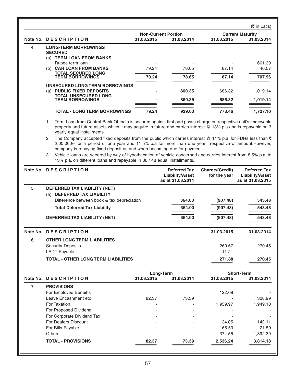|                |                                                                                                                                                                                                                                                                                                                    |                            |                                                                   |                                 | $(5 \in \text{Ln}$ Lacs)                                          |
|----------------|--------------------------------------------------------------------------------------------------------------------------------------------------------------------------------------------------------------------------------------------------------------------------------------------------------------------|----------------------------|-------------------------------------------------------------------|---------------------------------|-------------------------------------------------------------------|
|                |                                                                                                                                                                                                                                                                                                                    | <b>Non-Current Portion</b> |                                                                   |                                 | <b>Current Maturity</b>                                           |
|                | Note No. DESCRIPTION                                                                                                                                                                                                                                                                                               | 31.03.2015                 | 31.03.2014                                                        | 31.03.2015                      | 31.03.2014                                                        |
| 4              | <b>LONG-TERM BORROWINGS</b>                                                                                                                                                                                                                                                                                        |                            |                                                                   |                                 |                                                                   |
|                | <b>SECURED</b>                                                                                                                                                                                                                                                                                                     |                            |                                                                   |                                 |                                                                   |
|                | (a) TERM LOAN FROM BANKS<br>Rupee term loan                                                                                                                                                                                                                                                                        |                            |                                                                   |                                 | 661.39                                                            |
|                | (b) CAR LOAN FROM BANKS                                                                                                                                                                                                                                                                                            | 79.24                      | 78.65                                                             | 87.14                           | 46.57                                                             |
|                | <b>TOTAL SECURED LONG<br/>TERM BORROWINGS</b>                                                                                                                                                                                                                                                                      |                            |                                                                   |                                 |                                                                   |
|                |                                                                                                                                                                                                                                                                                                                    | 79.24                      | 78.65                                                             | 87.14                           | 707.96                                                            |
|                | UNSECURED LONG TERM BORROWINGS                                                                                                                                                                                                                                                                                     |                            |                                                                   |                                 |                                                                   |
|                | (a) PUBLIC FIXED DEPOSITS                                                                                                                                                                                                                                                                                          |                            | 860.35                                                            | 686.32                          | 1,019.14                                                          |
|                | <b>TOTAL UNSECURED LONG</b><br><b>TERM BORROWINGS</b>                                                                                                                                                                                                                                                              |                            | 860.35                                                            | 686.32                          | 1,019.14                                                          |
|                |                                                                                                                                                                                                                                                                                                                    |                            |                                                                   |                                 |                                                                   |
|                | <b>TOTAL - LONG TERM BORROWINGS</b>                                                                                                                                                                                                                                                                                | 79.24                      | 939.00                                                            | 773.46                          | 1,727.10                                                          |
|                |                                                                                                                                                                                                                                                                                                                    |                            |                                                                   |                                 |                                                                   |
|                | Term Loan from Central Bank Of India is secured against first pari passu charge on respective unit's immovable<br>1<br>property and future assets which it may acquire in future and carries interest @ 13% p.a and is repayable on 3<br>yearly equal installments.                                                |                            |                                                                   |                                 |                                                                   |
|                | 2<br>The Company accepted fixed deposits from the public which carries interest @ 11% p.a. for FDRs less than $\bar{\tau}$<br>2,00,000/- for a period of one year and 11.5% p.a for more than one year irrespective of amount. However,<br>company is repaying fixed deposit as and when becoming due for payment. |                            |                                                                   |                                 |                                                                   |
|                | Vehicle loans are secured by way of hypothecation of vehicle concerned and carries interest from 8.5% p.a. to<br>3<br>13% p.a. on different loans and repayable in 36 / 48 equal installments.                                                                                                                     |                            |                                                                   |                                 |                                                                   |
|                | Note No. DESCRIPTION                                                                                                                                                                                                                                                                                               |                            | <b>Deferred Tax</b><br><b>Liability/Asset</b><br>as at 31.03.2014 | Charge/(Credit)<br>for the year | <b>Deferred Tax</b><br><b>Liability/Asset</b><br>as at 31.03.2015 |
| 5              | DEFERRED TAX LIABILITY (NET)                                                                                                                                                                                                                                                                                       |                            |                                                                   |                                 |                                                                   |
|                | (a) DEFERRED TAX LIABILITY                                                                                                                                                                                                                                                                                         |                            | 364.00                                                            |                                 | 543.48                                                            |
|                | Difference between book & tax depreciation                                                                                                                                                                                                                                                                         |                            |                                                                   | (907.48)                        |                                                                   |
|                | <b>Total Deferred Tax Liability</b>                                                                                                                                                                                                                                                                                |                            | 364.00                                                            | (907.48)                        | 543.48                                                            |
|                | DEFERRED TAX LIABILITY (NET)                                                                                                                                                                                                                                                                                       |                            | 364.00                                                            | (907.48)                        | 543.48                                                            |
|                | Note No. DESCRIPTION                                                                                                                                                                                                                                                                                               |                            |                                                                   | 31.03.2015                      | 31.03.2014                                                        |
| 6              | <b>OTHER LONG TERM LIABILITIES</b>                                                                                                                                                                                                                                                                                 |                            |                                                                   |                                 |                                                                   |
|                | <b>Security Deposits</b>                                                                                                                                                                                                                                                                                           |                            |                                                                   | 260.67                          | 270.45                                                            |
|                | <b>LADT Payable</b>                                                                                                                                                                                                                                                                                                |                            |                                                                   | 11.21                           |                                                                   |
|                | <b>TOTAL - OTHER LONG TERM LIABILITIES</b>                                                                                                                                                                                                                                                                         |                            |                                                                   | 271.88                          | 270.45                                                            |
|                |                                                                                                                                                                                                                                                                                                                    |                            |                                                                   |                                 |                                                                   |
|                |                                                                                                                                                                                                                                                                                                                    | Long-Term                  |                                                                   |                                 | <b>Short-Term</b>                                                 |
|                | Note No. DESCRIPTION                                                                                                                                                                                                                                                                                               | 31.03.2015                 | 31.03.2014                                                        | 31.03.2015                      | 31.03.2014                                                        |
| $\overline{7}$ | <b>PROVISIONS</b>                                                                                                                                                                                                                                                                                                  |                            |                                                                   |                                 |                                                                   |
|                | For Employee Beneifts                                                                                                                                                                                                                                                                                              |                            |                                                                   | 122.08                          |                                                                   |
|                | Leave Encashment etc                                                                                                                                                                                                                                                                                               | 82.37                      | 73.39                                                             |                                 | 308.99                                                            |
|                | For Taxation                                                                                                                                                                                                                                                                                                       |                            |                                                                   | 1,939.97                        | 1,949.10                                                          |
|                | For Proposed Dividend                                                                                                                                                                                                                                                                                              |                            |                                                                   |                                 |                                                                   |
|                | For Corporate Dividend Tax                                                                                                                                                                                                                                                                                         |                            |                                                                   |                                 |                                                                   |
|                | For Dealers Discount                                                                                                                                                                                                                                                                                               |                            |                                                                   | 34.05                           | 142.11                                                            |
|                | For Bills Payable                                                                                                                                                                                                                                                                                                  |                            |                                                                   | 65.59                           | 21.59                                                             |
|                | Others                                                                                                                                                                                                                                                                                                             |                            |                                                                   | 374.55                          | 1,392.39                                                          |
|                | <b>TOTAL - PROVISIONS</b>                                                                                                                                                                                                                                                                                          | 82.37                      | 73.39                                                             | 2,536.24                        | 3,814.18                                                          |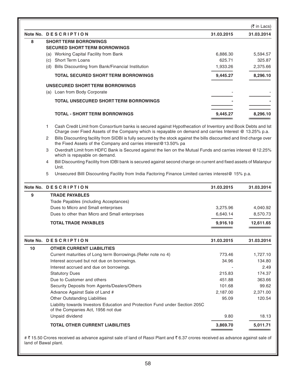|    |                                                                                                                                                                                                                               |            | $(5 \in \text{Ln}$ Lacs)                                                                             |  |  |  |  |  |  |  |
|----|-------------------------------------------------------------------------------------------------------------------------------------------------------------------------------------------------------------------------------|------------|------------------------------------------------------------------------------------------------------|--|--|--|--|--|--|--|
|    | Note No. DESCRIPTION                                                                                                                                                                                                          | 31.03.2015 | 31.03.2014                                                                                           |  |  |  |  |  |  |  |
| 8  | <b>SHORT TERM BORROWINGS</b>                                                                                                                                                                                                  |            |                                                                                                      |  |  |  |  |  |  |  |
|    | <b>SECURED SHORT TERM BORROWINGS</b>                                                                                                                                                                                          |            |                                                                                                      |  |  |  |  |  |  |  |
|    | (a) Working Capital Facility from Bank                                                                                                                                                                                        | 6,886.30   | 5,594.57                                                                                             |  |  |  |  |  |  |  |
|    | Short Term Loans<br>(c)                                                                                                                                                                                                       | 625.71     | 325.87                                                                                               |  |  |  |  |  |  |  |
|    | Bills Discounting from Bank/Financial Institution<br>(d)                                                                                                                                                                      | 1,933.26   | 2,375.66                                                                                             |  |  |  |  |  |  |  |
|    | <b>TOTAL SECURED SHORT TERM BORROWINGS</b>                                                                                                                                                                                    | 9,445.27   | 8,296.10                                                                                             |  |  |  |  |  |  |  |
|    | UNSECURED SHORT TERM BORROWINGS                                                                                                                                                                                               |            |                                                                                                      |  |  |  |  |  |  |  |
|    | (a) Loan from Body Corporate                                                                                                                                                                                                  |            |                                                                                                      |  |  |  |  |  |  |  |
|    | <b>TOTAL UNSECURED SHORT TERM BORROWINGS</b>                                                                                                                                                                                  |            |                                                                                                      |  |  |  |  |  |  |  |
|    |                                                                                                                                                                                                                               |            |                                                                                                      |  |  |  |  |  |  |  |
|    | <b>TOTAL - SHORT TERM BORROWINGS</b>                                                                                                                                                                                          | 9,445.27   | 8,296.10                                                                                             |  |  |  |  |  |  |  |
|    | Cash Credit Limit from Consortium banks is secured against Hypothecation of Inventory and Book Debts and Ist<br>1.<br>Charge over Fixed Assets of the Company which is repayable on demand and carries Interest @ 13.25% p.a. |            |                                                                                                      |  |  |  |  |  |  |  |
|    | Bills Discounting facility from SIDBI is fully secured by the stock against the bills discounted and IInd charge over<br>2<br>the Fixed Assets of the Company and carries interest@13.50% pa                                  |            |                                                                                                      |  |  |  |  |  |  |  |
|    | Overdraft Limit from HDFC Bank is Secured against the lien on the Mutual Funds and carries interest @12.25%<br>3<br>which is repayable on demand.                                                                             |            |                                                                                                      |  |  |  |  |  |  |  |
|    | Bill Discounting Facility from IDBI bank is secured against second charge on current and fixed assets of Malanpur<br>4<br>Unit.                                                                                               |            |                                                                                                      |  |  |  |  |  |  |  |
|    | Unsecured Billl Discounting Facility from India Factoring Finance Limited carries interest@ 15% p.a.<br>5                                                                                                                     |            |                                                                                                      |  |  |  |  |  |  |  |
|    | Note No. DESCRIPTION                                                                                                                                                                                                          |            |                                                                                                      |  |  |  |  |  |  |  |
| 9  |                                                                                                                                                                                                                               | 31.03.2015 | 31.03.2014                                                                                           |  |  |  |  |  |  |  |
|    | <b>TRADE PAYABLES</b>                                                                                                                                                                                                         |            |                                                                                                      |  |  |  |  |  |  |  |
|    | Trade Payables (including Acceptances)                                                                                                                                                                                        |            |                                                                                                      |  |  |  |  |  |  |  |
|    | Dues to Micro and Small enterprises                                                                                                                                                                                           | 3,275.96   |                                                                                                      |  |  |  |  |  |  |  |
|    | Dues to other than Micro and Small enterprises                                                                                                                                                                                | 6,640.14   |                                                                                                      |  |  |  |  |  |  |  |
|    | <b>TOTAL TRADE PAYABLES</b>                                                                                                                                                                                                   | 9,916.10   | 4,040.92<br>8,570.73<br>12,611.65                                                                    |  |  |  |  |  |  |  |
|    |                                                                                                                                                                                                                               |            |                                                                                                      |  |  |  |  |  |  |  |
|    | Note No. DESCRIPTION                                                                                                                                                                                                          | 31.03.2015 |                                                                                                      |  |  |  |  |  |  |  |
| 10 | <b>OTHER CURRENT LIABILITIES</b>                                                                                                                                                                                              |            |                                                                                                      |  |  |  |  |  |  |  |
|    | Current maturities of Long term Borrowings. (Refer note no 4)                                                                                                                                                                 | 773.46     |                                                                                                      |  |  |  |  |  |  |  |
|    | Interest accrued but not due on borrowings.                                                                                                                                                                                   | 34.96      |                                                                                                      |  |  |  |  |  |  |  |
|    | Interest accrued and due on borrowings.                                                                                                                                                                                       |            |                                                                                                      |  |  |  |  |  |  |  |
|    | <b>Statutory Dues</b>                                                                                                                                                                                                         | 215.83     |                                                                                                      |  |  |  |  |  |  |  |
|    | Due to Customer and others                                                                                                                                                                                                    | 451.88     |                                                                                                      |  |  |  |  |  |  |  |
|    | Security Deposits from Agents/Dealers/Others                                                                                                                                                                                  | 101.68     |                                                                                                      |  |  |  |  |  |  |  |
|    | Advance Against Sale of Land #                                                                                                                                                                                                | 2,187.00   |                                                                                                      |  |  |  |  |  |  |  |
|    | Other Outstanding Liabilities                                                                                                                                                                                                 | 95.09      |                                                                                                      |  |  |  |  |  |  |  |
|    | Liability towards Investors Education and Protection Fund under Section 205C<br>of the Companies Act, 1956 not due                                                                                                            |            |                                                                                                      |  |  |  |  |  |  |  |
|    | Unpaid dividend                                                                                                                                                                                                               | 9.80       | 31.03.2014<br>1,727.10<br>134.80<br>2.49<br>174.37<br>363.66<br>99.62<br>2,371.00<br>120.54<br>18.13 |  |  |  |  |  |  |  |

# ₹ 15.50 Crores received as advance against sale of land of Rasoi Plant and ₹ 6.37 crores received as advance against sale of land of Bawal plant.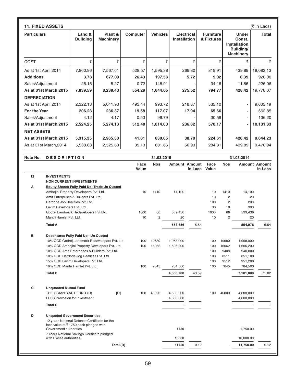| <b>11. FIXED ASSETS</b>        |                           |                             |          |                 |                                          |                                |                                                                                | (₹ in Lacs)  |
|--------------------------------|---------------------------|-----------------------------|----------|-----------------|------------------------------------------|--------------------------------|--------------------------------------------------------------------------------|--------------|
| <b>Particulars</b>             | Land &<br><b>Building</b> | Plant &<br><b>Machinery</b> | Computer | <b>Vehicles</b> | <b>Electrical</b><br><b>Installation</b> | <b>Furniture</b><br>& Fixtures | <b>Under</b><br>Const.<br><b>Installation</b><br>Building/<br><b>Machinery</b> | <b>Total</b> |
| <b>COST</b>                    | ₹                         | ₹                           | ₹        | ₹               | ₹                                        | ₹                              | ₹                                                                              | ₹            |
| As at 1st April, 2014          | 7,860.96                  | 7,567.61                    | 528.57   | 1,595.38        | 269.80                                   | 819.91                         | 439.89                                                                         | 19,082.13    |
| <b>Additions</b>               | 3.78                      | 677.09                      | 26.43    | 197.58          | 5.72                                     | 9.02                           | 0.39                                                                           | 920.00       |
| Sales/Adjustment               | 25.15                     | 5.27                        | 0.72     | 148.91          |                                          | 34.16                          | 11.86                                                                          | 226.06       |
| As at 31st March, 2015         | 7,839.59                  | 8,239.43                    | 554.29   | 1,644.05        | 275.52                                   | 794.77                         | 428.42                                                                         | 19,776.07    |
| <b>DEPRECIATION</b>            |                           |                             |          |                 |                                          |                                |                                                                                |              |
| As at 1st April, 2014          | 2,322.13                  | 5,041.93                    | 493.44   | 993.72          | 218.87                                   | 535.10                         |                                                                                | 9,605.19     |
| <b>For the Year</b>            | 206.23                    | 236.37                      | 19.58    | 117.07          | 17.94                                    | 65.66                          |                                                                                | 662.85       |
| Sales/Adjustment               | 4.12                      | 4.17                        | 0.53     | 96.79           |                                          | 30.59                          |                                                                                | 136.20       |
| As at 31st March, 2015         | 2,524.25                  | 5,274.13                    | 512.48   | 1,014.00        | 236.82                                   | 570.17                         |                                                                                | 10,131.83    |
| <b>NET ASSETS</b>              |                           |                             |          |                 |                                          |                                |                                                                                |              |
| As at 31st March, 2015         | 5,315.35                  | 2,965.30                    | 41.81    | 630.05          | 38.70                                    | 224.61                         | 428.42                                                                         | 9,644.23     |
| As at 31st March, 2014         | 5,538.83                  | 2,525.68                    | 35.13    | 601.66          | 50.93                                    | 284.81                         | 439.89                                                                         | 9,476.94     |
| Note No.<br><b>DESCRIPTION</b> |                           |                             |          | 31.03.2015      |                                          |                                | 31.03.2014                                                                     |              |

| Note No.    | <b>DESCRIPTION</b>                                                                     |               | 31.03.2015     |           |                                 | 31.03.2014    |                |           |                                 |
|-------------|----------------------------------------------------------------------------------------|---------------|----------------|-----------|---------------------------------|---------------|----------------|-----------|---------------------------------|
|             |                                                                                        | Face<br>Value | <b>Nos</b>     |           | <b>Amount Amount</b><br>in Lacs | Face<br>Value | <b>Nos</b>     |           | <b>Amount Amount</b><br>in Lacs |
| 12          | <b>INVESTMENTS</b>                                                                     |               |                |           |                                 |               |                |           |                                 |
|             | <b>NON CURRENT INVESTMENTS</b>                                                         |               |                |           |                                 |               |                |           |                                 |
| Α           | <b>Equity Shares Fully Paid Up - Trade Un Quoted</b>                                   |               |                |           |                                 |               |                |           |                                 |
|             | Ambojini Property Developers Pvt. Ltd.                                                 | 10            | 1410           | 14,100    |                                 | 10            | 1410           | 14,100    |                                 |
|             | Amit Enterprises & Builders Pvt. Ltd.                                                  |               |                |           |                                 | 10            | 2              | 20        |                                 |
|             | Dardode Job Realities Pvt. Ltd.                                                        |               |                |           |                                 | 100           | 2              | 200       |                                 |
|             | Lavim Developers Pvt. Ltd.                                                             |               |                |           |                                 | 30            | 10             | 300       |                                 |
|             | Godrej Landmark Redevelopers Pvt.Ltd.                                                  | 1000          | 66             | 539,436   |                                 | 1000          | 66             | 539,436   |                                 |
|             | Mantri Hamlet Pvt. Ltd.                                                                | 10            | $\overline{2}$ | 20        |                                 | 10            | $\overline{2}$ | 20        |                                 |
|             | <b>Total A</b>                                                                         |               |                | 553,556   | 5.54                            |               |                | 554,076   | 5.54                            |
| B           | Debentures Fully Paid Up - Un Quoted                                                   |               |                |           |                                 |               |                |           |                                 |
|             | 10% OCD Godrej Landmark Redevelopers Pvt. Ltd.                                         | 100           | 19680          | 1,968,000 |                                 | 100           | 19680          | 1,968,000 |                                 |
|             | 10% OCD Ambojini Property Developers Pvt. Ltd.                                         | 100           | 16062          | 1,606,200 |                                 | 100           | 16062          | 1,606,200 |                                 |
|             | 10% OCD Amit Enterprises & Builders Pvt. Ltd.                                          |               |                |           |                                 | 100           | 9408           | 940,800   |                                 |
|             | 10% OCD Dardode Jog Realities Pvt. Ltd.                                                |               |                |           |                                 | 100           | 8511           | 851,100   |                                 |
|             | 15% OCD Lavim Developers Pvt. Ltd.                                                     |               |                |           |                                 | 100           | 9512           | 951,200   |                                 |
|             | 10% OCD Mantri Hamlet Pvt. Ltd.                                                        | 100           | 7845           | 784,500   |                                 | 100           | 7845           | 784,500   |                                 |
|             | <b>Total B</b>                                                                         |               |                | 4,358,700 | 43.59                           |               |                | 7,101,800 | 71.02                           |
| $\mathbf c$ | <b>Unquoated Mutual Fund</b>                                                           |               |                |           |                                 |               |                |           |                                 |
|             | THE OCIAN'S ART FUND-(D)<br>[D]                                                        | 100           | 46000          | 4,600,000 |                                 | 100           | 46000          | 4,600,000 |                                 |
|             | <b>LESS Provosion for Investment</b>                                                   |               |                | 4,600,000 |                                 |               |                | 4,600,000 |                                 |
|             | <b>Total C</b>                                                                         |               |                |           |                                 |               |                |           |                                 |
|             |                                                                                        |               |                |           |                                 |               |                |           |                                 |
| D           | <b>Unquoted Government Securities</b>                                                  |               |                |           |                                 |               |                |           |                                 |
|             | 12 years National Defence Certificate for the<br>face value of ₹1750 each pledged with |               |                |           |                                 |               |                |           |                                 |
|             | Government authorities                                                                 |               |                | 1750      |                                 |               |                | 1,750.00  |                                 |
|             | 7 Years National Savings Cerificate pledged<br>with Excise authorities                 |               |                | 10000     |                                 |               |                | 10,000.00 |                                 |
|             | Total (D)                                                                              |               |                | 11750     | 0.12                            |               |                | 11,750.00 | 0.12                            |
|             |                                                                                        |               |                |           |                                 |               |                |           |                                 |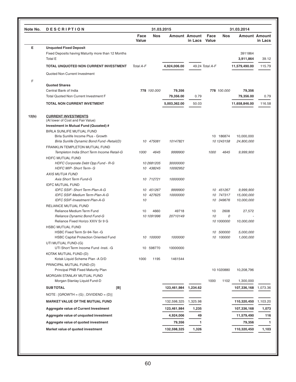| Note No. | <b>DESCRIPTION</b>                                                         |               |                    | 31.03.2015        |                                 | 31.03.2014      |             |                      |                                 |  |
|----------|----------------------------------------------------------------------------|---------------|--------------------|-------------------|---------------------------------|-----------------|-------------|----------------------|---------------------------------|--|
|          |                                                                            | Face<br>Value | <b>Nos</b>         |                   | <b>Amount Amount</b><br>in Lacs | Face<br>Value   | <b>Nos</b>  |                      | <b>Amount Amount</b><br>in Lacs |  |
| Е        | <b>Unquoted Fixed Deposit</b>                                              |               |                    |                   |                                 |                 |             |                      |                                 |  |
|          | Fixed Deposits having Maturity more than 12 Months<br>Total E              |               |                    |                   |                                 |                 |             | 3911864<br>3,911,864 | 39.12                           |  |
|          | TOTAL UNQUOTED NON CURRENT INVESTMENT                                      | Total A-F     |                    | 4,924,006.00      |                                 | 49.24 Total A-F |             | 11,579,490.00        | 115.79                          |  |
|          | Quoted Non Current Investment                                              |               |                    |                   |                                 |                 |             |                      |                                 |  |
| F        |                                                                            |               |                    |                   |                                 |                 |             |                      |                                 |  |
|          | <b>Quoted Shares</b>                                                       |               |                    |                   |                                 |                 |             |                      |                                 |  |
|          | Central Bank of India                                                      |               | 778 100.000        | 79,356            |                                 |                 | 778 100.000 | 79,356               |                                 |  |
|          | <b>Total Quoted Non Current Investment F</b>                               |               |                    | 79,356.00         | 0.79                            |                 |             | 79,356.00            | 0.79                            |  |
|          | TOTAL NON CURRENT INVETMENT                                                |               |                    | 5,003,362.00      | 50.03                           |                 |             | 11,658,846.00        | 116.58                          |  |
| 12(b)    | <b>CURRENT INVESTMENTS</b>                                                 |               |                    |                   |                                 |                 |             |                      |                                 |  |
|          | (At lower of Cost and Fair Value)<br>Investment in Mutual Fund (Quoated) # |               |                    |                   |                                 |                 |             |                      |                                 |  |
|          | BIRLA SUNLIFE MUTUAL FUND                                                  |               |                    |                   |                                 |                 |             |                      |                                 |  |
|          | Birla Sunlife Income Plus - Growth                                         |               |                    |                   |                                 |                 | 10 186874   | 10,000,000           |                                 |  |
|          | Birla Sunlife Dynamic Bond Fund -Retail(D)                                 |               | 10 475081          | 10147821          |                                 |                 | 10 1243158  | 24,800,000           |                                 |  |
|          | FRANKLIN TEMPLETON MUTUAL FUND                                             |               |                    |                   |                                 |                 |             |                      |                                 |  |
|          | Templeton India Short Term Income Retail-G                                 | 1000          | 4645               | 9999900           |                                 | 1000            | 4645        | 9,999,900            |                                 |  |
|          | HDFC MUTUAL FUND                                                           |               |                    |                   |                                 |                 |             |                      |                                 |  |
|          | HDFC Corporate Debt Opp.Fund - R-G                                         |               | 10 268 1205        | 30000000          |                                 |                 |             |                      |                                 |  |
|          | <b>HDFC MIP- Short Term- G</b>                                             |               | 10 438245          | 10092952          |                                 |                 |             |                      |                                 |  |
|          | <b>AXIS MUTUA FUND</b>                                                     |               |                    |                   |                                 |                 |             |                      |                                 |  |
|          | Axis Short Term Fund-G                                                     |               | 10 712721          | 10000000          |                                 |                 |             |                      |                                 |  |
|          | <b>IDFC MUTUAL FUND</b>                                                    |               |                    |                   |                                 |                 |             |                      |                                 |  |
|          | IDFC SSIF-Short Term-Plan-A-G                                              |               | 10 451267          | 9999900           |                                 |                 | 10 451267   | 9,999,900            |                                 |  |
|          | IDFC SSIF-Medium Term-Plan-A-G                                             |               | 10 427625          | 10000000          |                                 |                 | 10 747317   | 15,000,000           |                                 |  |
|          | IDFC SSIF-Investment-Plan-A-G                                              | 10            |                    |                   |                                 |                 | 10 349676   | 10,000,000           |                                 |  |
|          | RELIANCE MUTUAL FUND                                                       |               |                    |                   |                                 |                 |             |                      |                                 |  |
|          | Reliance Medium Term Fund<br>Reliance Dynamic Bond Fund-G                  | 10            | 4660<br>10 1091996 | 49718<br>20710149 |                                 | 10<br>10        | 2608<br>0   | 27,572               |                                 |  |
|          | Reliance Fixed Horizo XXIV Sr 9 G                                          |               |                    |                   |                                 |                 | 10 1000000  | 10,000,000           |                                 |  |
|          | <b>HSBC MUTUAL FUND</b>                                                    |               |                    |                   |                                 |                 |             |                      |                                 |  |
|          | HSBC Fixed Term Sr-94-Ten -G                                               |               |                    |                   |                                 |                 | 10 500000   | 5,000,000            |                                 |  |
|          | <b>HSBC Capital Protection Oriented Fund</b>                               |               | 10 100000          | 1000000           |                                 | 10              | 100000      | 1,000,000            |                                 |  |
|          | UTI MUTUAL FUND-(G)                                                        |               |                    |                   |                                 |                 |             |                      |                                 |  |
|          | UTI Short Term Income Fund -Insti. - G                                     |               | 10 598770          | 10000000          |                                 |                 |             |                      |                                 |  |
|          | KOTAK MUTUAL FUND-(D)                                                      |               |                    |                   |                                 |                 |             |                      |                                 |  |
|          | Kotak Liquid Scheme Plan -A D/D                                            | 1000          | 1195               | 1461544           |                                 |                 |             |                      |                                 |  |
|          | PRINCIPAL MUTUAL FUND-(D)                                                  |               |                    |                   |                                 |                 |             |                      |                                 |  |
|          | Principal PNB Fixed Maturity Plan                                          |               |                    |                   |                                 |                 | 10 1020880  | 10,208,796           |                                 |  |
|          | MORGAN STANLAY MUTUAL FUND                                                 |               |                    |                   |                                 |                 |             |                      |                                 |  |
|          | Morgan Stanlay Liquid Fund-D                                               |               |                    |                   |                                 | 1000            | 1102        | 1,300,000            |                                 |  |
|          | <b>SUB TOTAL</b><br>[B]                                                    |               |                    | 123,461,984       | 1,234.62                        |                 |             | 107,336,168          | 1,073.36                        |  |
|          | $NOTE : [GROWTH = (G) ; DIVIDEND = (D)]$                                   |               |                    |                   |                                 |                 |             |                      |                                 |  |
|          | <b>MARKET VALUE OF THE MUTUAL FUND</b>                                     |               |                    | 132,598,325       | 1,325.98                        |                 |             | 110,320,450          | 1,103.20                        |  |
|          | <b>Aggregate value of Current Investment</b>                               |               |                    | 123,461,984       | 1,235                           |                 |             | 107,336,168          | 1,073                           |  |
|          | Aggregate value of unquoted investment                                     |               |                    | 4,924,006         | 49                              |                 |             | 11,579,490           | 116                             |  |
|          | Aggregate value of quoted investment                                       |               |                    | 79,356            | 1                               |                 |             | 79,356               | 1                               |  |
|          |                                                                            |               |                    |                   |                                 |                 |             |                      |                                 |  |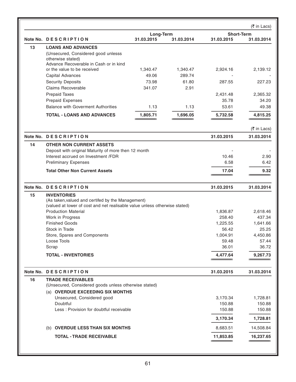| Note No. DESCRIPTION                      | Long-Term                                                                                                                                                                                                                                                                                                                                                                                 |                                                                                                                                                                                                                                                               |                                                                                        |                                                                                                    |
|-------------------------------------------|-------------------------------------------------------------------------------------------------------------------------------------------------------------------------------------------------------------------------------------------------------------------------------------------------------------------------------------------------------------------------------------------|---------------------------------------------------------------------------------------------------------------------------------------------------------------------------------------------------------------------------------------------------------------|----------------------------------------------------------------------------------------|----------------------------------------------------------------------------------------------------|
|                                           | 31.03.2015                                                                                                                                                                                                                                                                                                                                                                                | 31.03.2014                                                                                                                                                                                                                                                    | <b>Short-Term</b><br>31.03.2015                                                        | 31.03.2014                                                                                         |
| <b>LOANS AND ADVANCES</b>                 |                                                                                                                                                                                                                                                                                                                                                                                           |                                                                                                                                                                                                                                                               |                                                                                        |                                                                                                    |
| (Unsecured, Considered good unlesss       |                                                                                                                                                                                                                                                                                                                                                                                           |                                                                                                                                                                                                                                                               |                                                                                        |                                                                                                    |
|                                           |                                                                                                                                                                                                                                                                                                                                                                                           |                                                                                                                                                                                                                                                               |                                                                                        |                                                                                                    |
|                                           |                                                                                                                                                                                                                                                                                                                                                                                           |                                                                                                                                                                                                                                                               |                                                                                        | 2,139.12                                                                                           |
|                                           | 49.06                                                                                                                                                                                                                                                                                                                                                                                     | 289.74                                                                                                                                                                                                                                                        |                                                                                        |                                                                                                    |
|                                           | 73.98                                                                                                                                                                                                                                                                                                                                                                                     | 61.80                                                                                                                                                                                                                                                         | 287.55                                                                                 | 227.23                                                                                             |
| Claims Recoverable                        | 341.07                                                                                                                                                                                                                                                                                                                                                                                    | 2.91                                                                                                                                                                                                                                                          |                                                                                        |                                                                                                    |
| <b>Prepaid Taxes</b>                      |                                                                                                                                                                                                                                                                                                                                                                                           |                                                                                                                                                                                                                                                               | 2,431.48                                                                               | 2,365.32                                                                                           |
| <b>Prepaid Expenses</b>                   |                                                                                                                                                                                                                                                                                                                                                                                           |                                                                                                                                                                                                                                                               | 35.78                                                                                  | 34.20                                                                                              |
| <b>Balance with Goverment Authorities</b> | 1.13                                                                                                                                                                                                                                                                                                                                                                                      | 1.13                                                                                                                                                                                                                                                          | 53.61                                                                                  | 49.38                                                                                              |
| <b>TOTAL - LOANS AND ADVANCES</b>         | 1,805.71                                                                                                                                                                                                                                                                                                                                                                                  | 1,696.05                                                                                                                                                                                                                                                      | 5,732.58                                                                               | 4,815.25                                                                                           |
|                                           |                                                                                                                                                                                                                                                                                                                                                                                           |                                                                                                                                                                                                                                                               |                                                                                        | (₹ in Lacs)                                                                                        |
| Note No. DESCRIPTION                      |                                                                                                                                                                                                                                                                                                                                                                                           |                                                                                                                                                                                                                                                               | 31.03.2015                                                                             | 31.03.2014                                                                                         |
| <b>OTHER NON CURRENT ASSETS</b>           |                                                                                                                                                                                                                                                                                                                                                                                           |                                                                                                                                                                                                                                                               |                                                                                        |                                                                                                    |
|                                           |                                                                                                                                                                                                                                                                                                                                                                                           |                                                                                                                                                                                                                                                               |                                                                                        |                                                                                                    |
|                                           |                                                                                                                                                                                                                                                                                                                                                                                           |                                                                                                                                                                                                                                                               |                                                                                        | 2.90                                                                                               |
|                                           |                                                                                                                                                                                                                                                                                                                                                                                           |                                                                                                                                                                                                                                                               |                                                                                        | 6.42                                                                                               |
| <b>Total Other Non Current Assets</b>     |                                                                                                                                                                                                                                                                                                                                                                                           |                                                                                                                                                                                                                                                               | 17.04                                                                                  | 9.32                                                                                               |
| Note No. DESCRIPTION                      |                                                                                                                                                                                                                                                                                                                                                                                           |                                                                                                                                                                                                                                                               | 31.03.2015                                                                             | 31.03.2014                                                                                         |
|                                           |                                                                                                                                                                                                                                                                                                                                                                                           |                                                                                                                                                                                                                                                               |                                                                                        |                                                                                                    |
|                                           |                                                                                                                                                                                                                                                                                                                                                                                           |                                                                                                                                                                                                                                                               |                                                                                        |                                                                                                    |
| <b>Production Material</b>                |                                                                                                                                                                                                                                                                                                                                                                                           |                                                                                                                                                                                                                                                               | 1,836.87                                                                               | 2,618.46                                                                                           |
| Work in Progress                          |                                                                                                                                                                                                                                                                                                                                                                                           |                                                                                                                                                                                                                                                               | 258.40                                                                                 | 437.34                                                                                             |
| <b>Finished Goods</b>                     |                                                                                                                                                                                                                                                                                                                                                                                           |                                                                                                                                                                                                                                                               | 1,225.55                                                                               | 1,641.66                                                                                           |
|                                           |                                                                                                                                                                                                                                                                                                                                                                                           |                                                                                                                                                                                                                                                               |                                                                                        | 25.25                                                                                              |
|                                           |                                                                                                                                                                                                                                                                                                                                                                                           |                                                                                                                                                                                                                                                               |                                                                                        | 4,450.86                                                                                           |
|                                           |                                                                                                                                                                                                                                                                                                                                                                                           |                                                                                                                                                                                                                                                               |                                                                                        | 57.44<br>36.72                                                                                     |
|                                           |                                                                                                                                                                                                                                                                                                                                                                                           |                                                                                                                                                                                                                                                               |                                                                                        |                                                                                                    |
|                                           |                                                                                                                                                                                                                                                                                                                                                                                           |                                                                                                                                                                                                                                                               |                                                                                        | 9,267.73                                                                                           |
| Note No. DESCRIPTION                      |                                                                                                                                                                                                                                                                                                                                                                                           |                                                                                                                                                                                                                                                               | 31.03.2015                                                                             | 31.03.2014                                                                                         |
| <b>TRADE RECEIVABLES</b>                  |                                                                                                                                                                                                                                                                                                                                                                                           |                                                                                                                                                                                                                                                               |                                                                                        |                                                                                                    |
|                                           |                                                                                                                                                                                                                                                                                                                                                                                           |                                                                                                                                                                                                                                                               |                                                                                        |                                                                                                    |
|                                           |                                                                                                                                                                                                                                                                                                                                                                                           |                                                                                                                                                                                                                                                               |                                                                                        |                                                                                                    |
|                                           |                                                                                                                                                                                                                                                                                                                                                                                           |                                                                                                                                                                                                                                                               |                                                                                        | 1,728.81<br>150.88                                                                                 |
|                                           |                                                                                                                                                                                                                                                                                                                                                                                           |                                                                                                                                                                                                                                                               | 150.88                                                                                 | 150.88                                                                                             |
|                                           |                                                                                                                                                                                                                                                                                                                                                                                           |                                                                                                                                                                                                                                                               | 3,170.34                                                                               | 1,728.81                                                                                           |
| (b) OVERDUE LESS THAN SIX MONTHS          |                                                                                                                                                                                                                                                                                                                                                                                           |                                                                                                                                                                                                                                                               | 8,683.51                                                                               | 14,508.84                                                                                          |
| <b>TOTAL - TRADE RECEIVABLE</b>           |                                                                                                                                                                                                                                                                                                                                                                                           |                                                                                                                                                                                                                                                               | 11,853.85                                                                              | 16,237.65                                                                                          |
|                                           | otherwise stated)<br>Advance Recoverable in Cash or in kind<br>or the value to be received<br>Capital Advances<br><b>Security Deposits</b><br>Interest accrued on Investment / FDR<br><b>Preliminary Expenses</b><br><b>INVENTORIES</b><br>Stock in Trade<br>Store, Spares and Components<br>Loose Tools<br>Scrap<br><b>TOTAL - INVENTORIES</b><br>Unsecured, Considered good<br>Doubtful | 1,340.47<br>Deposit with original Maturity of more then 12 month<br>(As taken, valued and certifed by the Management)<br>(Unsecured, Considered goods unless otherwise stated)<br>(a) OVERDUE EXCEEDING SIX MONTHS<br>Less: Provision for doubtful receivable | 1,340.47<br>(valued at lower of cost and net realisable value unless otherwise stated) | 2,924.16<br>10.46<br>6.58<br>56.42<br>1,004.91<br>59.48<br>36.01<br>4,477.64<br>3,170.34<br>150.88 |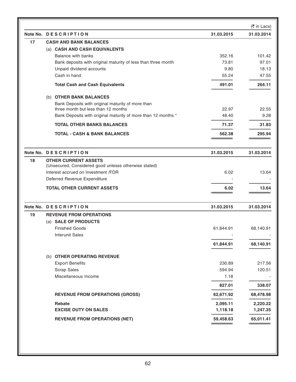|    |                                                               |            | (₹ in Lacs) |
|----|---------------------------------------------------------------|------------|-------------|
|    | Note No. DESCRIPTION                                          | 31.03.2015 | 31.03.2014  |
| 17 | <b>CASH AND BANK BALANCES</b>                                 |            |             |
|    | (a) CASH AND CASH EQUIVALENTS                                 |            |             |
|    | <b>Balance with banks</b>                                     | 352.16     | 101.42      |
|    | Bank deposits with original maturity of less than three month | 73.81      | 97.01       |
|    | Unpaid dividend accounts                                      | 9.80       | 18.13       |
|    | Cash in hand                                                  | 55.24      | 47.55       |
|    | <b>Total Cash and Cash Equivalents</b>                        | 491.01     | 264.11      |
|    | (b) OTHER BANK BALANCES                                       |            |             |
|    | Bank Deposits with original maturity of more than             |            |             |
|    | three month but less than 12 months                           | 22.97      | 22.55       |
|    | Bank Deposits with original maturity of more than 12 months * | 48.40      | 9.28        |
|    | <b>TOTAL OTHER BANKS BALANCES</b>                             | 71.37      | 31.83       |
|    | <b>TOTAL - CASH &amp; BANK BALANCES</b>                       | 562.38     | 295.94      |
|    | Note No. DESCRIPTION                                          | 31.03.2015 | 31.03.2014  |
| 18 | <b>OTHER CURRENT ASSETS</b>                                   |            |             |
|    | (Unsecured, Considered good unlesss otherwise stated)         |            |             |
|    | Interest accrued on Investment /FDR                           | 6.02       | 13.64       |
|    | Deferred Revenue Expenditure                                  |            |             |
|    | <b>TOTAL OTHER CURRENT ASSETS</b>                             | 6.02       | 13.64       |
|    |                                                               |            |             |
|    | Note No. DESCRIPTION                                          | 31.03.2015 | 31.03.2014  |
| 19 | <b>REVENUE FROM OPERATIONS</b>                                |            |             |
|    | (a) <b>SALE OF PRODUCTS</b>                                   |            |             |
|    | <b>Finished Goods</b>                                         | 61,844.91  | 68,140.91   |
|    | <b>Interunit Sales</b>                                        |            |             |
|    |                                                               | 61,844.91  | 68,140.91   |
|    | (b) OTHER OPERATING REVENUE                                   |            |             |
|    | <b>Export Benefits</b>                                        | 230.89     | 217.56      |
|    | <b>Scrap Sales</b>                                            | 594.94     | 120.51      |
|    | Miscellaneous Income                                          | 1.18       |             |
|    |                                                               | 827.01     | 338.07      |
|    | <b>REVENUE FROM OPERATIONS (GROSS)</b>                        | 62,671.92  | 68,478.98   |
|    | <b>Rebate</b>                                                 | 2,095.11   | 2,220.22    |
|    | <b>EXCISE DUTY ON SALES</b>                                   | 1,118.18   | 1,247.35    |
|    |                                                               |            |             |
|    | <b>REVENUE FROM OPERATIONS (NET)</b>                          | 59,458.63  | 65,011.41   |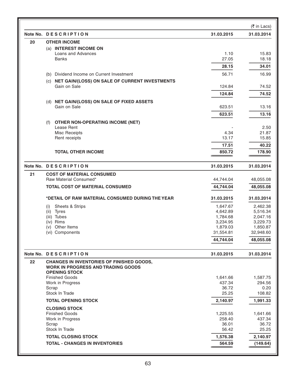|    |                                                                                                                       |                      | (₹ in Lacs)          |
|----|-----------------------------------------------------------------------------------------------------------------------|----------------------|----------------------|
|    | Note No. DESCRIPTION                                                                                                  | 31.03.2015           | 31.03.2014           |
| 20 | <b>OTHER INCOME</b>                                                                                                   |                      |                      |
|    | (a) INTEREST INCOME ON                                                                                                |                      |                      |
|    | Loans and Advances<br><b>Banks</b>                                                                                    | 1.10                 | 15.83                |
|    |                                                                                                                       | 27.05                | 18.18                |
|    |                                                                                                                       | 28.15                | 34.01                |
|    | (b) Dividend Income on Current Investment                                                                             | 56.71                | 16.99                |
|    | NET GAIN/(LOSS) ON SALE OF CURRENT INVESTMENTS<br>(C)                                                                 |                      |                      |
|    | Gain on Sale                                                                                                          | 124.84               | 74.52                |
|    |                                                                                                                       | 124.84               | 74.52                |
|    | (d) NET GAIN/(LOSS) ON SALE OF FIXED ASSETS                                                                           |                      |                      |
|    | Gain on Sale                                                                                                          | 623.51               | 13.16                |
|    |                                                                                                                       | 623.51               | 13.16                |
|    | <b>OTHER NON-OPERATING INCOME (NET)</b><br>(f)                                                                        |                      |                      |
|    | Lease Rent                                                                                                            |                      | 2.50                 |
|    | <b>Misc Receipts</b>                                                                                                  | 4.34                 | 21.87                |
|    | Rent receipts                                                                                                         | 13.17                | 15.85                |
|    |                                                                                                                       | 17.51                | 40.22                |
|    | <b>TOTAL OTHER INCOME</b>                                                                                             | 850.72               | 178.90               |
|    |                                                                                                                       |                      |                      |
|    | Note No. DESCRIPTION                                                                                                  | 31.03.2015           | 31.03.2014           |
| 21 | <b>COST OF MATERIAL CONSUMED</b>                                                                                      |                      |                      |
|    | Raw Material Consumed*                                                                                                | 44,744.04            | 48,055.08            |
|    | <b>TOTAL COST OF MATERIAL CONSUMED</b>                                                                                | 44,744.04            | 48,055.08            |
|    | *DETAIL OF RAW MATERIAL CONSUMED DURING THE YEAR                                                                      | 31.03.2015           | 31.03.2014           |
|    | (i) Sheets & Strips                                                                                                   | 1,647.67             | 2,462.38             |
|    | (ii) Tyres                                                                                                            | 4,642.89             | 5,516.34             |
|    | (iii) Tubes<br>(iv) Rims                                                                                              | 1,784.68<br>3,234.95 | 2,047.16<br>3,229.73 |
|    | Other Items<br>(v)                                                                                                    | 1,879.03             | 1,850.87             |
|    | (vi) Components                                                                                                       | 31,554.81            | 32,948.60            |
|    |                                                                                                                       | 44,744.04            | 48,055.08            |
|    | Note No. DESCRIPTION                                                                                                  | 31.03.2015           | 31.03.2014           |
|    |                                                                                                                       |                      |                      |
| 22 | <b>CHANGES IN INVENTORIES OF FINISHED GOODS,</b><br><b>WORK IN PROGRESS AND TRADING GOODS</b><br><b>OPENING STOCK</b> |                      |                      |
|    | <b>Finished Goods</b>                                                                                                 | 1,641.66             | 1,587.75             |
|    | Work in Progress                                                                                                      | 437.34               | 294.56               |
|    | Scrap                                                                                                                 | 36.72                | 0.20                 |
|    | Stock In Trade                                                                                                        | 25.25                | 108.82               |
|    | <b>TOTAL OPENING STOCK</b>                                                                                            | 2,140.97             | 1,991.33             |
|    | <b>CLOSING STOCK</b>                                                                                                  |                      |                      |
|    | <b>Finished Goods</b>                                                                                                 | 1,225.55<br>258.40   | 1,641.66<br>437.34   |
|    | Work in Progress<br>Scrap                                                                                             | 36.01                | 36.72                |
|    | Stock In Trade                                                                                                        | 56.42                | 25.25                |
|    | <b>TOTAL CLOSING STOCK</b>                                                                                            | 1,576.38             | 2,140.97             |
|    | <b>TOTAL - CHANGES IN INVENTORIES</b>                                                                                 | 564.59               | (149.64)             |
|    |                                                                                                                       |                      |                      |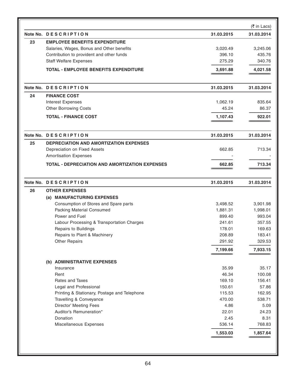|    |                                                   |               | (₹ in Lacs)      |
|----|---------------------------------------------------|---------------|------------------|
|    | Note No. DESCRIPTION                              | 31.03.2015    | 31.03.2014       |
| 23 | <b>EMPLOYEE BENEFITS EXPENDITURE</b>              |               |                  |
|    | Salaries, Wages, Bonus and Other benefits         | 3,020.49      | 3,245.06         |
|    | Contribution to provident and other funds         | 396.10        | 435.76           |
|    | <b>Staff Welfare Expenses</b>                     | 275.29        | 340.76           |
|    | <b>TOTAL - EMPLOYEE BENEFITS EXPENDITURE</b>      | 3,691.88      | 4,021.58         |
|    |                                                   |               |                  |
|    | Note No. DESCRIPTION                              | 31.03.2015    | 31.03.2014       |
| 24 | <b>FINANCE COST</b>                               |               |                  |
|    | <b>Interest Expenses</b>                          | 1,062.19      | 835.64           |
|    | <b>Other Borrowing Costs</b>                      | 45.24         | 86.37            |
|    | <b>TOTAL - FINANCE COST</b>                       | 1,107.43      | 922.01           |
|    |                                                   |               |                  |
|    | Note No. DESCRIPTION                              | 31.03.2015    | 31.03.2014       |
| 25 | <b>DEPRECIATION AND AMORTIZATION EXPENSES</b>     |               |                  |
|    | Depreciation on Fixed Assets                      | 662.85        | 713.34           |
|    | <b>Amortisation Expenses</b>                      |               |                  |
|    | TOTAL - DEPRECIATION AND AMORTIZATION EXPENSES    | 662.85        | 713.34           |
|    |                                                   |               |                  |
|    | Note No. DESCRIPTION                              | 31.03.2015    | 31.03.2014       |
| 26 | <b>OTHER EXPENSES</b>                             |               |                  |
|    | (a) MANUFACTURING EXPENSES                        |               |                  |
|    | Consumption of Stores and Spare parts             | 3,498.52      | 3,901.98         |
|    | Packing Material Consumed                         | 1,881.31      | 1,998.01         |
|    | Power and Fuel                                    | 899.40        | 993.04           |
|    | Labour Processing & Transportation Charges        | 241.61        | 357.55           |
|    | Repairs to Buildings                              | 178.01        | 169.63           |
|    | Repairs to Plant & Machinery                      | 208.89        | 183.41<br>329.53 |
|    | <b>Other Repairs</b>                              | 291.92        |                  |
|    |                                                   | 7,199.66      | 7,933.15         |
|    | (b) ADMINISTRATIVE EXPENSES                       |               |                  |
|    | Insurance                                         | 35.99         | 35.17            |
|    | Rent                                              | 46.34         | 100.08           |
|    | Rates and Taxes                                   | 169.10        | 156.41           |
|    | Legal and Professional                            | 150.61        | 57.86            |
|    | Printing & Stationary, Postage and Telephone      | 115.53        | 162.95           |
|    | Travelling & Conveyance                           | 470.00        | 538.71           |
|    | Director' Meeting Fees<br>Auditor's Remuneration* | 4.86<br>22.01 | 5.09<br>24.23    |
|    | Donation                                          | 2.45          | 8.31             |
|    | Miscellaneous Expenses                            | 536.14        | 768.83           |
|    |                                                   | 1,553.03      | 1,857.64         |
|    |                                                   |               |                  |
|    |                                                   |               |                  |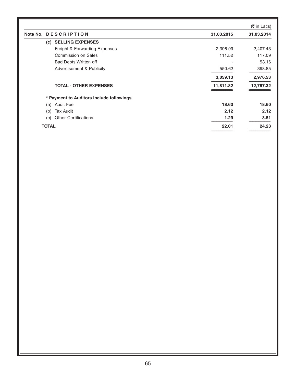|                                          |            | $(5 \in \text{In}$ Lacs) |
|------------------------------------------|------------|--------------------------|
| Note No. DESCRIPTION                     | 31.03.2015 | 31.03.2014               |
| <b>SELLING EXPENSES</b><br>(c)           |            |                          |
| Freight & Forwarding Expenses            | 2,396.99   | 2,407.43                 |
| Commission on Sales                      | 111.52     | 117.09                   |
| <b>Bad Debts Written off</b>             |            | 53.16                    |
| <b>Advertisement &amp; Publicity</b>     | 550.62     | 398.85                   |
|                                          | 3,059.13   | 2,976.53                 |
| <b>TOTAL - OTHER EXPENSES</b>            | 11,811.82  | 12,767.32                |
| * Payment to Auditors Include followings |            |                          |
| <b>Audit Fee</b><br>(a)                  | 18.60      | 18.60                    |
| <b>Tax Audit</b><br>(b)                  | 2.12       | 2.12                     |
| <b>Other Certifications</b><br>(c)       | 1.29       | 3.51                     |
| <b>TOTAL</b>                             | 22.01      | 24.23                    |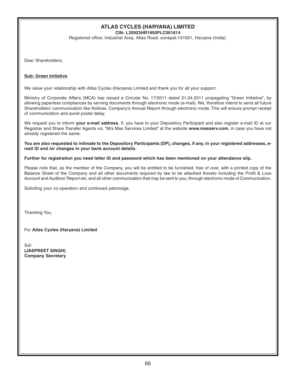#### **ATLAS CYCLES (HARYANA) LIMITED CIN: L35923HR1950PLC001614**

Registered office: Industrial Area, Atlas Road, sonepat-131001, Haryana (India).

Dear Shareholders,

#### **Sub: Green Initiative**

We value your relationship with Atlas Cycles (Haryana) Limited and thank you for all your support.

Ministry of Corporate Affairs (MCA) has issued a Circular No. 17/2011 dated 21.04.2011 propagating "Green Initiative", by allowing paperless compliances by serving documents through electronic mode (e-mail). We, therefore intend to send all future Shareholders' communication like Notices, Company's Annual Report through electronic mode. This will ensure prompt receipt of communication and avoid postal delay.

We request you to inform **your e-mail address**, if, you have to your Depository Participant and also register e-mail ID at our Registrar and Share Transfer Agents viz. "M/s Mas Services Limited" at the website **www.masserv.com**, in case you have not already registered the same.

**You are also requested to intimate to the Depository Participants (DP), changes, if any, in your registered addresses, email ID and /or changes in your bank account details.**

#### **Further for registration you need letter ID and password which has been mentioned on your attendance slip.**

Please note that, as the member of the Company, you will be entitled to be furnished, free of cost, with a printed copy of the Balance Sheet of the Company and all other documents required by law to be attached thereto including the Profit & Loss Account and Auditors' Report etc. and all other communication that may be sent to you, through electronic mode of Communication.

Soliciting your co-operation and continued patronage.

Thanking You,

For **Atlas Cycles (Haryana) Limited**

Sd/- **(JASPREET SINGH) Company Secretary**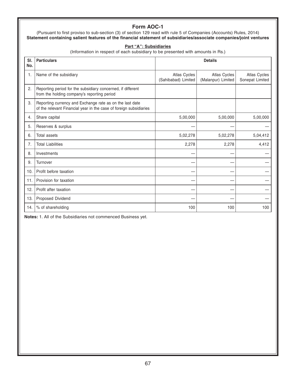# **Form AOC-1**

(Pursuant to first proviso to sub-section (3) of section 129 read with rule 5 of Companies (Accounts) Rules, 2014) **Statement containing salient features of the financial statement of subsidiaries/associate companies/joint ventures**

#### **Part "A": Subsidiaries**

(Information in respect of each subsidiary to be presented with amounts in Rs.)

| SI.<br>No. | <b>Particulars</b>                                                                                                             | <b>Details</b>                      |                                    |                                 |
|------------|--------------------------------------------------------------------------------------------------------------------------------|-------------------------------------|------------------------------------|---------------------------------|
| 1.         | Name of the subsidiary                                                                                                         | Atlas Cycles<br>(Sahibabad) Limited | Atlas Cycles<br>(Malanpur) Limited | Atlas Cycles<br>Sonepat Limited |
| 2.         | Reporting period for the subsidiary concerned, if different<br>from the holding company's reporting period                     |                                     |                                    |                                 |
| 3.         | Reporting currency and Exchange rate as on the last date<br>of the relevant Financial year in the case of foreign subsidiaries |                                     |                                    |                                 |
| 4.         | Share capital                                                                                                                  | 5,00,000                            | 5,00,000                           | 5,00,000                        |
| 5.         | Reserves & surplus                                                                                                             |                                     |                                    |                                 |
| 6.         | Total assets                                                                                                                   | 5,02,278                            | 5,02,278                           | 5,04,412                        |
| 7.         | <b>Total Liabilities</b>                                                                                                       | 2,278                               | 2,278                              | 4,412                           |
| 8.         | Investments                                                                                                                    |                                     |                                    |                                 |
| 9.         | Turnover                                                                                                                       |                                     |                                    |                                 |
| 10.        | Profit before taxation                                                                                                         |                                     |                                    |                                 |
| 11.        | Provision for taxation                                                                                                         |                                     |                                    |                                 |
| 12.        | Profit after taxation                                                                                                          |                                     |                                    |                                 |
| 13.        | Proposed Dividend                                                                                                              |                                     |                                    |                                 |
| 14.        | % of shareholding                                                                                                              | 100                                 | 100                                | 100                             |

**Notes:** 1. All of the Subsidiaries not commenced Business yet.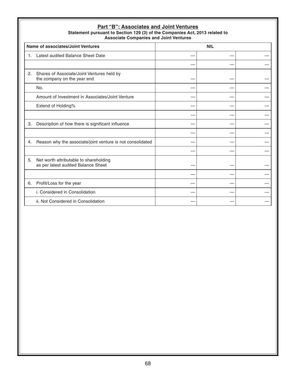| <b>Name of associates/Joint Ventures</b> |                                                                               | <b>NIL</b> |  |  |
|------------------------------------------|-------------------------------------------------------------------------------|------------|--|--|
| 1.                                       | Latest audited Balance Sheet Date                                             |            |  |  |
|                                          |                                                                               |            |  |  |
| 2.                                       | Shares of Associate/Joint Ventures held by<br>the company on the year end     |            |  |  |
|                                          | No.                                                                           |            |  |  |
|                                          | Amount of Investment in Associates/Joint Venture                              |            |  |  |
|                                          | Extend of Holding%                                                            |            |  |  |
|                                          |                                                                               |            |  |  |
| 3.                                       | Description of how there is significant influence                             |            |  |  |
|                                          |                                                                               |            |  |  |
| 4.                                       | Reason why the associate/joint venture is not consolidated                    |            |  |  |
|                                          |                                                                               |            |  |  |
| 5.                                       | Net worth attributable to shareholding<br>as per latest audited Balance Sheet |            |  |  |
|                                          |                                                                               |            |  |  |
| 6.                                       | Profit/Loss for the year                                                      |            |  |  |
|                                          | i. Considered in Consolidation                                                |            |  |  |
|                                          | ii. Not Considered in Consolidation                                           |            |  |  |

**Part "B": Associates and Joint Ventures**